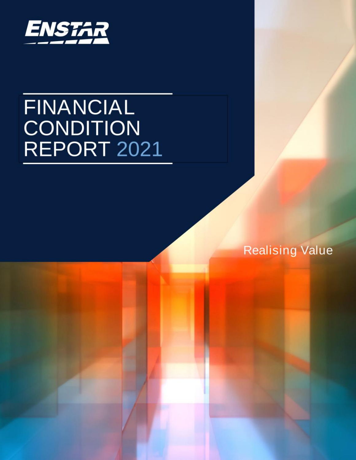

# **FINANCIAL CONDITION** REPORT 2021

**Realising Value**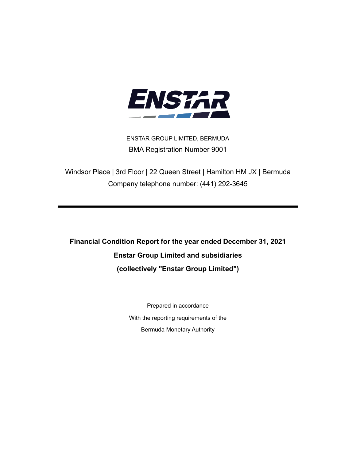

ENSTAR GROUP LIMITED, BERMUDA BMA Registration Number 9001

Windsor Place | 3rd Floor | 22 Queen Street | Hamilton HM JX | Bermuda Company telephone number: (441) 292-3645

**Financial Condition Report for the year ended December 31, 2021 Enstar Group Limited and subsidiaries (collectively "Enstar Group Limited")**

> Prepared in accordance With the reporting requirements of the Bermuda Monetary Authority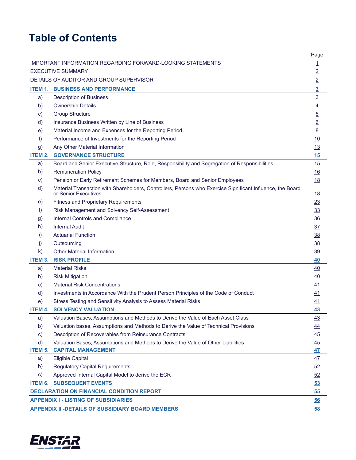# **Table of Contents**

|                |                                                                                                                                    | Page                    |
|----------------|------------------------------------------------------------------------------------------------------------------------------------|-------------------------|
|                | IMPORTANT INFORMATION REGARDING FORWARD-LOOKING STATEMENTS                                                                         | $\overline{1}$          |
|                | <b>EXECUTIVE SUMMARY</b>                                                                                                           | $\overline{2}$          |
|                | DETAILS OF AUDITOR AND GROUP SUPERVISOR                                                                                            | $\overline{2}$          |
|                | <b>ITEM 1. BUSINESS AND PERFORMANCE</b>                                                                                            | $\overline{\mathbf{3}}$ |
| a)             | <b>Description of Business</b>                                                                                                     | $\underline{3}$         |
| b)             | <b>Ownership Details</b>                                                                                                           | $\overline{4}$          |
| C)             | <b>Group Structure</b>                                                                                                             | $\overline{5}$          |
| d)             | Insurance Business Written by Line of Business                                                                                     | $\underline{6}$         |
| e)             | Material Income and Expenses for the Reporting Period                                                                              | $\underline{8}$         |
| f              | Performance of Investments for the Reporting Period                                                                                | <u>10</u>               |
| g)             | Any Other Material Information                                                                                                     | 13                      |
| <b>ITEM 2.</b> | <b>GOVERNANCE STRUCTURE</b>                                                                                                        | 15                      |
| a)             | Board and Senior Executive Structure, Role, Responsibility and Segregation of Responsibilities                                     | 15                      |
| b)             | <b>Remuneration Policy</b>                                                                                                         | 16                      |
| C)             | Pension or Early Retirement Schemes for Members, Board and Senior Employees                                                        | 18                      |
| d)             | Material Transaction with Shareholders, Controllers, Persons who Exercise Significant Influence, the Board<br>or Senior Executives | <u>18</u>               |
| e)             | <b>Fitness and Proprietary Requirements</b>                                                                                        | 23                      |
| f)             | Risk Management and Solvency Self-Assessment                                                                                       | 33                      |
| g)             | Internal Controls and Compliance                                                                                                   | 36                      |
| h)             | <b>Internal Audit</b>                                                                                                              | 37                      |
| i)             | <b>Actuarial Function</b>                                                                                                          | 38                      |
| j)             | Outsourcing                                                                                                                        | 38                      |
| $\mathsf{k}$   | <b>Other Material Information</b>                                                                                                  | 39                      |
| <b>ITEM 3.</b> | <b>RISK PROFILE</b>                                                                                                                | 40                      |
| a)             | <b>Material Risks</b>                                                                                                              | 40                      |
| b)             | <b>Risk Mitigation</b>                                                                                                             | 40                      |
| C)             | <b>Material Risk Concentrations</b>                                                                                                | 41                      |
| d)             | Investments in Accordance With the Prudent Person Principles of the Code of Conduct                                                | 41                      |
| e)             | Stress Testing and Sensitivity Analysis to Assess Material Risks                                                                   | 41                      |
| ITEM 4.        | <b>SOLVENCY VALUATION</b>                                                                                                          | 43                      |
| a)             | Valuation Bases, Assumptions and Methods to Derive the Value of Each Asset Class                                                   | 43                      |
| b)             | Valuation bases, Assumptions and Methods to Derive the Value of Technical Provisions                                               | $\overline{44}$         |
| C)             | Description of Recoverables from Reinsurance Contracts                                                                             | $\overline{45}$         |
| d)             | Valuation Bases, Assumptions and Methods to Derive the Value of Other Liabilities                                                  | 45                      |
| ITEM 5.        | <b>CAPITAL MANAGEMENT</b>                                                                                                          | 47                      |
| a)             | <b>Eligible Capital</b>                                                                                                            | 47                      |
| b)             | <b>Regulatory Capital Requirements</b>                                                                                             | 52                      |
| $\mathsf{c})$  | Approved Internal Capital Model to derive the ECR                                                                                  | 52                      |
|                | <b>ITEM 6. SUBSEQUENT EVENTS</b>                                                                                                   | 53                      |
|                | <b>DECLARATION ON FINANCIAL CONDITION REPORT</b>                                                                                   | 55                      |
|                | <b>APPENDIX I - LISTING OF SUBSIDIARIES</b>                                                                                        | 56                      |
|                | <b>APPENDIX II -DETAILS OF SUBSIDIARY BOARD MEMBERS</b>                                                                            | 58                      |

Page

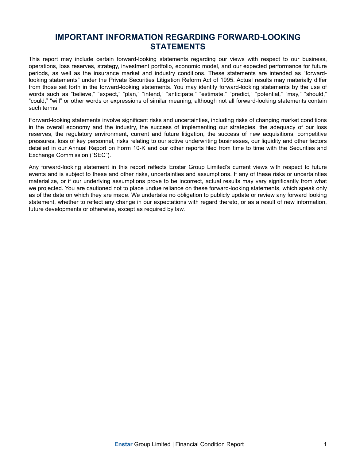### **IMPORTANT INFORMATION REGARDING FORWARD-LOOKING STATEMENTS**

<span id="page-3-0"></span>This report may include certain forward-looking statements regarding our views with respect to our business, operations, loss reserves, strategy, investment portfolio, economic model, and our expected performance for future periods, as well as the insurance market and industry conditions. These statements are intended as "forwardlooking statements" under the Private Securities Litigation Reform Act of 1995. Actual results may materially differ from those set forth in the forward-looking statements. You may identify forward-looking statements by the use of words such as "believe," "expect," "plan," "intend," "anticipate," "estimate," "predict," "potential," "may," "should," "could," "will" or other words or expressions of similar meaning, although not all forward-looking statements contain such terms.

Forward-looking statements involve significant risks and uncertainties, including risks of changing market conditions in the overall economy and the industry, the success of implementing our strategies, the adequacy of our loss reserves, the regulatory environment, current and future litigation, the success of new acquisitions, competitive pressures, loss of key personnel, risks relating to our active underwriting businesses, our liquidity and other factors detailed in our Annual Report on Form 10-K and our other reports filed from time to time with the Securities and Exchange Commission ("SEC").

Any forward-looking statement in this report reflects Enstar Group Limited's current views with respect to future events and is subject to these and other risks, uncertainties and assumptions. If any of these risks or uncertainties materialize, or if our underlying assumptions prove to be incorrect, actual results may vary significantly from what we projected. You are cautioned not to place undue reliance on these forward-looking statements, which speak only as of the date on which they are made. We undertake no obligation to publicly update or review any forward looking statement, whether to reflect any change in our expectations with regard thereto, or as a result of new information, future developments or otherwise, except as required by law.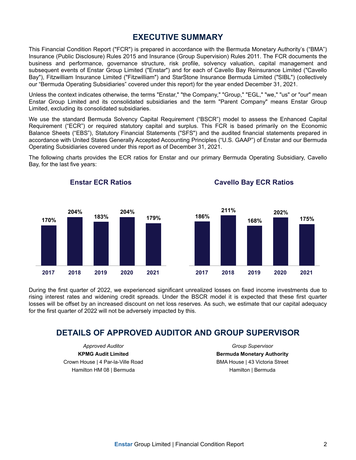### **EXECUTIVE SUMMARY**

<span id="page-4-0"></span>This Financial Condition Report ("FCR") is prepared in accordance with the Bermuda Monetary Authority's ("BMA") Insurance (Public Disclosure) Rules 2015 and Insurance (Group Supervision) Rules 2011. The FCR documents the business and performance, governance structure, risk profile, solvency valuation, capital management and subsequent events of Enstar Group Limited ("Enstar") and for each of Cavello Bay Reinsurance Limited ("Cavello Bay"), Fitzwilliam Insurance Limited ("Fitzwilliam") and StarStone Insurance Bermuda Limited ("SIBL") (collectively our "Bermuda Operating Subsidiaries" covered under this report) for the year ended December 31, 2021.

Unless the context indicates otherwise, the terms "Enstar," "the Company," "Group," "EGL," "we," "us" or "our" mean Enstar Group Limited and its consolidated subsidiaries and the term "Parent Company" means Enstar Group Limited, excluding its consolidated subsidiaries.

We use the standard Bermuda Solvency Capital Requirement ("BSCR") model to assess the Enhanced Capital Requirement ("ECR") or required statutory capital and surplus. This FCR is based primarily on the Economic Balance Sheets ("EBS"), Statutory Financial Statements ("SFS") and the audited financial statements prepared in accordance with United States Generally Accepted Accounting Principles ("U.S. GAAP") of Enstar and our Bermuda Operating Subsidiaries covered under this report as of December 31, 2021.

The following charts provides the ECR ratios for Enstar and our primary Bermuda Operating Subsidiary, Cavello Bay, for the last five years:



During the first quarter of 2022, we experienced significant unrealized losses on fixed income investments due to rising interest rates and widening credit spreads. Under the BSCR model it is expected that these first quarter losses will be offset by an increased discount on net loss reserves. As such, we estimate that our capital adequacy for the first quarter of 2022 will not be adversely impacted by this.

### **DETAILS OF APPROVED AUDITOR AND GROUP SUPERVISOR**

*Approved Auditor* **KPMG Audit Limited** Crown House | 4 Par-la-Ville Road Hamilton HM 08 | Bermuda

**Enstar ECR Ratios**

*Group Supervisor* **Bermuda Monetary Authority** BMA House | 43 Victoria Street Hamilton | Bermuda

**Cavello Bay ECR Ratios**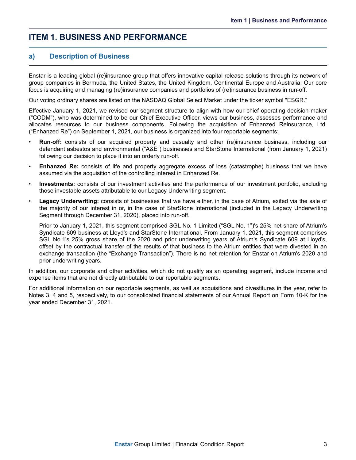### <span id="page-5-0"></span>**ITEM 1. BUSINESS AND PERFORMANCE**

### **a) Description of Business**

Enstar is a leading global (re)insurance group that offers innovative capital release solutions through its network of group companies in Bermuda, the United States, the United Kingdom, Continental Europe and Australia. Our core focus is acquiring and managing (re)insurance companies and portfolios of (re)insurance business in run-off.

Our voting ordinary shares are listed on the NASDAQ Global Select Market under the ticker symbol "ESGR."

Effective January 1, 2021, we revised our segment structure to align with how our chief operating decision maker ("CODM"), who was determined to be our Chief Executive Officer, views our business, assesses performance and allocates resources to our business components. Following the acquisition of Enhanzed Reinsurance, Ltd. ("Enhanzed Re") on September 1, 2021, our business is organized into four reportable segments:

- **Run-off:** consists of our acquired property and casualty and other (re)insurance business, including our defendant asbestos and environmental ("A&E") businesses and StarStone International (from January 1, 2021) following our decision to place it into an orderly run-off.
- **Enhanzed Re:** consists of life and property aggregate excess of loss (catastrophe) business that we have assumed via the acquisition of the controlling interest in Enhanzed Re.
- **Investments:** consists of our investment activities and the performance of our investment portfolio, excluding those investable assets attributable to our Legacy Underwriting segment.
- **Legacy Underwriting:** consists of businesses that we have either, in the case of Atrium, exited via the sale of the majority of our interest in or, in the case of StarStone International (included in the Legacy Underwriting Segment through December 31, 2020), placed into run-off.

Prior to January 1, 2021, this segment comprised SGL No. 1 Limited ("SGL No. 1")'s 25% net share of Atrium's Syndicate 609 business at Lloyd's and StarStone International. From January 1, 2021, this segment comprises SGL No.1's 25% gross share of the 2020 and prior underwriting years of Atrium's Syndicate 609 at Lloyd's, offset by the contractual transfer of the results of that business to the Atrium entities that were divested in an exchange transaction (the "Exchange Transaction"). There is no net retention for Enstar on Atrium's 2020 and prior underwriting years.

In addition, our corporate and other activities, which do not qualify as an operating segment, include income and expense items that are not directly attributable to our reportable segments.

For additional information on our reportable segments, as well as acquisitions and divestitures in the year, refer to Notes 3, 4 and 5, respectively, to our consolidated financial statements of our Annual Report on Form 10-K for the year ended December 31, 2021.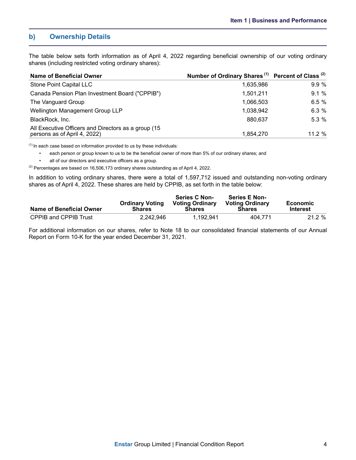### <span id="page-6-0"></span>**b) Ownership Details**

The table below sets forth information as of April 4, 2022 regarding beneficial ownership of our voting ordinary shares (including restricted voting ordinary shares):

| <b>Name of Beneficial Owner</b>                                                     | Number of Ordinary Shares <sup>(1)</sup> Percent of Class <sup>(2)</sup> |           |
|-------------------------------------------------------------------------------------|--------------------------------------------------------------------------|-----------|
| Stone Point Capital LLC                                                             | 1,635,986                                                                | 9.9%      |
| Canada Pension Plan Investment Board ("CPPIB")                                      | 1,501,211                                                                | 9.1%      |
| The Vanguard Group                                                                  | 1,066,503                                                                | 6.5%      |
| Wellington Management Group LLP                                                     | 1,038,942                                                                | 6.3%      |
| BlackRock, Inc.                                                                     | 880,637                                                                  | 5.3%      |
| All Executive Officers and Directors as a group (15<br>persons as of April 4, 2022) | 1,854,270                                                                | $11.2 \%$ |

 $<sup>(1)</sup>$  In each case based on information provided to us by these individuals:</sup>

• each person or group known to us to be the beneficial owner of more than 5% of our ordinary shares; and

• all of our directors and executive officers as a group.

 $(2)$  Percentages are based on 16,506,173 ordinary shares outstanding as of April 4, 2022.

In addition to voting ordinary shares, there were a total of 1,597,712 issued and outstanding non-voting ordinary shares as of April 4, 2022. These shares are held by CPPIB, as set forth in the table below:

| Name of Beneficial Owner     | <b>Ordinary Voting</b><br><b>Shares</b> | <b>Series C Non-</b><br><b>Voting Ordinary</b><br><b>Shares</b> | <b>Series E Non-</b><br><b>Voting Ordinary</b><br><b>Shares</b> | Economic<br><b>Interest</b> |
|------------------------------|-----------------------------------------|-----------------------------------------------------------------|-----------------------------------------------------------------|-----------------------------|
| <b>CPPIB and CPPIB Trust</b> | 2.242.946                               | 1.192.941                                                       | 404.771                                                         | 21.2 %                      |

For additional information on our shares, refer to Note 18 to our consolidated financial statements of our Annual Report on Form 10-K for the year ended December 31, 2021.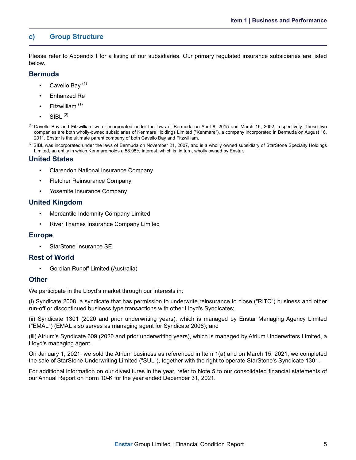### <span id="page-7-0"></span>**c) Group Structure**

Please refer to Appendix I for a listing of our subsidiaries. Our primary regulated insurance subsidiaries are listed below.

#### **Bermuda**

- Cavello Bay  $(1)$
- Enhanzed Re
- Fitzwilliam<sup>(1)</sup>
- $SIBL<sup>(2)</sup>$
- (1) Cavello Bay and Fitzwilliam were incorporated under the laws of Bermuda on April 8, 2015 and March 15, 2002, respectively. These two companies are both wholly-owned subsidiaries of Kenmare Holdings Limited ("Kenmare"), a company incorporated in Bermuda on August 16, 2011. Enstar is the ultimate parent company of both Cavello Bay and Fitzwilliam.
- $^{(2)}$  SIBL was incorporated under the laws of Bermuda on November 21, 2007, and is a wholly owned subsidiary of StarStone Specialty Holdings Limited, an entity in which Kenmare holds a 58.98% interest, which is, in turn, wholly owned by Enstar.

### **United States**

- Clarendon National Insurance Company
- Fletcher Reinsurance Company
- Yosemite Insurance Company

#### **United Kingdom**

- Mercantile Indemnity Company Limited
- River Thames Insurance Company Limited

### **Europe**

StarStone Insurance SE

### **Rest of World**

• Gordian Runoff Limited (Australia)

### **Other**

We participate in the Lloyd's market through our interests in:

(i) Syndicate 2008, a syndicate that has permission to underwrite reinsurance to close ("RITC") business and other run-off or discontinued business type transactions with other Lloyd's Syndicates;

(ii) Syndicate 1301 (2020 and prior underwriting years), which is managed by Enstar Managing Agency Limited ("EMAL") (EMAL also serves as managing agent for Syndicate 2008); and

(iii) Atrium's Syndicate 609 (2020 and prior underwriting years), which is managed by Atrium Underwriters Limited, a Lloyd's managing agent.

On January 1, 2021, we sold the Atrium business as referenced in Item 1(a) and on March 15, 2021, we completed the sale of StarStone Underwriting Limited ("SUL"), together with the right to operate StarStone's Syndicate 1301.

For additional information on our divestitures in the year, refer to Note 5 to our consolidated financial statements of our Annual Report on Form 10-K for the year ended December 31, 2021.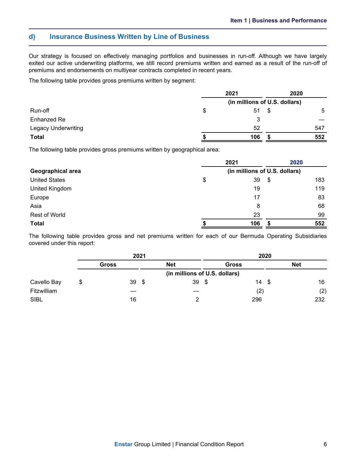### <span id="page-8-0"></span>**d) Insurance Business Written by Line of Business**

Our strategy is focused on effectively managing portfolios and businesses in run-off. Although we have largely exited our active underwriting platforms, we still record premiums written and earned as a result of the run-off of premiums and endorsements on multiyear contracts completed in recent years.

The following table provides gross premiums written by segment:

|                            | 2021 |                               |    | 2020 |
|----------------------------|------|-------------------------------|----|------|
|                            |      | (in millions of U.S. dollars) |    |      |
| Run-off                    | \$   | 51                            | \$ | 5    |
| Enhanzed Re                |      | 3                             |    |      |
| <b>Legacy Underwriting</b> |      | 52                            |    | 547  |
| <b>Total</b>               |      | 106                           |    | 552  |

The following table provides gross premiums written by geographical area:

|                      |                               | 2021 |    | 2020 |  |  |  |  |
|----------------------|-------------------------------|------|----|------|--|--|--|--|
| Geographical area    | (in millions of U.S. dollars) |      |    |      |  |  |  |  |
| <b>United States</b> | \$                            | 39   | \$ | 183  |  |  |  |  |
| United Kingdom       |                               | 19   |    | 119  |  |  |  |  |
| Europe               |                               | 17   |    | 83   |  |  |  |  |
| Asia                 |                               | 8    |    | 68   |  |  |  |  |
| <b>Rest of World</b> |                               | 23   |    | 99   |  |  |  |  |
| <b>Total</b>         |                               | 106  |    | 552  |  |  |  |  |

The following table provides gross and net premiums written for each of our Bermuda Operating Subsidiaries covered under this report:

|             |   |              | 2021 |                               | 2020 |              |      |            |  |  |  |
|-------------|---|--------------|------|-------------------------------|------|--------------|------|------------|--|--|--|
|             |   | <b>Gross</b> |      | <b>Net</b>                    |      | <b>Gross</b> |      | <b>Net</b> |  |  |  |
|             |   |              |      | (in millions of U.S. dollars) |      |              |      |            |  |  |  |
| Cavello Bay | S | 39           | - \$ | $39*$                         |      | 14           | - \$ | 16         |  |  |  |
| Fitzwilliam |   |              |      |                               |      | (2)          |      | (2)        |  |  |  |
| <b>SIBL</b> |   | 16           |      |                               |      | 296          |      | 232        |  |  |  |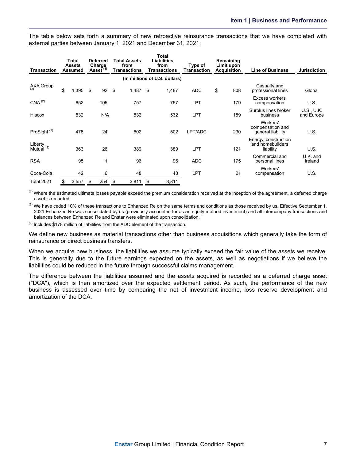The table below sets forth a summary of new retroactive reinsurance transactions that we have completed with external parties between January 1, 2021 and December 31, 2021:

| <b>Transaction</b>               |    | Total<br><b>Assets</b><br><b>Assumed</b> | <b>Deferred</b><br>Charge<br>Asset $^{(1)}$ |     |    | <b>Total Assets</b><br>from<br><b>Transactions</b> |      | <b>Total</b><br><b>Liabilities</b><br>from<br><b>Transactions</b> | Type of<br><b>Transaction</b> | Remaining<br>Limit upon<br><b>Acquisition</b> | <b>Line of Business</b>                               | <b>Jurisdiction</b>      |
|----------------------------------|----|------------------------------------------|---------------------------------------------|-----|----|----------------------------------------------------|------|-------------------------------------------------------------------|-------------------------------|-----------------------------------------------|-------------------------------------------------------|--------------------------|
| (in millions of U.S. dollars)    |    |                                          |                                             |     |    |                                                    |      |                                                                   |                               |                                               |                                                       |                          |
| AXA Group                        | \$ | 1,395                                    | \$                                          | 92  | \$ | 1,487                                              | - \$ | 1,487                                                             | <b>ADC</b>                    | \$<br>808                                     | Casualty and<br>professional lines                    | Global                   |
| CNA <sup>(2)</sup>               |    | 652                                      |                                             | 105 |    | 757                                                |      | 757                                                               | <b>LPT</b>                    | 179                                           | Excess workers'<br>compensation                       | U.S.                     |
| Hiscox                           |    | 532                                      |                                             | N/A |    | 532                                                |      | 532                                                               | <b>LPT</b>                    | 189                                           | Surplus lines broker<br>business                      | U.S., U.K.<br>and Europe |
| ProSight <sup>(3)</sup>          |    | 478                                      |                                             | 24  |    | 502                                                |      | 502                                                               | LPT/ADC                       | 230                                           | Workers'<br>compensation and<br>general liability     | U.S.                     |
| Liberty<br>Mutual <sup>(2)</sup> |    | 363                                      |                                             | 26  |    | 389                                                |      | 389                                                               | <b>LPT</b>                    | 121                                           | Energy, construction<br>and homebuilders<br>liability | U.S.                     |
| <b>RSA</b>                       |    | 95                                       |                                             | 1   |    | 96                                                 |      | 96                                                                | <b>ADC</b>                    | 175                                           | Commercial and<br>personal lines                      | U.K. and<br>Ireland      |
| Coca-Cola                        |    | 42                                       |                                             | 6   |    | 48                                                 |      | 48                                                                | <b>LPT</b>                    | 21                                            | Workers'<br>compensation                              | U.S.                     |
| <b>Total 2021</b>                |    | 3,557                                    | \$                                          | 254 | \$ | 3,811                                              | \$   | 3,811                                                             |                               |                                               |                                                       |                          |

 $<sup>(1)</sup>$  Where the estimated ultimate losses payable exceed the premium consideration received at the inception of the agreement, a deferred charge</sup> asset is recorded.

 $^{(2)}$  We have ceded 10% of these transactions to Enhanzed Re on the same terms and conditions as those received by us. Effective September 1, 2021 Enhanzed Re was consolidated by us (previously accounted for as an equity method investment) and all intercompany transactions and balances between Enhanzed Re and Enstar were eliminated upon consolidation.

 $(3)$  Includes \$178 million of liabilities from the ADC element of the transaction.

We define new business as material transactions other than business acquisitions which generally take the form of reinsurance or direct business transfers.

When we acquire new business, the liabilities we assume typically exceed the fair value of the assets we receive. This is generally due to the future earnings expected on the assets, as well as negotiations if we believe the liabilities could be reduced in the future through successful claims management.

The difference between the liabilities assumed and the assets acquired is recorded as a deferred charge asset ("DCA"), which is then amortized over the expected settlement period. As such, the performance of the new business is assessed over time by comparing the net of investment income, loss reserve development and amortization of the DCA.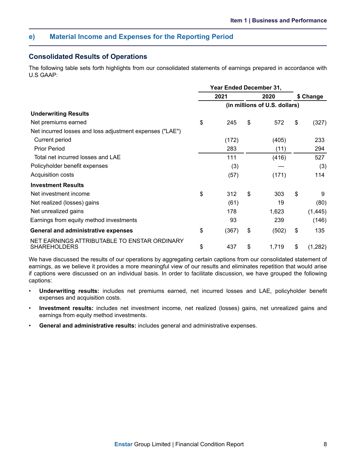### <span id="page-10-0"></span>**e) Material Income and Expenses for the Reporting Period**

### **Consolidated Results of Operations**

The following table sets forth highlights from our consolidated statements of earnings prepared in accordance with U.S GAAP:

|                                                                     | <b>Year Ended December 31,</b> |       |    |                               |           |          |  |
|---------------------------------------------------------------------|--------------------------------|-------|----|-------------------------------|-----------|----------|--|
|                                                                     | 2021                           |       |    | 2020                          | \$ Change |          |  |
|                                                                     |                                |       |    | (in millions of U.S. dollars) |           |          |  |
| <b>Underwriting Results</b>                                         |                                |       |    |                               |           |          |  |
| Net premiums earned                                                 | \$                             | 245   | \$ | 572                           | \$        | (327)    |  |
| Net incurred losses and loss adjustment expenses ("LAE")            |                                |       |    |                               |           |          |  |
| Current period                                                      |                                | (172) |    | (405)                         |           | 233      |  |
| <b>Prior Period</b>                                                 |                                | 283   |    | (11)                          |           | 294      |  |
| Total net incurred losses and LAE                                   |                                | 111   |    | (416)                         |           | 527      |  |
| Policyholder benefit expenses                                       |                                | (3)   |    |                               |           | (3)      |  |
| Acquisition costs                                                   |                                | (57)  |    | (171)                         |           | 114      |  |
| <b>Investment Results</b>                                           |                                |       |    |                               |           |          |  |
| Net investment income                                               | \$                             | 312   | \$ | 303                           | \$        | 9        |  |
| Net realized (losses) gains                                         |                                | (61)  |    | 19                            |           | (80)     |  |
| Net unrealized gains                                                |                                | 178   |    | 1,623                         |           | (1, 445) |  |
| Earnings from equity method investments                             |                                | 93    |    | 239                           |           | (146)    |  |
| <b>General and administrative expenses</b>                          | \$                             | (367) | \$ | (502)                         | \$        | 135      |  |
| NET EARNINGS ATTRIBUTABLE TO ENSTAR ORDINARY<br><b>SHAREHOLDERS</b> | \$                             | 437   | \$ | 1,719                         | \$        | (1, 282) |  |

We have discussed the results of our operations by aggregating certain captions from our consolidated statement of earnings, as we believe it provides a more meaningful view of our results and eliminates repetition that would arise if captions were discussed on an individual basis. In order to facilitate discussion, we have grouped the following captions:

- **Underwriting results:** includes net premiums earned, net incurred losses and LAE, policyholder benefit expenses and acquisition costs.
- **Investment results:** includes net investment income, net realized (losses) gains, net unrealized gains and earnings from equity method investments.
- **General and administrative results:** includes general and administrative expenses.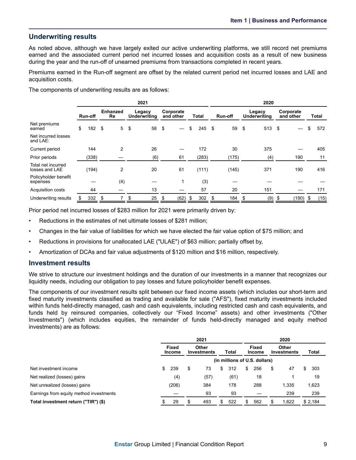### **Underwriting results**

As noted above, although we have largely exited our active underwriting platforms, we still record net premiums earned and the associated current period net incurred losses and acquisition costs as a result of new business during the year and the run-off of unearned premiums from transactions completed in recent years.

Premiums earned in the Run-off segment are offset by the related current period net incurred losses and LAE and acquisition costs.

The components of underwriting results are as follows:

|                                      |         | 2021      |                       |                |                               |     |                        |      |       |          |         | 2020  |                               |        |                        |       |       |      |
|--------------------------------------|---------|-----------|-----------------------|----------------|-------------------------------|-----|------------------------|------|-------|----------|---------|-------|-------------------------------|--------|------------------------|-------|-------|------|
|                                      | Run-off |           | <b>Enhanzed</b><br>Re |                | Legacy<br><b>Underwriting</b> |     | Corporate<br>and other |      | Total |          | Run-off |       | Legacy<br><b>Underwriting</b> |        | Corporate<br>and other |       | Total |      |
| Net premiums<br>earned               | \$      | $182 - $$ |                       | 5 <sup>5</sup> | \$                            | 58  | -\$                    |      | \$    | $245$ \$ |         | 59    | - \$                          | 513 \$ |                        |       | \$    | 572  |
| Net incurred losses<br>and LAE:      |         |           |                       |                |                               |     |                        |      |       |          |         |       |                               |        |                        |       |       |      |
| Current period                       |         | 144       |                       | 2              |                               | 26  |                        |      |       | 172      |         | 30    |                               | 375    |                        |       |       | 405  |
| Prior periods                        |         | (338)     |                       |                |                               | (6) |                        | 61   |       | (283)    |         | (175) |                               | (4)    |                        | 190   |       | 11   |
| Total net incurred<br>losses and LAE |         | (194)     |                       | $\overline{2}$ |                               | 20  |                        | 61   |       | (111)    |         | (145) |                               | 371    |                        | 190   |       | 416  |
| Policyholder benefit<br>expenses     |         |           |                       | (4)            |                               |     |                        |      |       | (3)      |         |       |                               |        |                        |       |       |      |
| Acquisition costs                    |         | 44        |                       |                |                               | 13  |                        |      |       | 57       |         | 20    |                               | 151    |                        |       |       | 171  |
| Underwriting results                 | S       | 332       | \$                    |                | \$                            | 25  | \$                     | (62) | S     | 302      | \$      | 184   | \$                            | (9)    | \$                     | (190) | \$    | (15) |

Prior period net incurred losses of \$283 million for 2021 were primarily driven by:

- Reductions in the estimates of net ultimate losses of \$281 million;
- Changes in the fair value of liabilities for which we have elected the fair value option of \$75 million; and
- Reductions in provisions for unallocated LAE ("ULAE") of \$63 million; partially offset by,
- Amortization of DCAs and fair value adjustments of \$120 million and \$16 million, respectively.

### **Investment results**

We strive to structure our investment holdings and the duration of our investments in a manner that recognizes our liquidity needs, including our obligation to pay losses and future policyholder benefit expenses.

The components of our investment results split between our fixed income assets (which includes our short-term and fixed maturity investments classified as trading and available for sale ("AFS"), fixed maturity investments included within funds held-directly managed, cash and cash equivalents, including restricted cash and cash equivalents, and funds held by reinsured companies, collectively our "Fixed Income" assets) and other investments ("Other Investments") (which includes equities, the remainder of funds held-directly managed and equity method investments) are as follows:

|                                         | 2021                          |       |                                    |      |       |      |     | 2020                   |    |                      |   |         |  |
|-----------------------------------------|-------------------------------|-------|------------------------------------|------|-------|------|-----|------------------------|----|----------------------|---|---------|--|
|                                         | <b>Fixed</b><br><b>Income</b> |       | <b>Other</b><br><b>Investments</b> |      | Total |      |     | Fixed<br><b>Income</b> |    | Other<br>Investments |   | Total   |  |
|                                         | (in millions of U.S. dollars) |       |                                    |      |       |      |     |                        |    |                      |   |         |  |
| Net investment income                   | \$                            | 239   | \$                                 | 73   | \$    | 312  | S.  | 256                    | \$ | 47                   | S | 303     |  |
| Net realized (losses) gains             |                               | (4)   |                                    | (57) |       | (61) |     | 18                     |    |                      |   | 19      |  |
| Net unrealized (losses) gains           |                               | (206) |                                    | 384  |       | 178  |     | 288                    |    | 1,335                |   | 1,623   |  |
| Earnings from equity method investments |                               |       |                                    | 93   |       | 93   |     |                        |    | 239                  |   | 239     |  |
| Total investment return ("TIR") (\$)    | S                             | 29    | \$                                 | 493  | S     | 522  | \$. | 562                    |    | 1.622                |   | \$2.184 |  |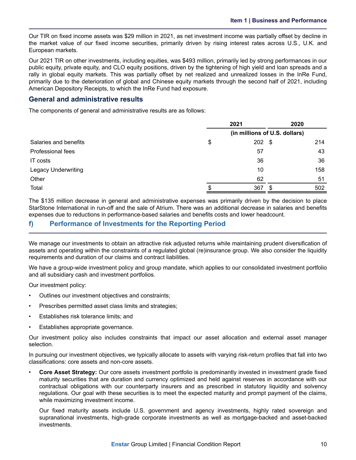<span id="page-12-0"></span>Our TIR on fixed income assets was \$29 million in 2021, as net investment income was partially offset by decline in the market value of our fixed income securities, primarily driven by rising interest rates across U.S., U.K. and European markets.

Our 2021 TIR on other investments, including equities, was \$493 million, primarily led by strong performances in our public equity, private equity, and CLO equity positions, driven by the tightening of high yield and loan spreads and a rally in global equity markets. This was partially offset by net realized and unrealized losses in the InRe Fund, primarily due to the deterioration of global and Chinese equity markets through the second half of 2021, including American Depository Receipts, to which the InRe Fund had exposure.

### **General and administrative results**

The components of general and administrative results are as follows:

|                            |                               | 2021 | 2020 |     |  |  |  |  |
|----------------------------|-------------------------------|------|------|-----|--|--|--|--|
|                            | (in millions of U.S. dollars) |      |      |     |  |  |  |  |
| Salaries and benefits      | \$                            | 202  | - \$ | 214 |  |  |  |  |
| <b>Professional fees</b>   |                               | 57   |      | 43  |  |  |  |  |
| IT costs                   |                               | 36   |      | 36  |  |  |  |  |
| <b>Legacy Underwriting</b> |                               | 10   |      | 158 |  |  |  |  |
| Other                      |                               | 62   |      | 51  |  |  |  |  |
| Total                      |                               | 367  | \$   | 502 |  |  |  |  |

The \$135 million decrease in general and administrative expenses was primarily driven by the decision to place StarStone International in run-off and the sale of Atrium. There was an additional decrease in salaries and benefits expenses due to reductions in performance-based salaries and benefits costs and lower headcount.

### **f) Performance of Investments for the Reporting Period**

We manage our investments to obtain an attractive risk adjusted returns while maintaining prudent diversification of assets and operating within the constraints of a regulated global (re)insurance group. We also consider the liquidity requirements and duration of our claims and contract liabilities.

We have a group-wide investment policy and group mandate, which applies to our consolidated investment portfolio and all subsidiary cash and investment portfolios.

Our investment policy:

- Outlines our investment objectives and constraints;
- Prescribes permitted asset class limits and strategies;
- Establishes risk tolerance limits; and
- Establishes appropriate governance.

Our investment policy also includes constraints that impact our asset allocation and external asset manager selection.

In pursuing our investment objectives, we typically allocate to assets with varying risk-return profiles that fall into two classifications: core assets and non-core assets.

• **Core Asset Strategy:** Our core assets investment portfolio is predominantly invested in investment grade fixed maturity securities that are duration and currency optimized and held against reserves in accordance with our contractual obligations with our counterparty insurers and as prescribed in statutory liquidity and solvency regulations. Our goal with these securities is to meet the expected maturity and prompt payment of the claims, while maximizing investment income.

Our fixed maturity assets include U.S. government and agency investments, highly rated sovereign and supranational investments, high-grade corporate investments as well as mortgage-backed and asset-backed investments.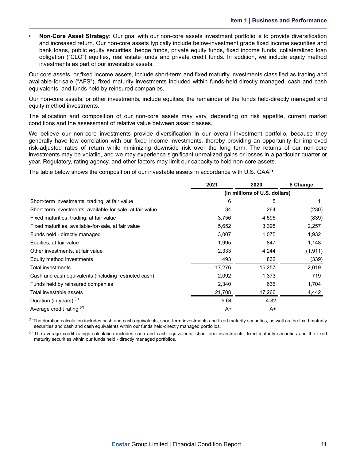• **Non-Core Asset Strategy:** Our goal with our non-core assets investment portfolio is to provide diversification and increased return. Our non-core assets typically include below-investment grade fixed income securities and bank loans, public equity securities, hedge funds, private equity funds, fixed income funds, collateralized loan obligation ("CLO") equities, real estate funds and private credit funds. In addition, we include equity method investments as part of our investable assets.

Our core assets, or fixed income assets, include short-term and fixed maturity investments classified as trading and available-for-sale ("AFS"), fixed maturity investments included within funds-held directly managed, cash and cash equivalents, and funds held by reinsured companies.

Our non-core assets, or other investments, include equities, the remainder of the funds held-directly managed and equity method investments.

The allocation and composition of our non-core assets may vary, depending on risk appetite, current market conditions and the assessment of relative value between asset classes.

We believe our non-core investments provide diversification in our overall investment portfolio, because they generally have low correlation with our fixed income investments, thereby providing an opportunity for improved risk-adjusted rates of return while minimizing downside risk over the long term. The returns of our non-core investments may be volatile, and we may experience significant unrealized gains or losses in a particular quarter or year. Regulatory, rating agency, and other factors may limit our capacity to hold non-core assets.

The table below shows the composition of our investable assets in accordance with U.S. GAAP:

|                                                           | 2021   | 2020                          | \$ Change |  |  |
|-----------------------------------------------------------|--------|-------------------------------|-----------|--|--|
|                                                           |        | (in millions of U.S. dollars) |           |  |  |
| Short-term investments, trading, at fair value            | 6      | 5                             |           |  |  |
| Short-term investments, available-for-sale, at fair value | 34     | 264                           | (230)     |  |  |
| Fixed maturities, trading, at fair value                  | 3,756  | 4,595                         | (839)     |  |  |
| Fixed maturities, available-for-sale, at fair value       | 5,652  | 3,395                         | 2,257     |  |  |
| Funds held - directly managed                             | 3,007  | 1,075                         | 1,932     |  |  |
| Equities, at fair value                                   | 1,995  | 847                           | 1,148     |  |  |
| Other investments, at fair value                          | 2,333  | 4,244                         | (1, 911)  |  |  |
| Equity method investments                                 | 493    | 832                           | (339)     |  |  |
| <b>Total investments</b>                                  | 17,276 | 15,257                        | 2,019     |  |  |
| Cash and cash equivalents (including restricted cash)     | 2,092  | 1,373                         | 719       |  |  |
| Funds held by reinsured companies                         | 2,340  | 636                           | 1,704     |  |  |
| Total investable assets                                   | 21,708 | 17,266                        | 4,442     |  |  |
| Duration (in years) <sup>(1)</sup>                        | 5.64   | 4.82                          |           |  |  |
| Average credit rating (2)                                 | A+     | A+                            |           |  |  |

 $<sup>(1)</sup>$  The duration calculation includes cash and cash equivalents, short-term investments and fixed maturity securities, as well as the fixed maturity</sup> securities and cash and cash equivalents within our funds held-directly managed portfolios.

 $<sup>(2)</sup>$  The average credit ratings calculation includes cash and cash equivalents, short-term investments, fixed maturity securities and the fixed</sup> maturity securities within our funds held - directly managed portfolios.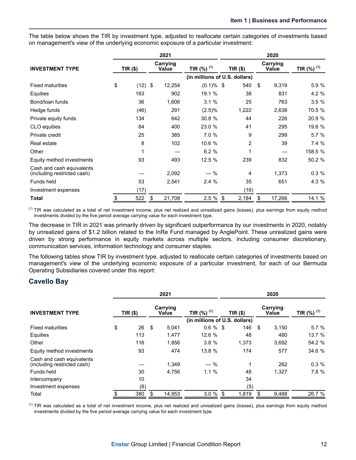The table below shows the TIR by investment type, adjusted to reallocate certain categories of investments based on management's view of the underlying economic exposure of a particular investment:

|                                                          |                 | 2021              |              | 2020                          |    |                   |                           |  |  |  |  |  |
|----------------------------------------------------------|-----------------|-------------------|--------------|-------------------------------|----|-------------------|---------------------------|--|--|--|--|--|
| <b>INVESTMENT TYPE</b>                                   | <b>TIR (\$)</b> | Carrying<br>Value | TIR (%) (1)  | $TIR($ \$)                    |    | Carrying<br>Value | TIR $(\%)$ <sup>(1)</sup> |  |  |  |  |  |
|                                                          |                 |                   |              | (in millions of U.S. dollars) |    |                   |                           |  |  |  |  |  |
| <b>Fixed maturities</b>                                  | \$<br>(12)      | \$<br>12,254      | $(0.1)\%$ \$ | 540                           | \$ | 9,319             | 5.9 %                     |  |  |  |  |  |
| Equities                                                 | 163             | 902               | 19.1 %       | 38                            |    | 831               | 4.2 %                     |  |  |  |  |  |
| Bond/loan funds                                          | 36              | 1,606             | 3.1%         | 25                            |    | 763               | 3.5%                      |  |  |  |  |  |
| Hedge funds                                              | (46)            | 291               | $(2.5)\%$    | 1,222                         |    | 2,638             | 70.5 %                    |  |  |  |  |  |
| Private equity funds                                     | 134             | 642               | 30.8 %       | 44                            |    | 226               | 20.9 %                    |  |  |  |  |  |
| CLO equities                                             | 84              | 400               | 23.0 %       | 41                            |    | 295               | 19.6 %                    |  |  |  |  |  |
| Private credit                                           | 25              | 385               | 7.0 %        | 9                             |    | 299               | 5.7%                      |  |  |  |  |  |
| Real estate                                              | 8               | 102               | 10.6 %       | $\overline{2}$                |    | 39                | 7.4%                      |  |  |  |  |  |
| Other                                                    | 1               |                   | 6.2%         | 1                             |    |                   | 158.5 %                   |  |  |  |  |  |
| Equity method investments                                | 93              | 493               | 12.5 %       | 239                           |    | 832               | 50.2 %                    |  |  |  |  |  |
| Cash and cash equivalents<br>(including restricted cash) |                 | 2,092             | — %          | 4                             |    | 1,373             | 0.3%                      |  |  |  |  |  |
| Funds held                                               | 53              | 2,541             | 2.4%         | 35                            |    | 651               | 4.3 %                     |  |  |  |  |  |
| Investment expenses                                      | (17)            |                   |              | (16)                          |    |                   |                           |  |  |  |  |  |
| <b>Total</b>                                             | \$<br>522       | \$<br>21,708      | 2.5%         | 2,184<br>\$                   | \$ | 17,266            | 14.1 %                    |  |  |  |  |  |

<sup>(1)</sup> TIR was calculated as a total of net investment income, plus net realized and unrealized gains (losses), plus earnings from equity method investments divided by the five period average carrying value for each investment type.

The decrease in TIR in 2021 was primarily driven by significant outperformance by our investments in 2020, notably by unrealized gains of \$1.2 billion related to the InRe Fund managed by AnglePoint. These unrealized gains were driven by strong performance in equity markets across multiple sectors, including consumer discretionary, communication services, information technology and consumer staples.

The following tables show TIR by investment type, adjusted to reallocate certain categories of investments based on management's view of the underlying economic exposure of a particular investment, for each of our Bermuda Operating Subsidiaries covered under this report:

### **Cavello Bay**

|                                                          |                               |            |    | 2021                     |                          |  | 2020       |    |                          |                        |  |  |  |  |  |  |
|----------------------------------------------------------|-------------------------------|------------|----|--------------------------|--------------------------|--|------------|----|--------------------------|------------------------|--|--|--|--|--|--|
| <b>INVESTMENT TYPE</b>                                   |                               | $TIR($ \$) |    | Carrying<br><b>Value</b> | TIR $(%)$ <sup>(1)</sup> |  | $TIR($ \$) |    | Carrying<br><b>Value</b> | TIR (%) <sup>(1)</sup> |  |  |  |  |  |  |
|                                                          | (in millions of U.S. dollars) |            |    |                          |                          |  |            |    |                          |                        |  |  |  |  |  |  |
| <b>Fixed maturities</b>                                  | \$                            | 26         | \$ | 5.041                    | $0.6 \%$ \$              |  | 146        | \$ | 3,150                    | 5.7%                   |  |  |  |  |  |  |
| Equities                                                 |                               | 113        |    | 1.477                    | 12.6 %                   |  | 48         |    | 480                      | 13.7 %                 |  |  |  |  |  |  |
| Other                                                    |                               | 116        |    | 1.856                    | 3.8%                     |  | 1,373      |    | 3,692                    | 54.2 %                 |  |  |  |  |  |  |
| Equity method investments                                |                               | 93         |    | 474                      | 13.8 %                   |  | 174        |    | 577                      | 34.6 %                 |  |  |  |  |  |  |
| Cash and cash equivalents<br>(including restricted cash) |                               |            |    | 1.349                    | $-$ %                    |  | 1          |    | 262                      | 0.3%                   |  |  |  |  |  |  |
| Funds held                                               |                               | 30         |    | 4.756                    | 1.1%                     |  | 48         |    | 1.327                    | 7.8%                   |  |  |  |  |  |  |
| Intercompany                                             |                               | 10         |    |                          |                          |  | 34         |    |                          |                        |  |  |  |  |  |  |
| Investment expenses                                      |                               | (8)        |    |                          |                          |  | (5)        |    |                          |                        |  |  |  |  |  |  |
| Total                                                    | \$                            | 380        |    | 14.953                   | $3.0 \%$ \$              |  | 1,819      | \$ | 9,488                    | 26.7 %                 |  |  |  |  |  |  |

<sup>(1)</sup> TIR was calculated as a total of net investment income, plus net realized and unrealized gains (losses), plus earnings from equity method investments divided by the five period average carrying value for each investment type.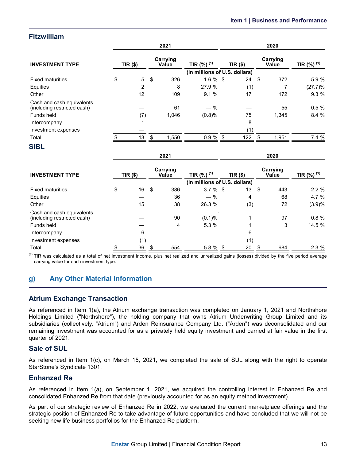### <span id="page-15-0"></span>**Fitzwilliam**

|                                                          |                | 2021              |                               | 2020       |     |    |                   |                  |  |  |  |  |  |
|----------------------------------------------------------|----------------|-------------------|-------------------------------|------------|-----|----|-------------------|------------------|--|--|--|--|--|
| <b>INVESTMENT TYPE</b>                                   | $TIR($ \$)     | Carrying<br>Value | TIR $(\%)$ <sup>(1)</sup>     | $TIR($ \$) |     |    | Carrying<br>Value | TIR $(\%)^{(1)}$ |  |  |  |  |  |
|                                                          |                |                   | (in millions of U.S. dollars) |            |     |    |                   |                  |  |  |  |  |  |
| <b>Fixed maturities</b>                                  | \$<br>5        | \$<br>326         | $1.6 \%$ \$                   |            | 24  | \$ | 372               | 5.9 %            |  |  |  |  |  |
| Equities                                                 | $\overline{2}$ | 8                 | 27.9 %                        |            | (1) |    |                   | (27.7)%          |  |  |  |  |  |
| Other                                                    | 12             | 109               | 9.1%                          |            | 17  |    | 172               | 9.3 %            |  |  |  |  |  |
| Cash and cash equivalents<br>(including restricted cash) |                | 61                | $-$ %                         |            |     |    | 55                | 0.5%             |  |  |  |  |  |
| Funds held                                               | (7)            | 1,046             | (0.8)%                        |            | 75  |    | 1,345             | 8.4 %            |  |  |  |  |  |
| Intercompany                                             | 1              |                   |                               |            | 8   |    |                   |                  |  |  |  |  |  |
| Investment expenses                                      |                |                   |                               |            | (1) |    |                   |                  |  |  |  |  |  |
| Total                                                    | 13             | \$<br>1,550       | 0.9%                          | \$         | 122 | \$ | 1,951             | 7.4 %            |  |  |  |  |  |
| <b>SIBL</b>                                              |                |                   |                               |            |     |    |                   |                  |  |  |  |  |  |
|                                                          |                | 2021              |                               |            |     |    | 2020              |                  |  |  |  |  |  |
|                                                          |                |                   |                               |            |     |    |                   |                  |  |  |  |  |  |

| <b>INVESTMENT TYPE</b>                                   | TIR (\$) |    | Carrying<br>Value | TIR $(%)$ <sup>(1)</sup>      | $TIR($ \$) | Carrying<br><b>Value</b> | TIR $(%)$ <sup>(1)</sup> |  |
|----------------------------------------------------------|----------|----|-------------------|-------------------------------|------------|--------------------------|--------------------------|--|
|                                                          |          |    |                   | (in millions of U.S. dollars) |            |                          |                          |  |
| <b>Fixed maturities</b>                                  | \$<br>16 | \$ | 386               | $3.7 \%$ \$                   | 13         | \$<br>443                | $2.2 \%$                 |  |
| Equities                                                 |          |    | 36                | $-$ %                         | 4          | 68                       | 4.7%                     |  |
| Other                                                    | 15       |    | 38                | 26.3 %                        | (3)        | 72                       | (3.9)%                   |  |
| Cash and cash equivalents<br>(including restricted cash) |          |    | 90                | $(0.1)\%$                     |            | 97                       | $0.8 \%$                 |  |
| Funds held                                               |          |    | 4                 | 5.3%                          |            | 3                        | 14.5 %                   |  |
| Intercompany                                             | 6        |    |                   |                               | 6          |                          |                          |  |
| Investment expenses                                      | (1)      |    |                   |                               | (1)        |                          |                          |  |
| Total                                                    | 36       | ደ  | 554               | 5.8 % \$                      | 20         | 684                      | 2.3%                     |  |

 $<sup>(1)</sup>$  TIR was calculated as a total of net investment income, plus net realized and unrealized gains (losses) divided by the five period average</sup> carrying value for each investment type.

### **g) Any Other Material Information**

### **Atrium Exchange Transaction**

As referenced in Item 1(a), the Atrium exchange transaction was completed on January 1, 2021 and Northshore Holdings Limited ("Northshore"), the holding company that owns Atrium Underwriting Group Limited and its subsidiaries (collectively, "Atrium") and Arden Reinsurance Company Ltd. ("Arden") was deconsolidated and our remaining investment was accounted for as a privately held equity investment and carried at fair value in the first quarter of 2021.

### **Sale of SUL**

As referenced in Item 1(c), on March 15, 2021, we completed the sale of SUL along with the right to operate StarStone's Syndicate 1301.

### **Enhanzed Re**

As referenced in Item 1(a), on September 1, 2021, we acquired the controlling interest in Enhanzed Re and consolidated Enhanzed Re from that date (previously accounted for as an equity method investment).

As part of our strategic review of Enhanzed Re in 2022, we evaluated the current marketplace offerings and the strategic position of Enhanzed Re to take advantage of future opportunities and have concluded that we will not be seeking new life business portfolios for the Enhanzed Re platform.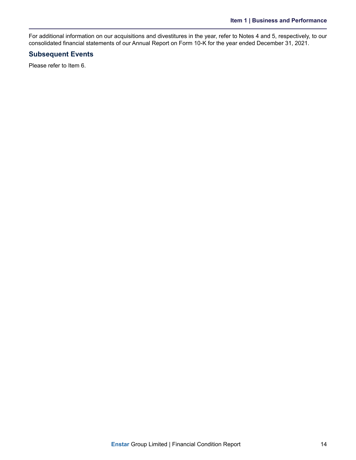For additional information on our acquisitions and divestitures in the year, refer to Notes 4 and 5, respectively, to our consolidated financial statements of our Annual Report on Form 10-K for the year ended December 31, 2021.

### **Subsequent Events**

Please refer to Item 6.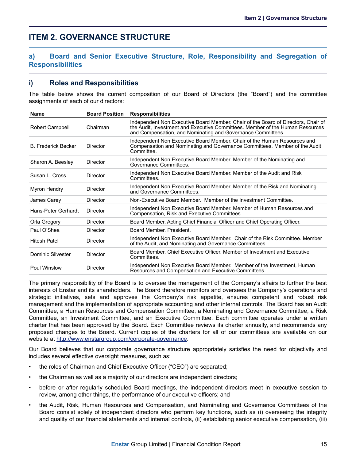# <span id="page-17-0"></span>**ITEM 2. GOVERNANCE STRUCTURE**

### **a) Board and Senior Executive Structure, Role, Responsibility and Segregation of Responsibilities**

### **i) Roles and Responsibilities**

The table below shows the current composition of our Board of Directors (the "Board") and the committee assignments of each of our directors:

| <b>Name</b>                | <b>Board Position</b> | <b>Responsibilities</b>                                                                                                                                                                                                           |
|----------------------------|-----------------------|-----------------------------------------------------------------------------------------------------------------------------------------------------------------------------------------------------------------------------------|
| <b>Robert Campbell</b>     | Chairman              | Independent Non Executive Board Member. Chair of the Board of Directors, Chair of<br>the Audit, Investment and Executive Committees. Member of the Human Resources<br>and Compensation, and Nominating and Governance Committees. |
| <b>B. Frederick Becker</b> | Director              | Independent Non Executive Board Member. Chair of the Human Resources and<br>Compensation and Nominating and Governance Committees. Member of the Audit<br>Committee.                                                              |
| Sharon A. Beesley          | Director              | Independent Non Executive Board Member. Member of the Nominating and<br>Governance Committees.                                                                                                                                    |
| Susan L. Cross             | Director              | Independent Non Executive Board Member. Member of the Audit and Risk<br>Committees.                                                                                                                                               |
| Myron Hendry               | Director              | Independent Non Executive Board Member. Member of the Risk and Nominating<br>and Governance Committees.                                                                                                                           |
| James Carey                | Director              | Non-Executive Board Member. Member of the Investment Committee.                                                                                                                                                                   |
| Hans-Peter Gerhardt        | Director              | Independent Non Executive Board Member. Member of Human Resources and<br>Compensation, Risk and Executive Committees.                                                                                                             |
| Orla Gregory               | Director              | Board Member. Acting Chief Financial Officer and Chief Operating Officer.                                                                                                                                                         |
| Paul O'Shea                | Director              | Board Member, President.                                                                                                                                                                                                          |
| <b>Hitesh Patel</b>        | Director              | Independent Non Executive Board Member. Chair of the Risk Committee. Member<br>of the Audit, and Nominating and Governance Committees.                                                                                            |
| Dominic Silvester          | Director              | Board Member, Chief Executive Officer, Member of Investment and Executive<br>Committees.                                                                                                                                          |
| Poul Winslow               | Director              | Independent Non Executive Board Member. Member of the Investment, Human<br>Resources and Compensation and Executive Committees.                                                                                                   |

The primary responsibility of the Board is to oversee the management of the Company's affairs to further the best interests of Enstar and its shareholders. The Board therefore monitors and oversees the Company's operations and strategic initiatives, sets and approves the Company's risk appetite, ensures competent and robust risk management and the implementation of appropriate accounting and other internal controls. The Board has an Audit Committee, a Human Resources and Compensation Committee, a Nominating and Governance Committee, a Risk Committee, an Investment Committee, and an Executive Committee. Each committee operates under a written charter that has been approved by the Board. Each Committee reviews its charter annually, and recommends any proposed changes to the Board. Current copies of the charters for all of our committees are available on our website at http://www.enstargroup.com/corporate-governance.

Our Board believes that our corporate governance structure appropriately satisfies the need for objectivity and includes several effective oversight measures, such as:

- the roles of Chairman and Chief Executive Officer ("CEO") are separated;
- the Chairman as well as a majority of our directors are independent directors;
- before or after regularly scheduled Board meetings, the independent directors meet in executive session to review, among other things, the performance of our executive officers; and
- the Audit, Risk, Human Resources and Compensation, and Nominating and Governance Committees of the Board consist solely of independent directors who perform key functions, such as (i) overseeing the integrity and quality of our financial statements and internal controls, (ii) establishing senior executive compensation, (iii)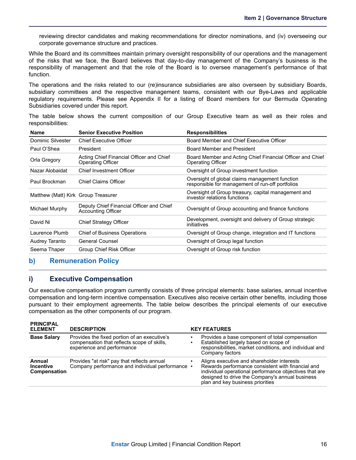<span id="page-18-0"></span>reviewing director candidates and making recommendations for director nominations, and (iv) overseeing our corporate governance structure and practices.

While the Board and its committees maintain primary oversight responsibility of our operations and the management of the risks that we face, the Board believes that day-to-day management of the Company's business is the responsibility of management and that the role of the Board is to oversee management's performance of that function.

The operations and the risks related to our (re)insurance subsidiaries are also overseen by subsidiary Boards, subsidiary committees and the respective management teams, consistent with our Bye-Laws and applicable regulatory requirements. Please see Appendix II for a listing of Board members for our Bermuda Operating Subsidiaries covered under this report.

The table below shows the current composition of our Group Executive team as well as their roles and responsibilities:

| <b>Name</b>                         | <b>Senior Executive Position</b>                                      | <b>Responsibilities</b>                                                                            |
|-------------------------------------|-----------------------------------------------------------------------|----------------------------------------------------------------------------------------------------|
| Dominic Silvester                   | <b>Chief Executive Officer</b>                                        | Board Member and Chief Executive Officer                                                           |
| Paul O'Shea                         | President                                                             | Board Member and President                                                                         |
| Orla Gregory                        | Acting Chief Financial Officer and Chief<br>Operating Officer         | Board Member and Acting Chief Financial Officer and Chief<br>Operating Officer                     |
| Nazar Alobaidat                     | <b>Chief Investment Officer</b>                                       | Oversight of Group investment function                                                             |
| Paul Brockman                       | <b>Chief Claims Officer</b>                                           | Oversight of global claims management function<br>responsible for management of run-off portfolios |
| Matthew (Matt) Kirk Group Treasurer |                                                                       | Oversight of Group treasury, capital management and<br>investor relations functions                |
| Michael Murphy                      | Deputy Chief Financial Officer and Chief<br><b>Accounting Officer</b> | Oversight of Group accounting and finance functions                                                |
| David Ni                            | <b>Chief Strategy Officer</b>                                         | Development, oversight and delivery of Group strategic<br>initiatives                              |
| Laurence Plumb                      | <b>Chief of Business Operations</b>                                   | Oversight of Group change, integration and IT functions                                            |
| Audrey Taranto                      | <b>General Counsel</b>                                                | Oversight of Group legal function                                                                  |
| Seema Thaper                        | Group Chief Risk Officer                                              | Oversight of Group risk function                                                                   |

### **b) Remuneration Policy**

### **i) Executive Compensation**

Our executive compensation program currently consists of three principal elements: base salaries, annual incentive compensation and long-term incentive compensation. Executives also receive certain other benefits, including those pursuant to their employment agreements. The table below describes the principal elements of our executive compensation as the other components of our program.

| <b>PRINCIPAL</b><br><b>ELEMENT</b>                | <b>DESCRIPTION</b>                                                                                                        | <b>KEY FEATURES</b>                                                                                                                                                                                                                              |  |
|---------------------------------------------------|---------------------------------------------------------------------------------------------------------------------------|--------------------------------------------------------------------------------------------------------------------------------------------------------------------------------------------------------------------------------------------------|--|
| <b>Base Salary</b>                                | Provides the fixed portion of an executive's<br>compensation that reflects scope of skills.<br>experience and performance | Provides a base component of total compensation<br>Established largely based on scope of<br>responsibilities, market conditions, and individual and<br>Company factors                                                                           |  |
| Annual<br><b>Incentive</b><br><b>Compensation</b> | Provides "at risk" pay that reflects annual<br>Company performance and individual performance •                           | Aligns executive and shareholder interests<br>Rewards performance consistent with financial and<br>individual operational performance objectives that are<br>designed to drive the Company's annual business<br>plan and key business priorities |  |
|                                                   |                                                                                                                           |                                                                                                                                                                                                                                                  |  |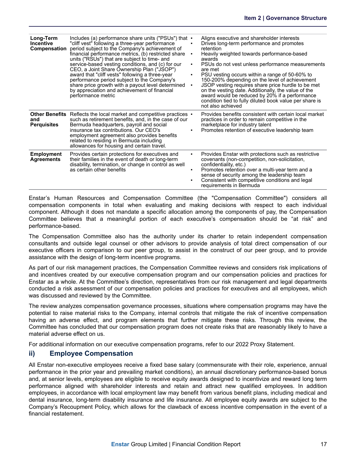| Long-Term<br><b>Incentive</b><br>Compensation | Includes (a) performance share units ("PSUs") that •<br>"cliff vest" following a three-year performance<br>period subject to the Company's achievement of<br>financial performance metrics, (b) restricted share<br>units ("RSUs") that are subject to time- and<br>service-based vesting conditions, and (c) for our<br>CEO, a Joint Share Ownership Plan ("JSOP")<br>award that "cliff vests" following a three-year<br>performance period subject to the Company's<br>share price growth with a payout level determined<br>by appreciation and achievement of financial<br>performance metric | ٠      | Aligns executive and shareholder interests<br>Drives long-term performance and promotes<br>retention<br>Heavily weighted towards performance-based<br>awards<br>PSUs do not vest unless performance measurements<br>are met<br>PSU vesting occurs within a range of 50-60% to<br>150-200% depending on the level of achievement<br>JSOP vesting requires share price hurdle to be met<br>on the vesting date. Additionally, the value of the<br>award would be reduced by 20% if a performance<br>condition tied to fully diluted book value per share is<br>not also achieved |
|-----------------------------------------------|--------------------------------------------------------------------------------------------------------------------------------------------------------------------------------------------------------------------------------------------------------------------------------------------------------------------------------------------------------------------------------------------------------------------------------------------------------------------------------------------------------------------------------------------------------------------------------------------------|--------|--------------------------------------------------------------------------------------------------------------------------------------------------------------------------------------------------------------------------------------------------------------------------------------------------------------------------------------------------------------------------------------------------------------------------------------------------------------------------------------------------------------------------------------------------------------------------------|
| and<br><b>Perquisites</b>                     | Other Benefits Reflects the local market and competitive practices •<br>such as retirement benefits, and, in the case of our<br>Bermuda headquarters, payroll and social<br>insurance tax contributions. Our CEO's<br>employment agreement also provides benefits<br>related to residing in Bermuda including<br>allowances for housing and certain travel.                                                                                                                                                                                                                                      |        | Provides benefits consistent with certain local market<br>practices in order to remain competitive in the<br>marketplace for industry talent<br>Promotes retention of executive leadership team                                                                                                                                                                                                                                                                                                                                                                                |
| <b>Employment</b><br><b>Agreements</b>        | Provides certain protections for executives and<br>their families in the event of death or long-term<br>disability, termination, or change in control as well<br>as certain other benefits                                                                                                                                                                                                                                                                                                                                                                                                       | ٠<br>٠ | Provides Enstar with protections such as restrictive<br>covenants (non-competition, non-solicitation,<br>confidentiality, etc.)<br>Promotes retention over a multi-year term and a<br>sense of security among the leadership team<br>Consistent with competitive conditions and legal<br>requirements in Bermuda                                                                                                                                                                                                                                                               |

Enstar's Human Resources and Compensation Committee (the "Compensation Committee") considers all compensation components in total when evaluating and making decisions with respect to each individual component. Although it does not mandate a specific allocation among the components of pay, the Compensation Committee believes that a meaningful portion of each executive's compensation should be "at risk" and performance-based.

The Compensation Committee also has the authority under its charter to retain independent compensation consultants and outside legal counsel or other advisors to provide analysis of total direct compensation of our executive officers in comparison to our peer group, to assist in the construct of our peer group, and to provide assistance with the design of long-term incentive programs.

As part of our risk management practices, the Compensation Committee reviews and considers risk implications of and incentives created by our executive compensation program and our compensation policies and practices for Enstar as a whole. At the Committee's direction, representatives from our risk management and legal departments conducted a risk assessment of our compensation policies and practices for executives and all employees, which was discussed and reviewed by the Committee.

The review analyzes compensation governance processes, situations where compensation programs may have the potential to raise material risks to the Company, internal controls that mitigate the risk of incentive compensation having an adverse effect, and program elements that further mitigate these risks. Through this review, the Committee has concluded that our compensation program does not create risks that are reasonably likely to have a material adverse effect on us.

For additional information on our executive compensation programs, refer to our 2022 Proxy Statement.

### **ii) Employee Compensation**

All Enstar non-executive employees receive a fixed base salary (commensurate with their role, experience, annual performance in the prior year and prevailing market conditions), an annual discretionary performance-based bonus and, at senior levels, employees are eligible to receive equity awards designed to incentivize and reward long term performance aligned with shareholder interests and retain and attract new qualified employees. In addition employees, in accordance with local employment law may benefit from various benefit plans, including medical and dental insurance, long-term disability insurance and life insurance. All employee equity awards are subject to the Company's Recoupment Policy, which allows for the clawback of excess incentive compensation in the event of a financial restatement.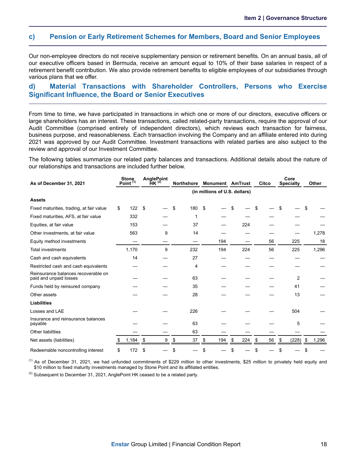#### <span id="page-20-0"></span>**c) Pension or Early Retirement Schemes for Members, Board and Senior Employees**

Our non-employee directors do not receive supplementary pension or retirement benefits. On an annual basis, all of our executive officers based in Bermuda, receive an amount equal to 10% of their base salaries in respect of a retirement benefit contribution. We also provide retirement benefits to eligible employees of our subsidiaries through various plans that we offer.

### **d) Material Transactions with Shareholder Controllers, Persons who Exercise Significant Influence, the Board or Senior Executives**

From time to time, we have participated in transactions in which one or more of our directors, executive officers or large shareholders has an interest. These transactions, called related-party transactions, require the approval of our Audit Committee (comprised entirely of independent directors), which reviews each transaction for fairness, business purpose, and reasonableness. Each transaction involving the Company and an affiliate entered into during 2021 was approved by our Audit Committee. Investment transactions with related parties are also subject to the review and approval of our Investment Committee.

The following tables summarize our related party balances and transactions. Additional details about the nature of our relationships and transactions are included further below.

| As of December 31, 2021                                       | <b>Stone</b><br>Point $(1)$ |     | <b>AnglePoint</b><br>$HK^{(2)}$ |    | <b>Northshore</b> | <b>Monument AmTrust</b>       |    |     | Citco    | Core<br><b>Specialty</b> |      | Other |
|---------------------------------------------------------------|-----------------------------|-----|---------------------------------|----|-------------------|-------------------------------|----|-----|----------|--------------------------|------|-------|
|                                                               |                             |     |                                 |    |                   | (in millions of U.S. dollars) |    |     |          |                          |      |       |
| <b>Assets</b>                                                 |                             |     |                                 |    |                   |                               |    |     |          |                          |      |       |
| Fixed maturities, trading, at fair value                      | \$<br>122                   | -\$ |                                 | \$ | 180               | \$                            | S. |     |          |                          | S    |       |
| Fixed maturities, AFS, at fair value                          | 332                         |     |                                 |    |                   |                               |    |     |          |                          |      |       |
| Equities, at fair value                                       | 153                         |     |                                 |    | 37                |                               |    | 224 |          |                          |      |       |
| Other investments, at fair value                              | 563                         |     | 9                               |    | 14                |                               |    |     |          |                          |      | 1,278 |
| Equity method investments                                     |                             |     |                                 |    |                   | 194                           |    |     | 56       | 225                      |      | 18    |
| <b>Total investments</b>                                      | 1,170                       |     | 9                               |    | 232               | 194                           |    | 224 | 56       | 225                      |      | 1,296 |
| Cash and cash equivalents                                     | 14                          |     |                                 |    | 27                |                               |    |     |          |                          |      |       |
| Restricted cash and cash equivalents                          |                             |     |                                 |    | 4                 |                               |    |     |          |                          |      |       |
| Reinsurance balances recoverable on<br>paid and unpaid losses |                             |     |                                 |    | 63                |                               |    |     |          | 2                        |      |       |
| Funds held by reinsured company                               |                             |     |                                 |    | 35                |                               |    |     |          | 41                       |      |       |
| Other assets                                                  |                             |     |                                 |    | 28                |                               |    |     |          | 13                       |      |       |
| <b>Liabilities</b>                                            |                             |     |                                 |    |                   |                               |    |     |          |                          |      |       |
| Losses and LAE                                                |                             |     |                                 |    | 226               |                               |    |     |          | 504                      |      |       |
| Insurance and reinsurance balances<br>payable                 |                             |     |                                 |    | 63                |                               |    |     |          | 5                        |      |       |
| <b>Other liabilities</b>                                      |                             |     |                                 |    | 63                |                               |    |     |          |                          |      |       |
| Net assets (liabilities)                                      | 1,184                       | S   | 9                               | \$ | 37                | \$<br>194                     | S  | 224 | \$<br>56 | \$<br>(228)              | - \$ | 1,296 |
| Redeemable noncontrolling interest                            | \$<br>172                   | S   |                                 | \$ |                   | \$                            |    |     |          |                          | S    |       |

(1) As of December 31, 2021, we had unfunded commitments of \$229 million to other investments, \$25 million to privately held equity and \$10 million to fixed maturity investments managed by Stone Point and its affiliated entities.

 $(2)$  Subsequent to December 31, 2021, AnglePoint HK ceased to be a related party.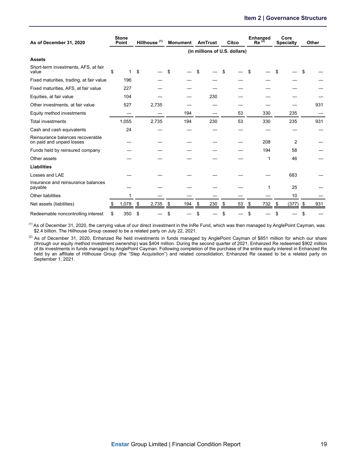| As of December 31, 2020                                       |    | <b>Stone</b><br>Point | Hillhouse <sup>(1)</sup> | AmTrust<br><b>Monument</b> |     |    |     |    | Citco                         | <b>Enhanzed</b><br>$Re^{(2)}$ | Core<br><b>Specialty</b> | Other |     |
|---------------------------------------------------------------|----|-----------------------|--------------------------|----------------------------|-----|----|-----|----|-------------------------------|-------------------------------|--------------------------|-------|-----|
|                                                               |    |                       |                          |                            |     |    |     |    | (in millions of U.S. dollars) |                               |                          |       |     |
| <b>Assets</b>                                                 |    |                       |                          |                            |     |    |     |    |                               |                               |                          |       |     |
| Short-term investments, AFS, at fair<br>value                 | \$ |                       | \$                       |                            |     | \$ |     |    |                               | \$                            |                          |       |     |
| Fixed maturities, trading, at fair value                      |    | 196                   |                          |                            |     |    |     |    |                               |                               |                          |       |     |
| Fixed maturities, AFS, at fair value                          |    | 227                   |                          |                            |     |    |     |    |                               |                               |                          |       |     |
| Equities, at fair value                                       |    | 104                   |                          |                            |     |    | 230 |    |                               |                               |                          |       |     |
| Other investments, at fair value                              |    | 527                   | 2,735                    |                            |     |    |     |    |                               |                               |                          |       | 931 |
| Equity method investments                                     |    |                       |                          |                            | 194 |    |     |    | 53                            | 330                           | 235                      |       |     |
| <b>Total investments</b>                                      |    | 1,055                 | 2,735                    |                            | 194 |    | 230 |    | 53                            | 330                           | 235                      |       | 931 |
| Cash and cash equivalents                                     |    | 24                    |                          |                            |     |    |     |    |                               |                               |                          |       |     |
| Reinsurance balances recoverable<br>on paid and unpaid losses |    |                       |                          |                            |     |    |     |    |                               | 208                           | 2                        |       |     |
| Funds held by reinsured company                               |    |                       |                          |                            |     |    |     |    |                               | 194                           | 58                       |       |     |
| Other assets                                                  |    |                       |                          |                            |     |    |     |    |                               | 1                             | 46                       |       |     |
| <b>Liabilities</b>                                            |    |                       |                          |                            |     |    |     |    |                               |                               |                          |       |     |
| Losses and LAE                                                |    |                       |                          |                            |     |    |     |    |                               |                               | 683                      |       |     |
| Insurance and reinsurance balances<br>payable                 |    |                       |                          |                            |     |    |     |    |                               | 1                             | 25                       |       |     |
| Other liabilities                                             |    |                       |                          |                            |     |    |     |    |                               |                               | 10                       |       |     |
| Net assets (liabilities)                                      | Ъ  | 1,078                 | \$<br>2,735              | \$                         | 194 | \$ | 230 | \$ | 53                            | \$<br>732                     | \$<br>(377)              | \$    | 931 |
| Redeemable noncontrolling interest                            | \$ | 350                   | \$                       | S                          |     | \$ |     |    |                               | \$                            | \$                       |       |     |

<sup>(1)</sup> As of December 31, 2020, the carrying value of our direct investment in the InRe Fund, which was then managed by AnglePoint Cayman, was \$2.4 billion. The Hillhouse Group ceased to be a related party on July 22, 2021.

(2) As of December 31, 2020, Enhanzed Re held investments in funds managed by AnglePoint Cayman of \$851 million for which our share (through our equity method investment ownership) was \$404 million. During the second quarter of 2021, Enhanzed Re redeemed \$902 million of its investments in funds managed by AnglePoint Cayman. Following completion of the purchase of the entire equity interest in Enhanzed Re held by an affiliate of Hillhouse Group (the "Step Acquisition") and related consolidation, Enhanzed Re ceased to be a related party on September 1, 2021.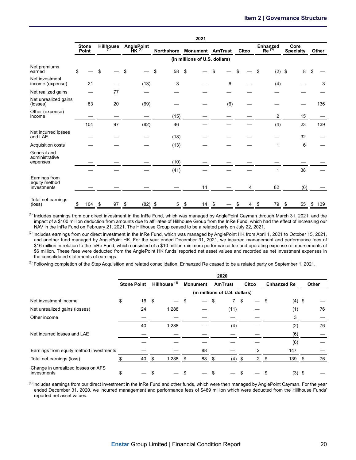|                                               |                       |                         |    |                          |    |                   |    | 2021                          |      |     |       |                               |                          |     |       |     |
|-----------------------------------------------|-----------------------|-------------------------|----|--------------------------|----|-------------------|----|-------------------------------|------|-----|-------|-------------------------------|--------------------------|-----|-------|-----|
|                                               | <b>Stone</b><br>Point | <b>Hillhouse</b><br>(1) |    | AnglePoint<br>$HK^{(2)}$ |    | <b>Northshore</b> |    | <b>Monument AmTrust</b>       |      |     | Citco | <b>Enhanzed</b><br>$Re^{(3)}$ | Core<br><b>Specialty</b> |     | Other |     |
|                                               |                       |                         |    |                          |    |                   |    | (in millions of U.S. dollars) |      |     |       |                               |                          |     |       |     |
| Net premiums<br>earned                        | \$                    | \$                      | \$ |                          | \$ | 58                | \$ |                               | \$   |     | \$    | \$<br>(2)                     | \$                       | 8   | \$    |     |
| Net investment<br>income (expense)            | 21                    |                         |    | (13)                     |    | 3                 |    |                               |      | 6   |       | (4)                           |                          |     |       | 3   |
| Net realized gains                            |                       | 77                      |    |                          |    |                   |    |                               |      |     |       |                               |                          |     |       |     |
| Net unrealized gains<br>(losses)              | 83                    | 20                      |    | (69)                     |    |                   |    |                               |      | (6) |       |                               |                          |     |       | 136 |
| Other (expense)<br>income                     |                       |                         |    |                          |    | (15)              |    |                               |      |     |       | 2                             |                          | 15  |       |     |
|                                               | 104                   | 97                      |    | (82)                     |    | 46                |    |                               |      |     |       | (4)                           |                          | 23  |       | 139 |
| Net incurred losses<br>and LAE                |                       |                         |    |                          |    | (18)              |    |                               |      |     |       |                               |                          | 32  |       |     |
| Acquisition costs                             |                       |                         |    |                          |    | (13)              |    |                               |      |     |       | 1                             |                          | 6   |       |     |
| General and<br>administrative<br>expenses     |                       |                         |    |                          |    | (10)              |    |                               |      |     |       |                               |                          |     |       |     |
|                                               |                       |                         |    |                          |    | (41)              |    |                               |      |     |       | 1                             |                          | 38  |       |     |
| Earnings from<br>equity method<br>investments |                       |                         |    |                          |    |                   |    | 14                            |      |     | 4     | 82                            |                          | (6) |       |     |
| Total net earnings<br>(loss)                  | \$<br>104             | \$<br>97                | \$ | $(82)$ \$                |    | 5                 | \$ | 14                            | - \$ |     | 4     | \$<br>79                      | - \$                     | 55  | \$    | 139 |

<sup>(1)</sup> Includes earnings from our direct investment in the InRe Fund, which was managed by AnglePoint Cayman through March 31, 2021, and the impact of a \$100 million deduction from amounts due to affiliates of Hillhouse Group from the InRe Fund, which had the effect of increasing our NAV in the InRe Fund on February 21, 2021. The Hillhouse Group ceased to be a related party on July 22, 2021.

 $^{(2)}$  Includes earnings from our direct investment in the InRe Fund, which was managed by AnglePoint HK from April 1, 2021 to October 15, 2021, and another fund managed by AnglePoint HK. For the year ended December 31, 2021, we incurred management and performance fees of \$16 million in relation to the InRe Fund, which consisted of a \$10 million minimum performance fee and operating expense reimbursements of \$6 million. These fees were deducted from the AnglePoint HK funds' reported net asset values and recorded as net investment expenses in the consolidated statements of earnings.

<sup>(3)</sup> Following completion of the Step Acquisition and related consolidation, Enhanzed Re ceased to be a related party on September 1, 2021.

|                                                   | 2020               |    |                          |  |                 |      |                               |    |               |   |                    |  |       |
|---------------------------------------------------|--------------------|----|--------------------------|--|-----------------|------|-------------------------------|----|---------------|---|--------------------|--|-------|
|                                                   | <b>Stone Point</b> |    | Hillhouse <sup>(1)</sup> |  | <b>Monument</b> |      | <b>AmTrust</b>                |    | Citco         |   | <b>Enhanzed Re</b> |  | Other |
|                                                   |                    |    |                          |  |                 |      | (in millions of U.S. dollars) |    |               |   |                    |  |       |
| Net investment income                             | \$                 | 16 | \$                       |  | S               | S    | $7^{\circ}$                   | \$ |               | S | $(4)$ \$           |  |       |
| Net unrealized gains (losses)                     |                    | 24 | 1,288                    |  |                 |      | (11)                          |    |               |   | (1)                |  | 76    |
| Other income                                      |                    |    |                          |  |                 |      |                               |    |               |   | 3                  |  |       |
|                                                   |                    | 40 | 1,288                    |  |                 |      | (4)                           |    |               |   | (2)                |  | 76    |
| Net incurred losses and LAE                       |                    |    |                          |  |                 |      |                               |    |               |   | (6)                |  |       |
|                                                   |                    |    |                          |  |                 |      |                               |    |               |   | (6)                |  |       |
| Earnings from equity method investments           |                    |    |                          |  | 88              |      |                               |    | 2             |   | 147                |  |       |
| Total net earnings (loss)                         |                    | 40 | 1,288<br>\$.             |  | 88<br>-S        | - \$ | (4)                           |    | $\mathcal{P}$ |   | 139                |  | 76    |
| Change in unrealized losses on AFS<br>investments | \$                 |    |                          |  |                 |      |                               |    |               |   | $(3)$ \$           |  |       |

<sup>(1)</sup> Includes earnings from our direct investment in the InRe Fund and other funds, which were then managed by AnglePoint Cayman. For the year ended December 31, 2020, we incurred management and performance fees of \$489 million which were deducted from the Hillhouse Funds' reported net asset values.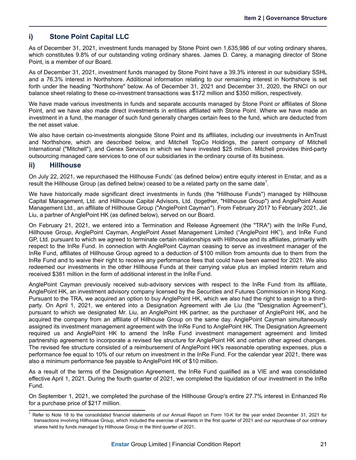### **i) Stone Point Capital LLC**

As of December 31, 2021, investment funds managed by Stone Point own 1,635,986 of our voting ordinary shares, which constitutes 9.8% of our outstanding voting ordinary shares. James D. Carey, a managing director of Stone Point, is a member of our Board.

As of December 31, 2021, investment funds managed by Stone Point have a 39.3% interest in our subsidiary SSHL and a 76.3% interest in Northshore. Additional information relating to our remaining interest in Northshore is set forth under the heading "Northshore" below. As of December 31, 2021 and December 31, 2020, the RNCI on our balance sheet relating to these co-investment transactions was \$172 million and \$350 million, respectively.

We have made various investments in funds and separate accounts managed by Stone Point or affiliates of Stone Point, and we have also made direct investments in entities affiliated with Stone Point. Where we have made an investment in a fund, the manager of such fund generally charges certain fees to the fund, which are deducted from the net asset value.

We also have certain co-investments alongside Stone Point and its affiliates, including our investments in AmTrust and Northshore, which are described below, and Mitchell TopCo Holdings, the parent company of Mitchell International ("Mitchell"), and Genex Services in which we have invested \$25 million. Mitchell provides third-party outsourcing managed care services to one of our subsidiaries in the ordinary course of its business.

### **ii) Hillhouse**

On July 22, 2021, we repurchased the Hillhouse Funds' (as defined below) entire equity interest in Enstar, and as a result the Hillhouse Group (as defined below) ceased to be a related party on the same date<sup>1</sup>.

We have historically made significant direct investments in funds (the "Hillhouse Funds") managed by Hillhouse Capital Management, Ltd. and Hillhouse Capital Advisors, Ltd. (together, "Hillhouse Group") and AnglePoint Asset Management Ltd., an affiliate of Hillhouse Group ("AnglePoint Cayman"). From February 2017 to February 2021, Jie Liu, a partner of AnglePoint HK (as defined below), served on our Board.

On February 21, 2021, we entered into a Termination and Release Agreement (the "TRA") with the InRe Fund, Hillhouse Group, AnglePoint Cayman, AnglePoint Asset Management Limited ("AnglePoint HK"), and InRe Fund GP, Ltd. pursuant to which we agreed to terminate certain relationships with Hillhouse and its affiliates, primarily with respect to the InRe Fund. In connection with AnglePoint Cayman ceasing to serve as investment manager of the InRe Fund, affiliates of Hillhouse Group agreed to a deduction of \$100 million from amounts due to them from the InRe Fund and to waive their right to receive any performance fees that could have been earned for 2021. We also redeemed our investments in the other Hillhouse Funds at their carrying value plus an implied interim return and received \$381 million in the form of additional interest in the InRe Fund.

AnglePoint Cayman previously received sub-advisory services with respect to the InRe Fund from its affiliate, AnglePoint HK, an investment advisory company licensed by the Securities and Futures Commission in Hong Kong. Pursuant to the TRA, we acquired an option to buy AnglePoint HK, which we also had the right to assign to a thirdparty. On April 1, 2021, we entered into a Designation Agreement with Jie Liu (the "Designation Agreement"), pursuant to which we designated Mr. Liu, an AnglePoint HK partner, as the purchaser of AnglePoint HK, and he acquired the company from an affiliate of Hillhouse Group on the same day. AnglePoint Cayman simultaneously assigned its investment management agreement with the InRe Fund to AnglePoint HK. The Designation Agreement required us and AnglePoint HK to amend the InRe Fund investment management agreement and limited partnership agreement to incorporate a revised fee structure for AnglePoint HK and certain other agreed changes. The revised fee structure consisted of a reimbursement of AnglePoint HK's reasonable operating expenses, plus a performance fee equal to 10% of our return on investment in the InRe Fund. For the calendar year 2021, there was also a minimum performance fee payable to AnglePoint HK of \$10 million.

As a result of the terms of the Designation Agreement, the InRe Fund qualified as a VIE and was consolidated effective April 1, 2021. During the fourth quarter of 2021, we completed the liquidation of our investment in the InRe Fund.

On September 1, 2021, we completed the purchase of the Hillhouse Group's entire 27.7% interest in Enhanzed Re for a purchase price of \$217 million.

<sup>1</sup> Refer to Note 18 to the consolidated financial statements of our Annual Report on Form 10-K for the year ended December 31, 2021 for transactions involving Hillhouse Group, which included the exercise of warrants in the first quarter of 2021 and our repurchase of our ordinary shares held by funds managed by Hillhouse Group in the third quarter of 2021.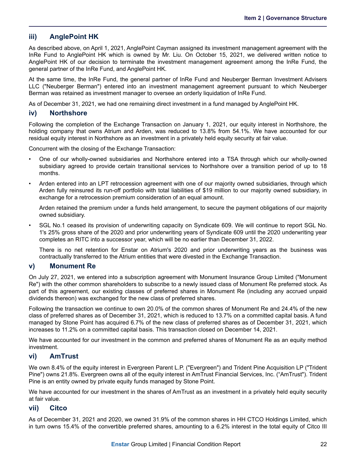### **iii) AnglePoint HK**

As described above, on April 1, 2021, AnglePoint Cayman assigned its investment management agreement with the InRe Fund to AnglePoint HK which is owned by Mr. Liu. On October 15, 2021, we delivered written notice to AnglePoint HK of our decision to terminate the investment management agreement among the InRe Fund, the general partner of the InRe Fund, and AnglePoint HK.

At the same time, the InRe Fund, the general partner of InRe Fund and Neuberger Berman Investment Advisers LLC ("Neuberger Berman") entered into an investment management agreement pursuant to which Neuberger Berman was retained as investment manager to oversee an orderly liquidation of InRe Fund.

As of December 31, 2021, we had one remaining direct investment in a fund managed by AnglePoint HK.

### **iv) Northshore**

Following the completion of the Exchange Transaction on January 1, 2021, our equity interest in Northshore, the holding company that owns Atrium and Arden, was reduced to 13.8% from 54.1%. We have accounted for our residual equity interest in Northshore as an investment in a privately held equity security at fair value.

Concurrent with the closing of the Exchange Transaction:

- One of our wholly-owned subsidiaries and Northshore entered into a TSA through which our wholly-owned subsidiary agreed to provide certain transitional services to Northshore over a transition period of up to 18 months.
- Arden entered into an LPT retrocession agreement with one of our majority owned subsidiaries, through which Arden fully reinsured its run-off portfolio with total liabilities of \$19 million to our majority owned subsidiary, in exchange for a retrocession premium consideration of an equal amount.

Arden retained the premium under a funds held arrangement, to secure the payment obligations of our majority owned subsidiary.

• SGL No.1 ceased its provision of underwriting capacity on Syndicate 609. We will continue to report SGL No. 1's 25% gross share of the 2020 and prior underwriting years of Syndicate 609 until the 2020 underwriting year completes an RITC into a successor year, which will be no earlier than December 31, 2022.

There is no net retention for Enstar on Atrium's 2020 and prior underwriting years as the business was contractually transferred to the Atrium entities that were divested in the Exchange Transaction.

### **v) Monument Re**

On July 27, 2021, we entered into a subscription agreement with Monument Insurance Group Limited ("Monument Re") with the other common shareholders to subscribe to a newly issued class of Monument Re preferred stock. As part of this agreement, our existing classes of preferred shares in Monument Re (including any accrued unpaid dividends thereon) was exchanged for the new class of preferred shares.

Following the transaction we continue to own 20.0% of the common shares of Monument Re and 24.4% of the new class of preferred shares as of December 31, 2021, which is reduced to 13.7% on a committed capital basis. A fund managed by Stone Point has acquired 6.7% of the new class of preferred shares as of December 31, 2021, which increases to 11.2% on a committed capital basis. This transaction closed on December 14, 2021.

We have accounted for our investment in the common and preferred shares of Monument Re as an equity method investment.

### **vi) AmTrust**

We own 8.4% of the equity interest in Evergreen Parent L.P. ("Evergreen") and Trident Pine Acquisition LP ("Trident Pine") owns 21.8%. Evergreen owns all of the equity interest in AmTrust Financial Services, Inc. ("AmTrust"). Trident Pine is an entity owned by private equity funds managed by Stone Point.

We have accounted for our investment in the shares of AmTrust as an investment in a privately held equity security at fair value.

### **vii) Citco**

As of December 31, 2021 and 2020, we owned 31.9% of the common shares in HH CTCO Holdings Limited, which in turn owns 15.4% of the convertible preferred shares, amounting to a 6.2% interest in the total equity of Citco III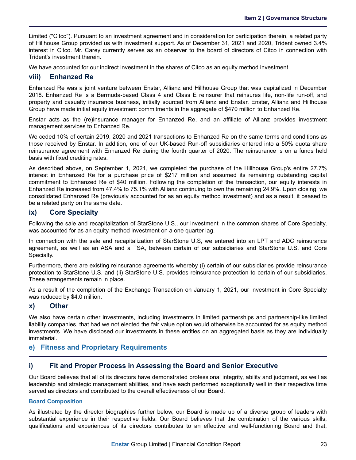<span id="page-25-0"></span>Limited ("Citco"). Pursuant to an investment agreement and in consideration for participation therein, a related party of Hillhouse Group provided us with investment support. As of December 31, 2021 and 2020, Trident owned 3.4% interest in Citco. Mr. Carey currently serves as an observer to the board of directors of Citco in connection with Trident's investment therein.

We have accounted for our indirect investment in the shares of Citco as an equity method investment.

### **viii) Enhanzed Re**

Enhanzed Re was a joint venture between Enstar, Allianz and Hillhouse Group that was capitalized in December 2018. Enhanzed Re is a Bermuda-based Class 4 and Class E reinsurer that reinsures life, non-life run-off, and property and casualty insurance business, initially sourced from Allianz and Enstar. Enstar, Allianz and Hillhouse Group have made initial equity investment commitments in the aggregate of \$470 million to Enhanzed Re.

Enstar acts as the (re)insurance manager for Enhanzed Re, and an affiliate of Allianz provides investment management services to Enhanzed Re.

We ceded 10% of certain 2019, 2020 and 2021 transactions to Enhanzed Re on the same terms and conditions as those received by Enstar. In addition, one of our UK-based Run-off subsidiaries entered into a 50% quota share reinsurance agreement with Enhanzed Re during the fourth quarter of 2020. The reinsurance is on a funds held basis with fixed crediting rates.

As described above, on September 1, 2021, we completed the purchase of the Hillhouse Group's entire 27.7% interest in Enhanzed Re for a purchase price of \$217 million and assumed its remaining outstanding capital commitment to Enhanzed Re of \$40 million. Following the completion of the transaction, our equity interests in Enhanzed Re increased from 47.4% to 75.1% with Allianz continuing to own the remaining 24.9%. Upon closing, we consolidated Enhanzed Re (previously accounted for as an equity method investment) and as a result, it ceased to be a related party on the same date.

### **ix) Core Specialty**

Following the sale and recapitalization of StarStone U.S., our investment in the common shares of Core Specialty, was accounted for as an equity method investment on a one quarter lag.

In connection with the sale and recapitalization of StarStone U.S, we entered into an LPT and ADC reinsurance agreement, as well as an ASA and a TSA, between certain of our subsidiaries and StarStone U.S. and Core Specialty.

Furthermore, there are existing reinsurance agreements whereby (i) certain of our subsidiaries provide reinsurance protection to StarStone U.S. and (ii) StarStone U.S. provides reinsurance protection to certain of our subsidiaries. These arrangements remain in place.

As a result of the completion of the Exchange Transaction on January 1, 2021, our investment in Core Specialty was reduced by \$4.0 million.

### **x) Other**

We also have certain other investments, including investments in limited partnerships and partnership-like limited liability companies, that had we not elected the fair value option would otherwise be accounted for as equity method investments. We have disclosed our investments in these entities on an aggregated basis as they are individually immaterial.

### **e) Fitness and Proprietary Requirements**

### **i) Fit and Proper Process in Assessing the Board and Senior Executive**

Our Board believes that all of its directors have demonstrated professional integrity, ability and judgment, as well as leadership and strategic management abilities, and have each performed exceptionally well in their respective time served as directors and contributed to the overall effectiveness of our Board.

#### **Board Composition**

As illustrated by the director biographies further below, our Board is made up of a diverse group of leaders with substantial experience in their respective fields. Our Board believes that the combination of the various skills, qualifications and experiences of its directors contributes to an effective and well-functioning Board and that,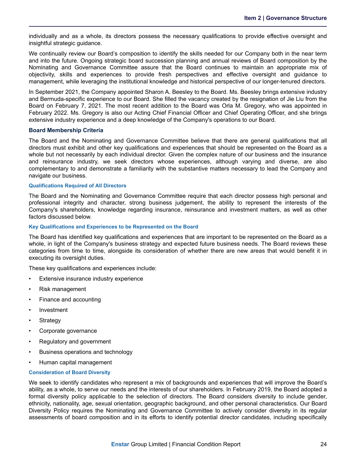individually and as a whole, its directors possess the necessary qualifications to provide effective oversight and insightful strategic guidance.

We continually review our Board's composition to identify the skills needed for our Company both in the near term and into the future. Ongoing strategic board succession planning and annual reviews of Board composition by the Nominating and Governance Committee assure that the Board continues to maintain an appropriate mix of objectivity, skills and experiences to provide fresh perspectives and effective oversight and guidance to management, while leveraging the institutional knowledge and historical perspective of our longer-tenured directors.

In September 2021, the Company appointed Sharon A. Beesley to the Board. Ms. Beesley brings extensive industry and Bermuda-specific experience to our Board. She filled the vacancy created by the resignation of Jie Liu from the Board on February 7, 2021. The most recent addition to the Board was Orla M. Gregory, who was appointed in February 2022. Ms. Gregory is also our Acting Chief Financial Officer and Chief Operating Officer, and she brings extensive industry experience and a deep knowledge of the Company's operations to our Board.

#### **Board Membership Criteria**

The Board and the Nominating and Governance Committee believe that there are general qualifications that all directors must exhibit and other key qualifications and experiences that should be represented on the Board as a whole but not necessarily by each individual director. Given the complex nature of our business and the insurance and reinsurance industry, we seek directors whose experiences, although varying and diverse, are also complementary to and demonstrate a familiarity with the substantive matters necessary to lead the Company and navigate our business.

#### **Qualifications Required of All Directors**

The Board and the Nominating and Governance Committee require that each director possess high personal and professional integrity and character, strong business judgement, the ability to represent the interests of the Company's shareholders, knowledge regarding insurance, reinsurance and investment matters, as well as other factors discussed below.

#### **Key Qualifications and Experiences to be Represented on the Board**

The Board has identified key qualifications and experiences that are important to be represented on the Board as a whole, in light of the Company's business strategy and expected future business needs. The Board reviews these categories from time to time, alongside its consideration of whether there are new areas that would benefit it in executing its oversight duties.

These key qualifications and experiences include:

- Extensive insurance industry experience
- Risk management
- Finance and accounting
- **Investment**
- **Strategy**
- Corporate governance
- Regulatory and government
- Business operations and technology
- Human capital management

#### **Consideration of Board Diversity**

We seek to identify candidates who represent a mix of backgrounds and experiences that will improve the Board's ability, as a whole, to serve our needs and the interests of our shareholders. In February 2019, the Board adopted a formal diversity policy applicable to the selection of directors. The Board considers diversity to include gender, ethnicity, nationality, age, sexual orientation, geographic background, and other personal characteristics. Our Board Diversity Policy requires the Nominating and Governance Committee to actively consider diversity in its regular assessments of board composition and in its efforts to identify potential director candidates, including specifically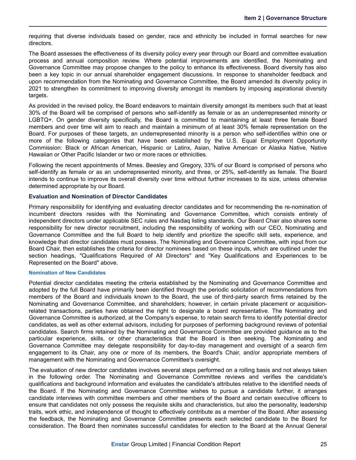requiring that diverse individuals based on gender, race and ethnicity be included in formal searches for new directors.

The Board assesses the effectiveness of its diversity policy every year through our Board and committee evaluation process and annual composition review. Where potential improvements are identified, the Nominating and Governance Committee may propose changes to the policy to enhance its effectiveness. Board diversity has also been a key topic in our annual shareholder engagement discussions. In response to shareholder feedback and upon recommendation from the Nominating and Governance Committee, the Board amended its diversity policy in 2021 to strengthen its commitment to improving diversity amongst its members by imposing aspirational diversity targets.

As provided in the revised policy, the Board endeavors to maintain diversity amongst its members such that at least 30% of the Board will be comprised of persons who self-identify as female or as an underrepresented minority or LGBTQ+. On gender diversity specifically, the Board is committed to maintaining at least three female Board members and over time will aim to reach and maintain a minimum of at least 30% female representation on the Board. For purposes of these targets, an underrepresented minority is a person who self-identifies within one or more of the following categories that have been established by the U.S. Equal Employment Opportunity Commission: Black or African American, Hispanic or Latinx, Asian, Native American or Alaska Native, Native Hawaiian or Other Pacific Islander or two or more races or ethnicities.

Following the recent appointments of Mmes. Beesley and Gregory, 33% of our Board is comprised of persons who self-identify as female or as an underrepresented minority, and three, or 25%, self-identify as female. The Board intends to continue to improve its overall diversity over time without further increases to its size, unless otherwise determined appropriate by our Board.

#### **Evaluation and Nomination of Director Candidates**

Primary responsibility for identifying and evaluating director candidates and for recommending the re-nomination of incumbent directors resides with the Nominating and Governance Committee, which consists entirely of independent directors under applicable SEC rules and Nasdaq listing standards. Our Board Chair also shares some responsibility for new director recruitment, including the responsibility of working with our CEO, Nominating and Governance Committee and the full Board to help identify and prioritize the specific skill sets, experience, and knowledge that director candidates must possess. The Nominating and Governance Committee, with input from our Board Chair, then establishes the criteria for director nominees based on these inputs, which are outlined under the section headings, "Qualifications Required of All Directors" and "Key Qualifications and Experiences to be Represented on the Board" above.

#### **Nomination of New Candidates**

Potential director candidates meeting the criteria established by the Nominating and Governance Committee and adopted by the full Board have primarily been identified through the periodic solicitation of recommendations from members of the Board and individuals known to the Board, the use of third-party search firms retained by the Nominating and Governance Committee, and shareholders; however, in certain private placement or acquisitionrelated transactions, parties have obtained the right to designate a board representative. The Nominating and Governance Committee is authorized, at the Company's expense, to retain search firms to identify potential director candidates, as well as other external advisors, including for purposes of performing background reviews of potential candidates. Search firms retained by the Nominating and Governance Committee are provided guidance as to the particular experience, skills, or other characteristics that the Board is then seeking. The Nominating and Governance Committee may delegate responsibility for day-to-day management and oversight of a search firm engagement to its Chair, any one or more of its members, the Board's Chair, and/or appropriate members of management with the Nominating and Governance Committee's oversight.

The evaluation of new director candidates involves several steps performed on a rolling basis and not always taken in the following order. The Nominating and Governance Committee reviews and verifies the candidate's qualifications and background information and evaluates the candidate's attributes relative to the identified needs of the Board. If the Nominating and Governance Committee wishes to pursue a candidate further, it arranges candidate interviews with committee members and other members of the Board and certain executive officers to ensure that candidates not only possess the requisite skills and characteristics, but also the personality, leadership traits, work ethic, and independence of thought to effectively contribute as a member of the Board. After assessing the feedback, the Nominating and Governance Committee presents each selected candidate to the Board for consideration. The Board then nominates successful candidates for election to the Board at the Annual General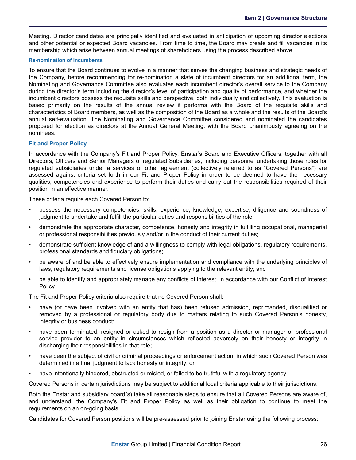Meeting. Director candidates are principally identified and evaluated in anticipation of upcoming director elections and other potential or expected Board vacancies. From time to time, the Board may create and fill vacancies in its membership which arise between annual meetings of shareholders using the process described above.

#### **Re-nomination of Incumbents**

To ensure that the Board continues to evolve in a manner that serves the changing business and strategic needs of the Company, before recommending for re-nomination a slate of incumbent directors for an additional term, the Nominating and Governance Committee also evaluates each incumbent director's overall service to the Company during the director's term including the director's level of participation and quality of performance, and whether the incumbent directors possess the requisite skills and perspective, both individually and collectively. This evaluation is based primarily on the results of the annual review it performs with the Board of the requisite skills and characteristics of Board members, as well as the composition of the Board as a whole and the results of the Board's annual self-evaluation. The Nominating and Governance Committee considered and nominated the candidates proposed for election as directors at the Annual General Meeting, with the Board unanimously agreeing on the nominees.

#### **Fit and Proper Policy**

In accordance with the Company's Fit and Proper Policy, Enstar's Board and Executive Officers, together with all Directors, Officers and Senior Managers of regulated Subsidiaries, including personnel undertaking those roles for regulated subsidiaries under a services or other agreement (collectively referred to as "Covered Persons") are assessed against criteria set forth in our Fit and Proper Policy in order to be deemed to have the necessary qualities, competencies and experience to perform their duties and carry out the responsibilities required of their position in an effective manner.

These criteria require each Covered Person to:

- possess the necessary competencies, skills, experience, knowledge, expertise, diligence and soundness of judgment to undertake and fulfill the particular duties and responsibilities of the role;
- demonstrate the appropriate character, competence, honesty and integrity in fulfilling occupational, managerial or professional responsibilities previously and/or in the conduct of their current duties;
- demonstrate sufficient knowledge of and a willingness to comply with legal obligations, regulatory requirements, professional standards and fiduciary obligations;
- be aware of and be able to effectively ensure implementation and compliance with the underlying principles of laws, regulatory requirements and license obligations applying to the relevant entity; and
- be able to identify and appropriately manage any conflicts of interest, in accordance with our Conflict of Interest Policy.

The Fit and Proper Policy criteria also require that no Covered Person shall:

- have (or have been involved with an entity that has) been refused admission, reprimanded, disqualified or removed by a professional or regulatory body due to matters relating to such Covered Person's honesty, integrity or business conduct;
- have been terminated, resigned or asked to resign from a position as a director or manager or professional service provider to an entity in circumstances which reflected adversely on their honesty or integrity in discharging their responsibilities in that role;
- have been the subject of civil or criminal proceedings or enforcement action, in which such Covered Person was determined in a final judgment to lack honesty or integrity; or
- have intentionally hindered, obstructed or misled, or failed to be truthful with a regulatory agency.

Covered Persons in certain jurisdictions may be subject to additional local criteria applicable to their jurisdictions.

Both the Enstar and subsidiary board(s) take all reasonable steps to ensure that all Covered Persons are aware of, and understand, the Company's Fit and Proper Policy as well as their obligation to continue to meet the requirements on an on-going basis.

Candidates for Covered Person positions will be pre-assessed prior to joining Enstar using the following process: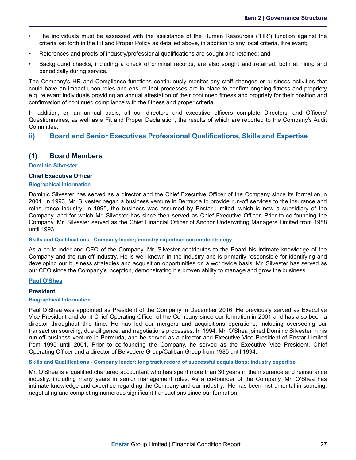- The individuals must be assessed with the assistance of the Human Resources ("HR") function against the criteria set forth in the Fit and Proper Policy as detailed above, in addition to any local criteria, if relevant;
- References and proofs of industry/professional qualifications are sought and retained; and
- Background checks, including a check of criminal records, are also sought and retained, both at hiring and periodically during service.

The Company's HR and Compliance functions continuously monitor any staff changes or business activities that could have an impact upon roles and ensure that processes are in place to confirm ongoing fitness and propriety e.g. relevant individuals providing an annual attestation of their continued fitness and propriety for their position and confirmation of continued compliance with the fitness and proper criteria.

In addition, on an annual basis, all our directors and executive officers complete Directors' and Officers' Questionnaires, as well as a Fit and Proper Declaration, the results of which are reported to the Company's Audit Committee.

### **ii) Board and Senior Executives Professional Qualifications, Skills and Expertise**

### **(1) Board Members**

#### **Dominic Silvester**

#### **Chief Executive Officer**

#### **Biographical Information**

Dominic Silvester has served as a director and the Chief Executive Officer of the Company since its formation in 2001. In 1993, Mr. Silvester began a business venture in Bermuda to provide run-off services to the insurance and reinsurance industry. In 1995, the business was assumed by Enstar Limited, which is now a subsidiary of the Company, and for which Mr. Silvester has since then served as Chief Executive Officer. Prior to co-founding the Company, Mr. Silvester served as the Chief Financial Officer of Anchor Underwriting Managers Limited from 1988 until 1993.

#### **Skills and Qualifications - Company leader; industry expertise; corporate strategy**

As a co-founder and CEO of the Company, Mr. Silvester contributes to the Board his intimate knowledge of the Company and the run-off industry. He is well known in the industry and is primarily responsible for identifying and developing our business strategies and acquisition opportunities on a worldwide basis. Mr. Silvester has served as our CEO since the Company's inception, demonstrating his proven ability to manage and grow the business.

### **Paul O'Shea**

#### **President**

#### **Biographical Information**

Paul O'Shea was appointed as President of the Company in December 2016. He previously served as Executive Vice President and Joint Chief Operating Officer of the Company since our formation in 2001 and has also been a director throughout this time. He has led our mergers and acquisitions operations, including overseeing our transaction sourcing, due diligence, and negotiations processes. In 1994, Mr. O'Shea joined Dominic Silvester in his run-off business venture in Bermuda, and he served as a director and Executive Vice President of Enstar Limited from 1995 until 2001. Prior to co-founding the Company, he served as the Executive Vice President, Chief Operating Officer and a director of Belvedere Group/Caliban Group from 1985 until 1994.

#### **Skills and Qualifications - Company leader; long track record of successful acquisitions; industry expertise**

Mr. O'Shea is a qualified chartered accountant who has spent more than 30 years in the insurance and reinsurance industry, including many years in senior management roles. As a co-founder of the Company, Mr. O'Shea has intimate knowledge and expertise regarding the Company and our industry. He has been instrumental in sourcing, negotiating and completing numerous significant transactions since our formation.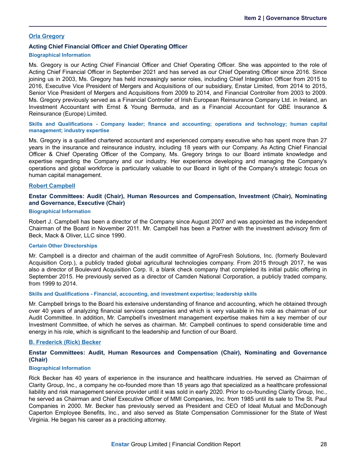#### **Orla Gregory**

#### **Acting Chief Financial Officer and Chief Operating Officer**

#### **Biographical Information**

Ms. Gregory is our Acting Chief Financial Officer and Chief Operating Officer. She was appointed to the role of Acting Chief Financial Officer in September 2021 and has served as our Chief Operating Officer since 2016. Since joining us in 2003, Ms. Gregory has held increasingly senior roles, including Chief Integration Officer from 2015 to 2016, Executive Vice President of Mergers and Acquisitions of our subsidiary, Enstar Limited, from 2014 to 2015, Senior Vice President of Mergers and Acquisitions from 2009 to 2014, and Financial Controller from 2003 to 2009. Ms. Gregory previously served as a Financial Controller of Irish European Reinsurance Company Ltd. in Ireland, an Investment Accountant with Ernst & Young Bermuda, and as a Financial Accountant for QBE Insurance & Reinsurance (Europe) Limited.

**Skills and Qualifications - Company leader; finance and accounting; operations and technology; human capital management; industry expertise**

Ms. Gregory is a qualified chartered accountant and experienced company executive who has spent more than 27 years in the insurance and reinsurance industry, including 18 years with our Company. As Acting Chief Financial Officer & Chief Operating Officer of the Company, Ms. Gregory brings to our Board intimate knowledge and expertise regarding the Company and our industry. Her experience developing and managing the Company's operations and global workforce is particularly valuable to our Board in light of the Company's strategic focus on human capital management.

#### **Robert Campbell**

#### **Enstar Committees: Audit (Chair), Human Resources and Compensation, Investment (Chair), Nominating and Governance, Executive (Chair)**

#### **Biographical Information**

Robert J. Campbell has been a director of the Company since August 2007 and was appointed as the independent Chairman of the Board in November 2011. Mr. Campbell has been a Partner with the investment advisory firm of Beck, Mack & Oliver, LLC since 1990.

#### **Certain Other Directorships**

Mr. Campbell is a director and chairman of the audit committee of AgroFresh Solutions, Inc. (formerly Boulevard Acquisition Corp.), a publicly traded global agricultural technologies company. From 2015 through 2017, he was also a director of Boulevard Acquisition Corp. II, a blank check company that completed its initial public offering in September 2015. He previously served as a director of Camden National Corporation, a publicly traded company, from 1999 to 2014.

#### **Skills and Qualifications - Financial, accounting, and investment expertise; leadership skills**

Mr. Campbell brings to the Board his extensive understanding of finance and accounting, which he obtained through over 40 years of analyzing financial services companies and which is very valuable in his role as chairman of our Audit Committee. In addition, Mr. Campbell's investment management expertise makes him a key member of our Investment Committee, of which he serves as chairman. Mr. Campbell continues to spend considerable time and energy in his role, which is significant to the leadership and function of our Board.

#### **B. Frederick (Rick) Becker**

#### **Enstar Committees: Audit, Human Resources and Compensation (Chair), Nominating and Governance (Chair)**

#### **Biographical Information**

Rick Becker has 40 years of experience in the insurance and healthcare industries. He served as Chairman of Clarity Group, Inc., a company he co-founded more than 18 years ago that specialized as a healthcare professional liability and risk management service provider until it was sold in early 2020. Prior to co-founding Clarity Group, Inc., he served as Chairman and Chief Executive Officer of MMI Companies, Inc. from 1985 until its sale to The St. Paul Companies in 2000. Mr. Becker has previously served as President and CEO of Ideal Mutual and McDonough Caperton Employee Benefits, Inc., and also served as State Compensation Commissioner for the State of West Virginia. He began his career as a practicing attorney.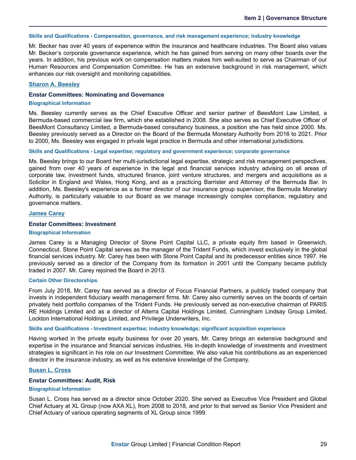#### **Skills and Qualifications - Compensation, governance, and risk management experience; industry knowledge**

Mr. Becker has over 40 years of experience within the insurance and healthcare industries. The Board also values Mr. Becker's corporate governance experience, which he has gained from serving on many other boards over the years. In addition, his previous work on compensation matters makes him well-suited to serve as Chairman of our Human Resources and Compensation Committee. He has an extensive background in risk management, which enhances our risk oversight and monitoring capabilities.

#### **Sharon A. Beesley**

#### **Enstar Committees: Nominating and Governance**

#### **Biographical Information**

Ms. Beesley currently serves as the Chief Executive Officer and senior partner of BeesMont Law Limited, a Bermuda-based commercial law firm, which she established in 2008. She also serves as Chief Executive Officer of BeesMont Consultancy Limited, a Bermuda-based consultancy business, a position she has held since 2000. Ms. Beesley previously served as a Director on the Board of the Bermuda Monetary Authority from 2016 to 2021. Prior to 2000, Ms. Beesley was engaged in private legal practice in Bermuda and other international jurisdictions.

#### **Skills and Qualifications - Legal expertise; regulatory and government experience; corporate governance**

Ms. Beesley brings to our Board her multi-jurisdictional legal expertise, strategic and risk management perspectives, gained from over 40 years of experience in the legal and financial services industry advising on all areas of corporate law, investment funds, structured finance, joint venture structures, and mergers and acquisitions as a Solicitor in England and Wales, Hong Kong, and as a practicing Barrister and Attorney of the Bermuda Bar. In addition, Ms. Beesley's experience as a former director of our insurance group supervisor, the Bermuda Monetary Authority, is particularly valuable to our Board as we manage increasingly complex compliance, regulatory and governance matters.

#### **James Carey**

#### **Enstar Committees: Investment**

#### **Biographical Information**

James Carey is a Managing Director of Stone Point Capital LLC, a private equity firm based in Greenwich, Connecticut. Stone Point Capital serves as the manager of the Trident Funds, which invest exclusively in the global financial services industry. Mr. Carey has been with Stone Point Capital and its predecessor entities since 1997. He previously served as a director of the Company from its formation in 2001 until the Company became publicly traded in 2007. Mr. Carey rejoined the Board in 2013.

#### **Certain Other Directorships**

From July 2018, Mr. Carey has served as a director of Focus Financial Partners, a publicly traded company that invests in independent fiduciary wealth management firms. Mr. Carey also currently serves on the boards of certain privately held portfolio companies of the Trident Funds. He previously served as non-executive chairman of PARIS RE Holdings Limited and as a director of Alterra Capital Holdings Limited, Cunningham Lindsay Group Limited, Lockton International Holdings Limited, and Privilege Underwriters, Inc.

#### **Skills and Qualifications - Investment expertise; industry knowledge; significant acquisition experience**

Having worked in the private equity business for over 20 years, Mr. Carey brings an extensive background and expertise in the insurance and financial services industries. His in-depth knowledge of investments and investment strategies is significant in his role on our Investment Committee. We also value his contributions as an experienced director in the insurance industry, as well as his extensive knowledge of the Company.

#### **Susan L. Cross**

#### **Enstar Committees: Audit, Risk**

#### **Biographical Information**

Susan L. Cross has served as a director since October 2020. She served as Executive Vice President and Global Chief Actuary at XL Group (now AXA XL), from 2008 to 2018, and prior to that served as Senior Vice President and Chief Actuary of various operating segments of XL Group since 1999.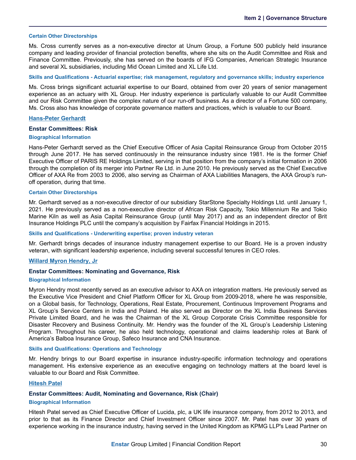#### **Certain Other Directorships**

Ms. Cross currently serves as a non-executive director at Unum Group, a Fortune 500 publicly held insurance company and leading provider of financial protection benefits, where she sits on the Audit Committee and Risk and Finance Committee. Previously, she has served on the boards of IFG Companies, American Strategic Insurance and several XL subsidiaries, including Mid Ocean Limited and XL Life Ltd.

#### **Skills and Qualifications - Actuarial expertise; risk management, regulatory and governance skills; industry experience**

Ms. Cross brings significant actuarial expertise to our Board, obtained from over 20 years of senior management experience as an actuary with XL Group. Her industry experience is particularly valuable to our Audit Committee and our Risk Committee given the complex nature of our run-off business. As a director of a Fortune 500 company, Ms. Cross also has knowledge of corporate governance matters and practices, which is valuable to our Board.

#### **Hans-Peter Gerhardt**

#### **Enstar Committees: Risk**

#### **Biographical Information**

Hans-Peter Gerhardt served as the Chief Executive Officer of Asia Capital Reinsurance Group from October 2015 through June 2017. He has served continuously in the reinsurance industry since 1981. He is the former Chief Executive Officer of PARIS RE Holdings Limited, serving in that position from the company's initial formation in 2006 through the completion of its merger into Partner Re Ltd. in June 2010. He previously served as the Chief Executive Officer of AXA Re from 2003 to 2006, also serving as Chairman of AXA Liabilities Managers, the AXA Group's runoff operation, during that time.

#### **Certain Other Directorships**

Mr. Gerhardt served as a non-executive director of our subsidiary StarStone Specialty Holdings Ltd. until January 1, 2021. He previously served as a non-executive director of African Risk Capacity, Tokio Millennium Re and Tokio Marine Kiln as well as Asia Capital Reinsurance Group (until May 2017) and as an independent director of Brit Insurance Holdings PLC until the company's acquisition by Fairfax Financial Holdings in 2015.

#### **Skills and Qualifications - Underwriting expertise; proven industry veteran**

Mr. Gerhardt brings decades of insurance industry management expertise to our Board. He is a proven industry veteran, with significant leadership experience, including several successful tenures in CEO roles.

#### **Willard Myron Hendry, Jr**

#### **Enstar Committees: Nominating and Governance, Risk**

#### **Biographical Information**

Myron Hendry most recently served as an executive advisor to AXA on integration matters. He previously served as the Executive Vice President and Chief Platform Officer for XL Group from 2009-2018, where he was responsible, on a Global basis, for Technology, Operations, Real Estate, Procurement, Continuous Improvement Programs and XL Group's Service Centers in India and Poland. He also served as Director on the XL India Business Services Private Limited Board, and he was the Chairman of the XL Group Corporate Crisis Committee responsible for Disaster Recovery and Business Continuity. Mr. Hendry was the founder of the XL Group's Leadership Listening Program. Throughout his career, he also held technology, operational and claims leadership roles at Bank of America's Balboa Insurance Group, Safeco Insurance and CNA Insurance.

#### **Skills and Qualifications: Operations and Technology**

Mr. Hendry brings to our Board expertise in insurance industry-specific information technology and operations management. His extensive experience as an executive engaging on technology matters at the board level is valuable to our Board and Risk Committee.

#### **Hitesh Patel**

### **Enstar Committees: Audit, Nominating and Governance, Risk (Chair)**

#### **Biographical Information**

Hitesh Patel served as Chief Executive Officer of Lucida, plc, a UK life insurance company, from 2012 to 2013, and prior to that as its Finance Director and Chief Investment Officer since 2007. Mr. Patel has over 30 years of experience working in the insurance industry, having served in the United Kingdom as KPMG LLP's Lead Partner on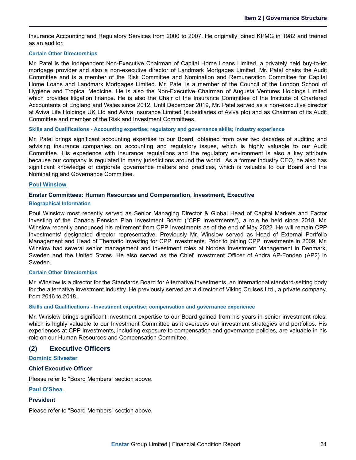Insurance Accounting and Regulatory Services from 2000 to 2007. He originally joined KPMG in 1982 and trained as an auditor.

#### **Certain Other Directorships**

Mr. Patel is the Independent Non-Executive Chairman of Capital Home Loans Limited, a privately held buy-to-let mortgage provider and also a non-executive director of Landmark Mortgages Limited. Mr. Patel chairs the Audit Committee and is a member of the Risk Committee and Nomination and Remuneration Committee for Capital Home Loans and Landmark Mortgages Limited. Mr. Patel is a member of the Council of the London School of Hygiene and Tropical Medicine. He is also the Non-Executive Chairman of Augusta Ventures Holdings Limited which provides litigation finance. He is also the Chair of the Insurance Committee of the Institute of Chartered Accountants of England and Wales since 2012. Until December 2019, Mr. Patel served as a non-executive director at Aviva Life Holdings UK Ltd and Aviva Insurance Limited (subsidiaries of Aviva plc) and as Chairman of its Audit Committee and member of the Risk and Investment Committees.

**Skills and Qualifications - Accounting expertise; regulatory and governance skills; industry experience**

Mr. Patel brings significant accounting expertise to our Board, obtained from over two decades of auditing and advising insurance companies on accounting and regulatory issues, which is highly valuable to our Audit Committee. His experience with insurance regulations and the regulatory environment is also a key attribute because our company is regulated in many jurisdictions around the world. As a former industry CEO, he also has significant knowledge of corporate governance matters and practices, which is valuable to our Board and the Nominating and Governance Committee.

#### **Poul Winslow**

#### **Enstar Committees: Human Resources and Compensation, Investment, Executive**

#### **Biographical Information**

Poul Winslow most recently served as Senior Managing Director & Global Head of Capital Markets and Factor Investing of the Canada Pension Plan Investment Board ("CPP Investments"), a role he held since 2018. Mr. Winslow recently announced his retirement from CPP Investments as of the end of May 2022. He will remain CPP Investments' designated director representative. Previously Mr. Winslow served as Head of External Portfolio Management and Head of Thematic Investing for CPP Investments. Prior to joining CPP Investments in 2009, Mr. Winslow had several senior management and investment roles at Nordea Investment Management in Denmark, Sweden and the United States. He also served as the Chief Investment Officer of Andra AP-Fonden (AP2) in Sweden.

#### **Certain Other Directorships**

Mr. Winslow is a director for the Standards Board for Alternative Investments, an international standard-setting body for the alternative investment industry. He previously served as a director of Viking Cruises Ltd., a private company, from 2016 to 2018.

#### **Skills and Qualifications - Investment expertise; compensation and governance experience**

Mr. Winslow brings significant investment expertise to our Board gained from his years in senior investment roles, which is highly valuable to our Investment Committee as it oversees our investment strategies and portfolios. His experiences at CPP Investments, including exposure to compensation and governance policies, are valuable in his role on our Human Resources and Compensation Committee.

### **(2) Executive Officers**

### **Dominic Silvester**

#### **Chief Executive Officer**

Please refer to "Board Members" section above.

#### **Paul O'Shea**

#### **President**

Please refer to "Board Members" section above.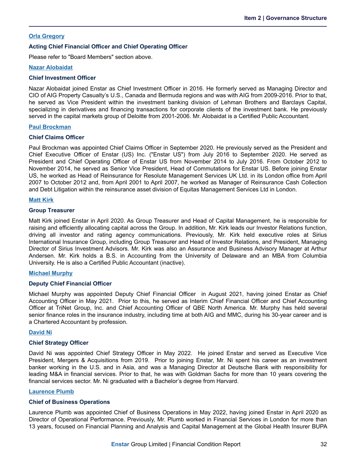#### **Orla Gregory**

#### **Acting Chief Financial Officer and Chief Operating Officer**

Please refer to "Board Members" section above.

#### **Nazar Alobaidat**

#### **Chief Investment Officer**

Nazar Alobaidat joined Enstar as Chief Investment Officer in 2016. He formerly served as Managing Director and CIO of AIG Property Casualty's U.S., Canada and Bermuda regions and was with AIG from 2009-2016. Prior to that, he served as Vice President within the investment banking division of Lehman Brothers and Barclays Capital, specializing in derivatives and financing transactions for corporate clients of the investment bank. He previously served in the capital markets group of Deloitte from 2001-2006. Mr. Alobaidat is a Certified Public Accountant.

#### **Paul Brockman**

#### **Chief Claims Officer**

Paul Brockman was appointed Chief Claims Officer in September 2020. He previously served as the President and Chief Executive Officer of Enstar (US) Inc. ("Enstar US") from July 2016 to September 2020. He served as President and Chief Operating Officer of Enstar US from November 2014 to July 2016. From October 2012 to November 2014, he served as Senior Vice President, Head of Commutations for Enstar US. Before joining Enstar US, he worked as Head of Reinsurance for Resolute Management Services UK Ltd. in its London office from April 2007 to October 2012 and, from April 2001 to April 2007, he worked as Manager of Reinsurance Cash Collection and Debt Litigation within the reinsurance asset division of Equitas Management Services Ltd in London.

#### **Matt Kirk**

#### **Group Treasurer**

Matt Kirk joined Enstar in April 2020. As Group Treasurer and Head of Capital Management, he is responsible for raising and efficiently allocating capital across the Group. In addition, Mr. Kirk leads our Investor Relations function, driving all investor and rating agency communications. Previously, Mr. Kirk held executive roles at Sirius International Insurance Group, including Group Treasurer and Head of Investor Relations, and President, Managing Director of Sirius Investment Advisors. Mr. Kirk was also an Assurance and Business Advisory Manager at Arthur Andersen. Mr. Kirk holds a B.S. in Accounting from the University of Delaware and an MBA from Columbia University. He is also a Certified Public Accountant (inactive).

#### **Michael Murphy**

#### **Deputy Chief Financial Officer**

Michael Murphy was appointed Deputy Chief Financial Officer in August 2021, having joined Enstar as Chief Accounting Officer in May 2021. Prior to this, he served as Interim Chief Financial Officer and Chief Accounting Officer at TriNet Group, Inc. and Chief Accounting Officer of QBE North America. Mr. Murphy has held several senior finance roles in the insurance industry, including time at both AIG and MMC, during his 30-year career and is a Chartered Accountant by profession.

#### **David Ni**

#### **Chief Strategy Officer**

David Ni was appointed Chief Strategy Officer in May 2022. He joined Enstar and served as Executive Vice President, Mergers & Acquisitions from 2019. Prior to joining Enstar, Mr. Ni spent his career as an investment banker working in the U.S. and in Asia, and was a Managing Director at Deutsche Bank with responsibility for leading M&A in financial services. Prior to that, he was with Goldman Sachs for more than 10 years covering the financial services sector. Mr. Ni graduated with a Bachelor's degree from Harvard.

#### **Laurence Plumb**

#### **Chief of Business Operations**

Laurence Plumb was appointed Chief of Business Operations in May 2022, having joined Enstar in April 2020 as Director of Operational Performance. Previously, Mr. Plumb worked in Financial Services in London for more than 13 years, focused on Financial Planning and Analysis and Capital Management at the Global Health Insurer BUPA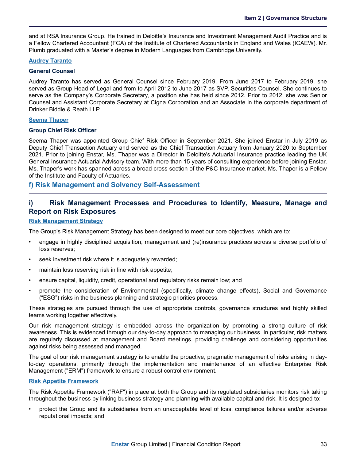<span id="page-35-0"></span>and at RSA Insurance Group. He trained in Deloitte's Insurance and Investment Management Audit Practice and is a Fellow Chartered Accountant (FCA) of the Institute of Chartered Accountants in England and Wales (ICAEW). Mr. Plumb graduated with a Master's degree in Modern Languages from Cambridge University.

#### **Audrey Taranto**

#### **General Counsel**

Audrey Taranto has served as General Counsel since February 2019. From June 2017 to February 2019, she served as Group Head of Legal and from to April 2012 to June 2017 as SVP, Securities Counsel. She continues to serve as the Company's Corporate Secretary, a position she has held since 2012. Prior to 2012, she was Senior Counsel and Assistant Corporate Secretary at Cigna Corporation and an Associate in the corporate department of Drinker Biddle & Reath LLP.

#### **Seema Thaper**

#### **Group Chief Risk Officer**

Seema Thaper was appointed Group Chief Risk Officer in September 2021. She joined Enstar in July 2019 as Deputy Chief Transaction Actuary and served as the Chief Transaction Actuary from January 2020 to September 2021. Prior to joining Enstar, Ms. Thaper was a Director in Deloitte's Actuarial Insurance practice leading the UK General Insurance Actuarial Advisory team. With more than 15 years of consulting experience before joining Enstar, Ms. Thaper's work has spanned across a broad cross section of the P&C Insurance market. Ms. Thaper is a Fellow of the Institute and Faculty of Actuaries.

### **f) Risk Management and Solvency Self-Assessment**

### **i) Risk Management Processes and Procedures to Identify, Measure, Manage and Report on Risk Exposures**

#### **Risk Management Strategy**

The Group's Risk Management Strategy has been designed to meet our core objectives, which are to:

- engage in highly disciplined acquisition, management and (re)insurance practices across a diverse portfolio of loss reserves;
- seek investment risk where it is adequately rewarded;
- maintain loss reserving risk in line with risk appetite;
- ensure capital, liquidity, credit, operational and regulatory risks remain low; and
- promote the consideration of Environmental (specifically, climate change effects), Social and Governance ("ESG") risks in the business planning and strategic priorities process.

These strategies are pursued through the use of appropriate controls, governance structures and highly skilled teams working together effectively.

Our risk management strategy is embedded across the organization by promoting a strong culture of risk awareness. This is evidenced through our day-to-day approach to managing our business. In particular, risk matters are regularly discussed at management and Board meetings, providing challenge and considering opportunities against risks being assessed and managed.

The goal of our risk management strategy is to enable the proactive, pragmatic management of risks arising in dayto-day operations, primarily through the implementation and maintenance of an effective Enterprise Risk Management ("ERM") framework to ensure a robust control environment.

#### **Risk Appetite Framework**

The Risk Appetite Framework ("RAF") in place at both the Group and its regulated subsidiaries monitors risk taking throughout the business by linking business strategy and planning with available capital and risk. It is designed to:

• protect the Group and its subsidiaries from an unacceptable level of loss, compliance failures and/or adverse reputational impacts; and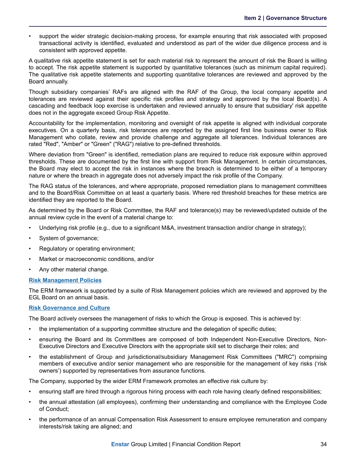• support the wider strategic decision-making process, for example ensuring that risk associated with proposed transactional activity is identified, evaluated and understood as part of the wider due diligence process and is consistent with approved appetite.

A qualitative risk appetite statement is set for each material risk to represent the amount of risk the Board is willing to accept. The risk appetite statement is supported by quantitative tolerances (such as minimum capital required). The qualitative risk appetite statements and supporting quantitative tolerances are reviewed and approved by the Board annually.

Though subsidiary companies' RAFs are aligned with the RAF of the Group, the local company appetite and tolerances are reviewed against their specific risk profiles and strategy and approved by the local Board(s). A cascading and feedback loop exercise is undertaken and reviewed annually to ensure that subsidiary' risk appetite does not in the aggregate exceed Group Risk Appetite.

Accountability for the implementation, monitoring and oversight of risk appetite is aligned with individual corporate executives. On a quarterly basis, risk tolerances are reported by the assigned first line business owner to Risk Management who collate, review and provide challenge and aggregate all tolerances. Individual tolerances are rated "Red", "Amber" or "Green" ("RAG") relative to pre-defined thresholds.

Where deviation from "Green" is identified, remediation plans are required to reduce risk exposure within approved thresholds. These are documented by the first line with support from Risk Management. In certain circumstances, the Board may elect to accept the risk in instances where the breach is determined to be either of a temporary nature or where the breach in aggregate does not adversely impact the risk profile of the Company.

The RAG status of the tolerances, and where appropriate, proposed remediation plans to management committees and to the Board/Risk Committee on at least a quarterly basis. Where red threshold breaches for these metrics are identified they are reported to the Board.

As determined by the Board or Risk Committee, the RAF and tolerance(s) may be reviewed/updated outside of the annual review cycle in the event of a material change to:

- Underlying risk profile (e.g., due to a significant M&A, investment transaction and/or change in strategy);
- System of governance;
- Regulatory or operating environment;
- Market or macroeconomic conditions, and/or
- Any other material change.

#### **Risk Management Policies**

The ERM framework is supported by a suite of Risk Management policies which are reviewed and approved by the EGL Board on an annual basis.

#### **Risk Governance and Culture**

The Board actively oversees the management of risks to which the Group is exposed. This is achieved by:

- the implementation of a supporting committee structure and the delegation of specific duties;
- ensuring the Board and its Committees are composed of both Independent Non-Executive Directors, Non-Executive Directors and Executive Directors with the appropriate skill set to discharge their roles; and
- the establishment of Group and jurisdictional/subsidiary Management Risk Committees ("MRC") comprising members of executive and/or senior management who are responsible for the management of key risks ('risk owners') supported by representatives from assurance functions.

The Company, supported by the wider ERM Framework promotes an effective risk culture by:

- ensuring staff are hired through a rigorous hiring process with each role having clearly defined responsibilities;
- the annual attestation (all employees), confirming their understanding and compliance with the Employee Code of Conduct;
- the performance of an annual Compensation Risk Assessment to ensure employee remuneration and company interests/risk taking are aligned; and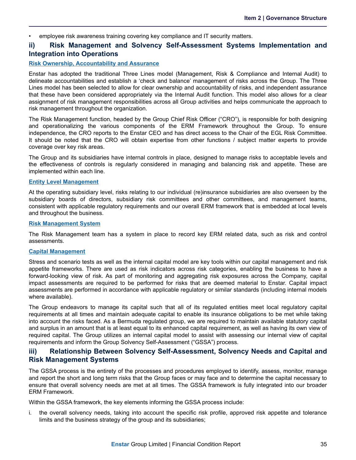• employee risk awareness training covering key compliance and IT security matters.

### **ii) Risk Management and Solvency Self-Assessment Systems Implementation and Integration into Operations**

### **Risk Ownership, Accountability and Assurance**

Enstar has adopted the traditional Three Lines model (Management, Risk & Compliance and Internal Audit) to delineate accountabilities and establish a 'check and balance' management of risks across the Group. The Three Lines model has been selected to allow for clear ownership and accountability of risks, and independent assurance that these have been considered appropriately via the Internal Audit function. This model also allows for a clear assignment of risk management responsibilities across all Group activities and helps communicate the approach to risk management throughout the organization.

The Risk Management function, headed by the Group Chief Risk Officer ("CRO"), is responsible for both designing and operationalizing the various components of the ERM Framework throughout the Group. To ensure independence, the CRO reports to the Enstar CEO and has direct access to the Chair of the EGL Risk Committee. It should be noted that the CRO will obtain expertise from other functions / subject matter experts to provide coverage over key risk areas.

The Group and its subsidiaries have internal controls in place, designed to manage risks to acceptable levels and the effectiveness of controls is regularly considered in managing and balancing risk and appetite. These are implemented within each line.

#### **Entity Level Management**

At the operating subsidiary level, risks relating to our individual (re)insurance subsidiaries are also overseen by the subsidiary boards of directors, subsidiary risk committees and other committees, and management teams, consistent with applicable regulatory requirements and our overall ERM framework that is embedded at local levels and throughout the business.

#### **Risk Management System**

The Risk Management team has a system in place to record key ERM related data, such as risk and control assessments.

#### **Capital Management**

Stress and scenario tests as well as the internal capital model are key tools within our capital management and risk appetite frameworks. There are used as risk indicators across risk categories, enabling the business to have a forward-looking view of risk. As part of monitoring and aggregating risk exposures across the Company, capital impact assessments are required to be performed for risks that are deemed material to Enstar. Capital impact assessments are performed in accordance with applicable regulatory or similar standards (including internal models where available).

The Group endeavors to manage its capital such that all of its regulated entities meet local regulatory capital requirements at all times and maintain adequate capital to enable its insurance obligations to be met while taking into account the risks faced. As a Bermuda regulated group, we are required to maintain available statutory capital and surplus in an amount that is at least equal to its enhanced capital requirement, as well as having its own view of required capital. The Group utilizes an internal capital model to assist with assessing our internal view of capital requirements and inform the Group Solvency Self-Assessment ("GSSA") process.

### **iii) Relationship Between Solvency Self-Assessment, Solvency Needs and Capital and Risk Management Systems**

The GSSA process is the entirety of the processes and procedures employed to identify, assess, monitor, manage and report the short and long term risks that the Group faces or may face and to determine the capital necessary to ensure that overall solvency needs are met at all times. The GSSA framework is fully integrated into our broader ERM Framework.

Within the GSSA framework, the key elements informing the GSSA process include:

i. the overall solvency needs, taking into account the specific risk profile, approved risk appetite and tolerance limits and the business strategy of the group and its subsidiaries;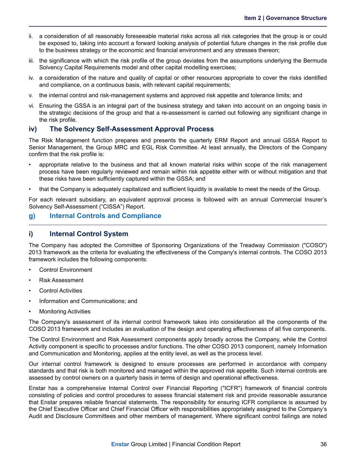- <span id="page-38-0"></span>ii. a consideration of all reasonably foreseeable material risks across all risk categories that the group is or could be exposed to, taking into account a forward looking analysis of potential future changes in the risk profile due to the business strategy or the economic and financial environment and any stresses thereon;
- iii. the significance with which the risk profile of the group deviates from the assumptions underlying the Bermuda Solvency Capital Requirements model and other capital modelling exercises;
- iv. a consideration of the nature and quality of capital or other resources appropriate to cover the risks identified and compliance, on a continuous basis, with relevant capital requirements;
- v. the internal control and risk-management systems and approved risk appetite and tolerance limits; and
- vi. Ensuring the GSSA is an integral part of the business strategy and taken into account on an ongoing basis in the strategic decisions of the group and that a re-assessment is carried out following any significant change in the risk profile.

### **iv) The Solvency Self-Assessment Approval Process**

The Risk Management function prepares and presents the quarterly ERM Report and annual GSSA Report to Senior Management, the Group MRC and EGL Risk Committee. At least annually, the Directors of the Company confirm that the risk profile is:

- appropriate relative to the business and that all known material risks within scope of the risk management process have been regularly reviewed and remain within risk appetite either with or without mitigation and that these risks have been sufficiently captured within the GSSA; and
- that the Company is adequately capitalized and sufficient liquidity is available to meet the needs of the Group.

For each relevant subsidiary, an equivalent approval process is followed with an annual Commercial Insurer's Solvency Self-Assessment ("CISSA") Report.

### **g) Internal Controls and Compliance**

### **i) Internal Control System**

The Company has adopted the Committee of Sponsoring Organizations of the Treadway Commission ("COSO") 2013 framework as the criteria for evaluating the effectiveness of the Company's internal controls. The COSO 2013 framework includes the following components:

- Control Environment
- Risk Assessment
- **Control Activities**
- Information and Communications; and
- **Monitoring Activities**

The Company's assessment of its internal control framework takes into consideration all the components of the COSO 2013 framework and includes an evaluation of the design and operating effectiveness of all five components.

The Control Environment and Risk Assessment components apply broadly across the Company, while the Control Activity component is specific to processes and/or functions. The other COSO 2013 component, namely Information and Communication and Monitoring, applies at the entity level, as well as the process level.

Our internal control framework is designed to ensure processes are performed in accordance with company standards and that risk is both monitored and managed within the approved risk appetite. Such internal controls are assessed by control owners on a quarterly basis in terms of design and operational effectiveness.

Enstar has a comprehensive Internal Control over Financial Reporting ("ICFR") framework of financial controls consisting of policies and control procedures to assess financial statement risk and provide reasonable assurance that Enstar prepares reliable financial statements. The responsibility for ensuring ICFR compliance is assumed by the Chief Executive Officer and Chief Financial Officer with responsibilities appropriately assigned to the Company's Audit and Disclosure Committees and other members of management. Where significant control failings are noted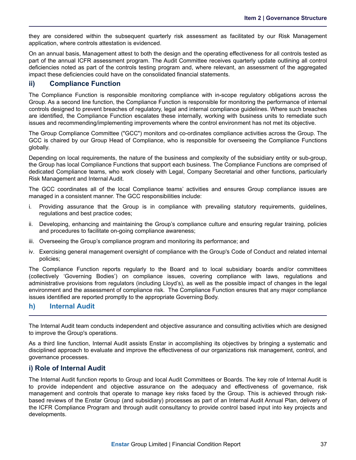<span id="page-39-0"></span>they are considered within the subsequent quarterly risk assessment as facilitated by our Risk Management application, where controls attestation is evidenced.

On an annual basis, Management attest to both the design and the operating effectiveness for all controls tested as part of the annual ICFR assessment program. The Audit Committee receives quarterly update outlining all control deficiencies noted as part of the controls testing program and, where relevant, an assessment of the aggregated impact these deficiencies could have on the consolidated financial statements.

### **ii) Compliance Function**

The Compliance Function is responsible monitoring compliance with in-scope regulatory obligations across the Group. As a second line function, the Compliance Function is responsible for monitoring the performance of internal controls designed to prevent breaches of regulatory, legal and internal compliance guidelines. Where such breaches are identified, the Compliance Function escalates these internally, working with business units to remediate such issues and recommending/implementing improvements where the control environment has not met its objective.

The Group Compliance Committee ("GCC") monitors and co-ordinates compliance activities across the Group. The GCC is chaired by our Group Head of Compliance, who is responsible for overseeing the Compliance Functions globally.

Depending on local requirements, the nature of the business and complexity of the subsidiary entity or sub-group, the Group has local Compliance Functions that support each business. The Compliance Functions are comprised of dedicated Compliance teams, who work closely with Legal, Company Secretarial and other functions, particularly Risk Management and Internal Audit.

The GCC coordinates all of the local Compliance teams' activities and ensures Group compliance issues are managed in a consistent manner. The GCC responsibilities include:

- i. Providing assurance that the Group is in compliance with prevailing statutory requirements, guidelines, regulations and best practice codes;
- ii. Developing, enhancing and maintaining the Group's compliance culture and ensuring regular training, policies and procedures to facilitate on-going compliance awareness;
- iii. Overseeing the Group's compliance program and monitoring its performance; and
- iv. Exercising general management oversight of compliance with the Group's Code of Conduct and related internal policies;

The Compliance Function reports regularly to the Board and to local subsidiary boards and/or committees (collectively 'Governing Bodies') on compliance issues, covering compliance with laws, regulations and administrative provisions from regulators (including Lloyd's), as well as the possible impact of changes in the legal environment and the assessment of compliance risk. The Compliance Function ensures that any major compliance issues identified are reported promptly to the appropriate Governing Body.

### **h) Internal Audit**

The Internal Audit team conducts independent and objective assurance and consulting activities which are designed to improve the Group's operations.

As a third line function, Internal Audit assists Enstar in accomplishing its objectives by bringing a systematic and disciplined approach to evaluate and improve the effectiveness of our organizations risk management, control, and governance processes.

### **i) Role of Internal Audit**

The Internal Audit function reports to Group and local Audit Committees or Boards. The key role of Internal Audit is to provide independent and objective assurance on the adequacy and effectiveness of governance, risk management and controls that operate to manage key risks faced by the Group. This is achieved through riskbased reviews of the Enstar Group (and subsidiary) processes as part of an Internal Audit Annual Plan, delivery of the ICFR Compliance Program and through audit consultancy to provide control based input into key projects and developments.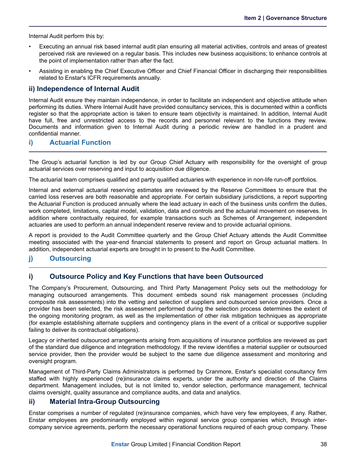<span id="page-40-0"></span>Internal Audit perform this by:

- Executing an annual risk based internal audit plan ensuring all material activities, controls and areas of greatest perceived risk are reviewed on a regular basis. This includes new business acquisitions; to enhance controls at the point of implementation rather than after the fact.
- Assisting in enabling the Chief Executive Officer and Chief Financial Officer in discharging their responsibilities related to Enstar's ICFR requirements annually.

### **ii) Independence of Internal Audit**

Internal Audit ensure they maintain independence, in order to facilitate an independent and objective attitude when performing its duties. Where Internal Audit have provided consultancy services, this is documented within a conflicts register so that the appropriate action is taken to ensure team objectivity is maintained. In addition, Internal Audit have full, free and unrestricted access to the records and personnel relevant to the functions they review. Documents and information given to Internal Audit during a periodic review are handled in a prudent and confidential manner.

### **i) Actuarial Function**

The Group's actuarial function is led by our Group Chief Actuary with responsibility for the oversight of group actuarial services over reserving and input to acquisition due diligence.

The actuarial team comprises qualified and partly qualified actuaries with experience in non-life run-off portfolios.

Internal and external actuarial reserving estimates are reviewed by the Reserve Committees to ensure that the carried loss reserves are both reasonable and appropriate. For certain subsidiary jurisdictions, a report supporting the Actuarial Function is produced annually where the lead actuary in each of the business units confirm the duties, work completed, limitations, capital model, validation, data and controls and the actuarial movement on reserves. In addition where contractually required, for example transactions such as Schemes of Arrangement, independent actuaries are used to perform an annual independent reserve review and to provide actuarial opinions.

A report is provided to the Audit Committee quarterly and the Group Chief Actuary attends the Audit Committee meeting associated with the year-end financial statements to present and report on Group actuarial matters. In addition, independent actuarial experts are brought in to present to the Audit Committee.

### **j) Outsourcing**

### **i) Outsource Policy and Key Functions that have been Outsourced**

The Company's Procurement, Outsourcing, and Third Party Management Policy sets out the methodology for managing outsourced arrangements. This document embeds sound risk management processes (including composite risk assessments) into the vetting and selection of suppliers and outsourced service providers. Once a provider has been selected, the risk assessment performed during the selection process determines the extent of the ongoing monitoring program, as well as the implementation of other risk mitigation techniques as appropriate (for example establishing alternate suppliers and contingency plans in the event of a critical or supportive supplier failing to deliver its contractual obligations).

Legacy or inherited outsourced arrangements arising from acquisitions of insurance portfolios are reviewed as part of the standard due diligence and integration methodology. If the review identifies a material supplier or outsourced service provider, then the provider would be subject to the same due diligence assessment and monitoring and oversight program.

Management of Third-Party Claims Administrators is performed by Cranmore, Enstar's specialist consultancy firm staffed with highly experienced (re)insurance claims experts, under the authority and direction of the Claims department. Management includes, but is not limited to, vendor selection, performance management, technical claims oversight, quality assurance and compliance audits, and data and analytics.

### **ii) Material Intra-Group Outsourcing**

Enstar comprises a number of regulated (re)insurance companies, which have very few employees, if any. Rather, Enstar employees are predominantly employed within regional service group companies which, through intercompany service agreements, perform the necessary operational functions required of each group company. These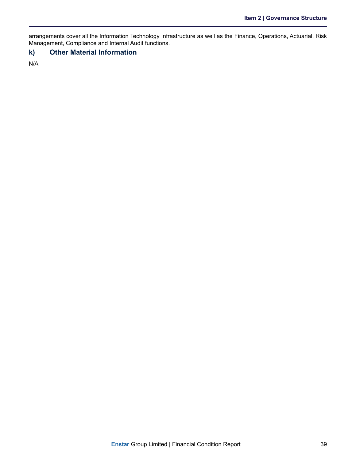<span id="page-41-0"></span>arrangements cover all the Information Technology Infrastructure as well as the Finance, Operations, Actuarial, Risk Management, Compliance and Internal Audit functions.

### **k) Other Material Information**

N/A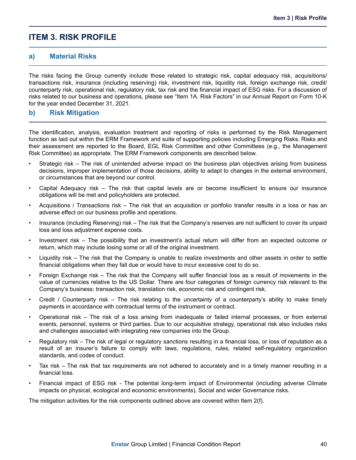### <span id="page-42-0"></span>**ITEM 3. RISK PROFILE**

### **a) Material Risks**

The risks facing the Group currently include those related to strategic risk, capital adequacy risk, acquisitions/ transactions risk, insurance (including reserving) risk, investment risk, liquidity risk, foreign exchange risk, credit/ counterparty risk, operational risk, regulatory risk, tax risk and the financial impact of ESG risks. For a discussion of risks related to our business and operations, please see "Item 1A. Risk Factors" in our Annual Report on Form 10-K for the year ended December 31, 2021.

### **b) Risk Mitigation**

The identification, analysis, evaluation treatment and reporting of risks is performed by the Risk Management function as laid out within the ERM Framework and suite of supporting policies including Emerging Risks. Risks and their assessment are reported to the Board, EGL Risk Committee and other Committees (e.g., the Management Risk Committee) as appropriate. The ERM Framework components are described below.

- Strategic risk The risk of unintended adverse impact on the business plan objectives arising from business decisions, improper implementation of those decisions, ability to adapt to changes in the external environment, or circumstances that are beyond our control.
- Capital Adequacy risk The risk that capital levels are or become insufficient to ensure our insurance obligations will be met and policyholders are protected.
- Acquisitions / Transactions risk The risk that an acquisition or portfolio transfer results in a loss or has an adverse effect on our business profile and operations.
- Insurance (including Reserving) risk The risk that the Company's reserves are not sufficient to cover its unpaid loss and loss adjustment expense costs.
- Investment risk The possibility that an investment's actual return will differ from an expected outcome or return, which may include losing some or all of the original investment.
- Liquidity risk The risk that the Company is unable to realize investments and other assets in order to settle financial obligations when they fall due or would have to incur excessive cost to do so.
- Foreign Exchange risk The risk that the Company will suffer financial loss as a result of movements in the value of currencies relative to the US Dollar. There are four categories of foreign currency risk relevant to the Company's business: transaction risk, translation risk, economic risk and contingent risk.
- Credit / Counterparty risk The risk relating to the uncertainty of a counterparty's ability to make timely payments in accordance with contractual terms of the instrument or contract.
- Operational risk The risk of a loss arising from inadequate or failed internal processes, or from external events, personnel, systems or third parties. Due to our acquisitive strategy, operational risk also includes risks and challenges associated with integrating new companies into the Group.
- Regulatory risk The risk of legal or regulatory sanctions resulting in a financial loss, or loss of reputation as a result of an insurer's failure to comply with laws, regulations, rules, related self-regulatory organization standards, and codes of conduct.
- Tax risk The risk that tax requirements are not adhered to accurately and in a timely manner resulting in a financial loss.
- Financial impact of ESG risk The potential long-term impact of Environmental (including adverse Climate impacts on physical, ecological and economic environments), Social and wider Governance risks.

The mitigation activities for the risk components outlined above are covered within Item 2(f).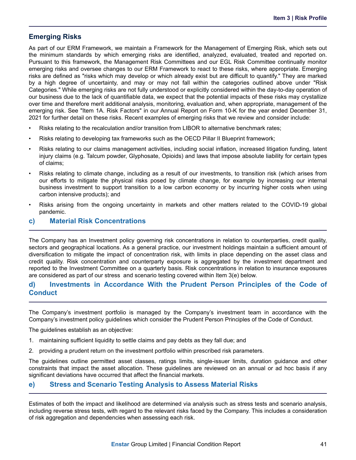### <span id="page-43-0"></span>**Emerging Risks**

As part of our ERM Framework, we maintain a Framework for the Management of Emerging Risk, which sets out the minimum standards by which emerging risks are identified, analyzed, evaluated, treated and reported on. Pursuant to this framework, the Management Risk Committees and our EGL Risk Committee continually monitor emerging risks and oversee changes to our ERM Framework to react to these risks, where appropriate. Emerging risks are defined as "risks which may develop or which already exist but are difficult to quantify." They are marked by a high degree of uncertainty, and may or may not fall within the categories outlined above under "Risk Categories." While emerging risks are not fully understood or explicitly considered within the day-to-day operation of our business due to the lack of quantifiable data, we expect that the potential impacts of these risks may crystallize over time and therefore merit additional analysis, monitoring, evaluation and, when appropriate, management of the emerging risk. See "Item 1A. Risk Factors" in our Annual Report on Form 10-K for the year ended December 31, 2021 for further detail on these risks. Recent examples of emerging risks that we review and consider include:

- Risks relating to the recalculation and/or transition from LIBOR to alternative benchmark rates;
- Risks relating to developing tax frameworks such as the OECD Pillar II Blueprint framework;
- Risks relating to our claims management activities, including social inflation, increased litigation funding, latent injury claims (e.g. Talcum powder, Glyphosate, Opioids) and laws that impose absolute liability for certain types of claims;
- Risks relating to climate change, including as a result of our investments, to transition risk (which arises from our efforts to mitigate the physical risks posed by climate change, for example by increasing our internal business investment to support transition to a low carbon economy or by incurring higher costs when using carbon intensive products); and
- Risks arising from the ongoing uncertainty in markets and other matters related to the COVID-19 global pandemic.

### **c) Material Risk Concentrations**

The Company has an Investment policy governing risk concentrations in relation to counterparties, credit quality, sectors and geographical locations. As a general practice, our investment holdings maintain a sufficient amount of diversification to mitigate the impact of concentration risk, with limits in place depending on the asset class and credit quality. Risk concentration and counterparty exposure is aggregated by the investment department and reported to the Investment Committee on a quarterly basis. Risk concentrations in relation to insurance exposures are considered as part of our stress and scenario testing covered within Item 3(e) below.

### **d) Investments in Accordance With the Prudent Person Principles of the Code of Conduct**

The Company's investment portfolio is managed by the Company's investment team in accordance with the Company's investment policy guidelines which consider the Prudent Person Principles of the Code of Conduct.

The guidelines establish as an objective:

- 1. maintaining sufficient liquidity to settle claims and pay debts as they fall due; and
- 2. providing a prudent return on the investment portfolio within prescribed risk parameters.

The guidelines outline permitted asset classes, ratings limits, single-issuer limits, duration guidance and other constraints that impact the asset allocation. These guidelines are reviewed on an annual or ad hoc basis if any significant deviations have occurred that affect the financial markets.

### **e) Stress and Scenario Testing Analysis to Assess Material Risks**

Estimates of both the impact and likelihood are determined via analysis such as stress tests and scenario analysis, including reverse stress tests, with regard to the relevant risks faced by the Company. This includes a consideration of risk aggregation and dependencies when assessing each risk.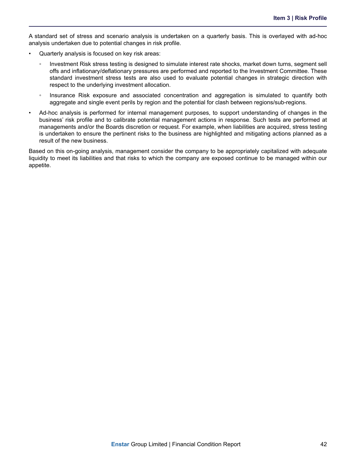A standard set of stress and scenario analysis is undertaken on a quarterly basis. This is overlayed with ad-hoc analysis undertaken due to potential changes in risk profile.

- Quarterly analysis is focused on key risk areas:
	- Investment Risk stress testing is designed to simulate interest rate shocks, market down turns, segment sell offs and inflationary/deflationary pressures are performed and reported to the Investment Committee. These standard investment stress tests are also used to evaluate potential changes in strategic direction with respect to the underlying investment allocation.
	- Insurance Risk exposure and associated concentration and aggregation is simulated to quantify both aggregate and single event perils by region and the potential for clash between regions/sub-regions.
- Ad-hoc analysis is performed for internal management purposes, to support understanding of changes in the business' risk profile and to calibrate potential management actions in response. Such tests are performed at managements and/or the Boards discretion or request. For example, when liabilities are acquired, stress testing is undertaken to ensure the pertinent risks to the business are highlighted and mitigating actions planned as a result of the new business.

Based on this on-going analysis, management consider the company to be appropriately capitalized with adequate liquidity to meet its liabilities and that risks to which the company are exposed continue to be managed within our appetite.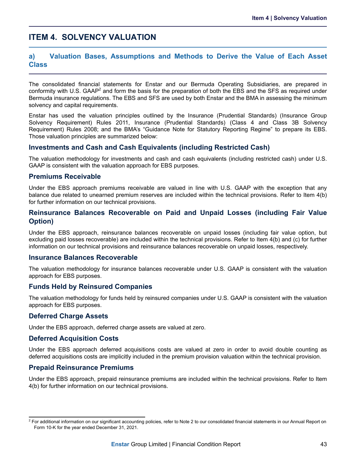### <span id="page-45-0"></span>**ITEM 4. SOLVENCY VALUATION**

### **a) Valuation Bases, Assumptions and Methods to Derive the Value of Each Asset Class**

The consolidated financial statements for Enstar and our Bermuda Operating Subsidiaries, are prepared in conformity with U.S. GAAP<sup>2</sup> and form the basis for the preparation of both the EBS and the SFS as required under Bermuda insurance regulations. The EBS and SFS are used by both Enstar and the BMA in assessing the minimum solvency and capital requirements.

Enstar has used the valuation principles outlined by the Insurance (Prudential Standards) (Insurance Group Solvency Requirement) Rules 2011, Insurance (Prudential Standards) (Class 4 and Class 3B Solvency Requirement) Rules 2008; and the BMA's "Guidance Note for Statutory Reporting Regime" to prepare its EBS. Those valuation principles are summarized below:

### **Investments and Cash and Cash Equivalents (including Restricted Cash)**

The valuation methodology for investments and cash and cash equivalents (including restricted cash) under U.S. GAAP is consistent with the valuation approach for EBS purposes.

### **Premiums Receivable**

Under the EBS approach premiums receivable are valued in line with U.S. GAAP with the exception that any balance due related to unearned premium reserves are included within the technical provisions. Refer to Item 4(b) for further information on our technical provisions.

### **Reinsurance Balances Recoverable on Paid and Unpaid Losses (including Fair Value Option)**

Under the EBS approach, reinsurance balances recoverable on unpaid losses (including fair value option, but excluding paid losses recoverable) are included within the technical provisions. Refer to Item 4(b) and (c) for further information on our technical provisions and reinsurance balances recoverable on unpaid losses, respectively.

### **Insurance Balances Recoverable**

The valuation methodology for insurance balances recoverable under U.S. GAAP is consistent with the valuation approach for EBS purposes.

### **Funds Held by Reinsured Companies**

The valuation methodology for funds held by reinsured companies under U.S. GAAP is consistent with the valuation approach for EBS purposes.

### **Deferred Charge Assets**

Under the EBS approach, deferred charge assets are valued at zero.

### **Deferred Acquisition Costs**

Under the EBS approach deferred acquisitions costs are valued at zero in order to avoid double counting as deferred acquisitions costs are implicitly included in the premium provision valuation within the technical provision.

### **Prepaid Reinsurance Premiums**

Under the EBS approach, prepaid reinsurance premiums are included within the technical provisions. Refer to Item 4(b) for further information on our technical provisions.

 $^2$  For additional information on our significant accounting policies, refer to Note 2 to our consolidated financial statements in our Annual Report on Form 10-K for the year ended December 31, 2021.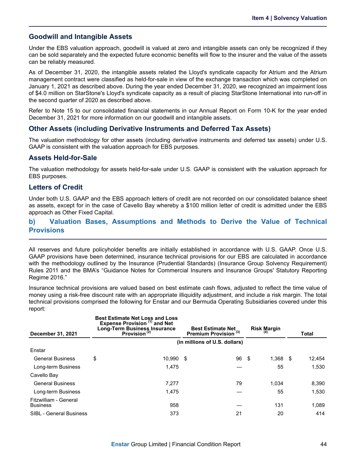### <span id="page-46-0"></span>**Goodwill and Intangible Assets**

Under the EBS valuation approach, goodwill is valued at zero and intangible assets can only be recognized if they can be sold separately and the expected future economic benefits will flow to the insurer and the value of the assets can be reliably measured.

As of December 31, 2020, the intangible assets related the Lloyd's syndicate capacity for Atrium and the Atrium management contract were classified as held-for-sale in view of the exchange transaction which was completed on January 1, 2021 as described above. During the year ended December 31, 2020, we recognized an impairment loss of \$4.0 million on StarStone's Lloyd's syndicate capacity as a result of placing StarStone International into run-off in the second quarter of 2020 as described above.

Refer to Note 15 to our consolidated financial statements in our Annual Report on Form 10-K for the year ended December 31, 2021 for more information on our goodwill and intangible assets.

### **Other Assets (including Derivative Instruments and Deferred Tax Assets)**

The valuation methodology for other assets (including derivative instruments and deferred tax assets) under U.S. GAAP is consistent with the valuation approach for EBS purposes.

### **Assets Held-for-Sale**

The valuation methodology for assets held-for-sale under U.S. GAAP is consistent with the valuation approach for EBS purposes.

### **Letters of Credit**

Under both U.S. GAAP and the EBS approach letters of credit are not recorded on our consolidated balance sheet as assets, except for in the case of Cavello Bay whereby a \$100 million letter of credit is admitted under the EBS approach as Other Fixed Capital.

### **b) Valuation Bases, Assumptions and Methods to Derive the Value of Technical Provisions**

All reserves and future policyholder benefits are initially established in accordance with U.S. GAAP. Once U.S. GAAP provisions have been determined, insurance technical provisions for our EBS are calculated in accordance with the methodology outlined by the Insurance (Prudential Standards) (Insurance Group Solvency Requirement) Rules 2011 and the BMA's "Guidance Notes for Commercial Insurers and Insurance Groups' Statutory Reporting Regime 2016."

Insurance technical provisions are valued based on best estimate cash flows, adjusted to reflect the time value of money using a risk-free discount rate with an appropriate illiquidity adjustment, and include a risk margin. The total technical provisions comprised the following for Enstar and our Bermuda Operating Subsidiaries covered under this report:

| <b>December 31, 2021</b>                 | <b>Best Estimate Net Loss and Loss</b><br>Expense Provision (1) and Net<br><b>Long-Term Business Insurance</b><br>Provision <sup>(2)</sup> |        |      | <b>Best Estimate Net</b><br>Premium Provision (3) | <b>Risk Margin</b> |       |      | Total  |
|------------------------------------------|--------------------------------------------------------------------------------------------------------------------------------------------|--------|------|---------------------------------------------------|--------------------|-------|------|--------|
|                                          |                                                                                                                                            |        |      | (in millions of U.S. dollars)                     |                    |       |      |        |
| Enstar                                   |                                                                                                                                            |        |      |                                                   |                    |       |      |        |
| <b>General Business</b>                  | \$                                                                                                                                         | 10.990 | - \$ | 96                                                | - \$               | 1,368 | - \$ | 12,454 |
| Long-term Business                       |                                                                                                                                            | 1,475  |      |                                                   |                    | 55    |      | 1,530  |
| Cavello Bay                              |                                                                                                                                            |        |      |                                                   |                    |       |      |        |
| <b>General Business</b>                  |                                                                                                                                            | 7.277  |      | 79                                                |                    | 1.034 |      | 8,390  |
| Long-term Business                       |                                                                                                                                            | 1,475  |      |                                                   |                    | 55    |      | 1,530  |
| Fitzwilliam - General<br><b>Business</b> |                                                                                                                                            | 958    |      |                                                   |                    | 131   |      | 1,089  |
| <b>SIBL - General Business</b>           |                                                                                                                                            | 373    |      | 21                                                |                    | 20    |      | 414    |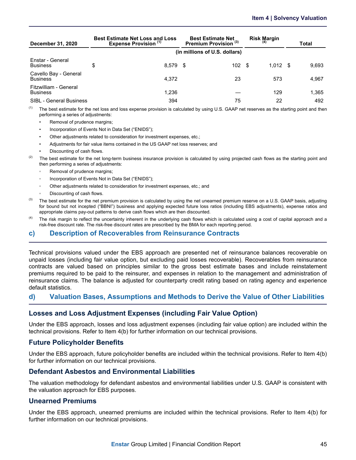<span id="page-47-0"></span>

| <b>December 31, 2020</b>                 | <b>Best Estimate Net Loss and Loss</b><br><b>Expense Provision (1)</b> | <b>Best Estimate Net</b><br>Premium Provision <sup>(3)</sup> | <b>Risk Margin</b> |      | Total |
|------------------------------------------|------------------------------------------------------------------------|--------------------------------------------------------------|--------------------|------|-------|
|                                          |                                                                        | (in millions of U.S. dollars)                                |                    |      |       |
| Enstar - General<br><b>Business</b>      | \$<br>$8.579$ \$                                                       | 102S                                                         | 1.012              | - \$ | 9.693 |
| Cavello Bay - General<br><b>Business</b> | 4.372                                                                  | 23                                                           | 573                |      | 4,967 |
| Fitzwilliam - General<br><b>Business</b> | 1,236                                                                  |                                                              | 129                |      | 1.365 |
| <b>SIBL - General Business</b>           | 394                                                                    | 75                                                           | 22                 |      | 492   |

 $<sup>(1)</sup>$  The best estimate for the net loss and loss expense provision is calculated by using U.S. GAAP net reserves as the starting point and then</sup> performing a series of adjustments:

- Removal of prudence margins;
- Incorporation of Events Not in Data Set ("ENIDS");
- Other adjustments related to consideration for investment expenses, etc.;
- Adjustments for fair value items contained in the US GAAP net loss reserves; and
- Discounting of cash flows.
- <sup>(2)</sup> The best estimate for the net long-term business insurance provision is calculated by using projected cash flows as the starting point and then performing a series of adjustments:
	- Removal of prudence margins;
	- Incorporation of Events Not in Data Set ("ENIDS");
	- Other adjustments related to consideration for investment expenses, etc.; and
	- Discounting of cash flows.
- $^{(3)}$  The best estimate for the net premium provision is calculated by using the net unearned premium reserve on a U.S. GAAP basis, adjusting for bound but not incepted ("BBNI") business and applying expected future loss ratios (including EBS adjustments), expense ratios and appropriate claims pay-out patterns to derive cash flows which are then discounted.
- <sup>(4)</sup> The risk margin to reflect the uncertainty inherent in the underlying cash flows which is calculated using a cost of capital approach and a risk-free discount rate. The risk-free discount rates are prescribed by the BMA for each reporting period.

### **c) Description of Recoverables from Reinsurance Contracts**

Technical provisions valued under the EBS approach are presented net of reinsurance balances recoverable on unpaid losses (including fair value option, but excluding paid losses recoverable). Recoverables from reinsurance contracts are valued based on principles similar to the gross best estimate bases and include reinstatement premiums required to be paid to the reinsurer, and expenses in relation to the management and administration of reinsurance claims. The balance is adjusted for counterparty credit rating based on rating agency and experience default statistics.

### **d) Valuation Bases, Assumptions and Methods to Derive the Value of Other Liabilities**

### **Losses and Loss Adjustment Expenses (including Fair Value Option)**

Under the EBS approach, losses and loss adjustment expenses (including fair value option) are included within the technical provisions. Refer to Item 4(b) for further information on our technical provisions.

### **Future Policyholder Benefits**

Under the EBS approach, future policyholder benefits are included within the technical provisions. Refer to Item 4(b) for further information on our technical provisions.

### **Defendant Asbestos and Environmental Liabilities**

The valuation methodology for defendant asbestos and environmental liabilities under U.S. GAAP is consistent with the valuation approach for EBS purposes.

### **Unearned Premiums**

Under the EBS approach, unearned premiums are included within the technical provisions. Refer to Item 4(b) for further information on our technical provisions.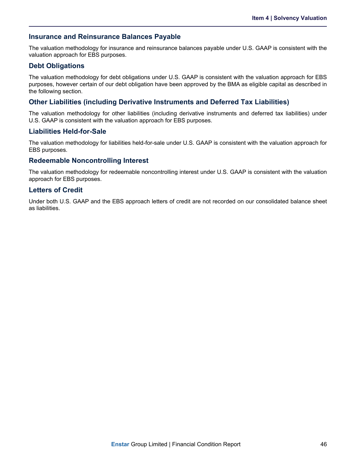### **Insurance and Reinsurance Balances Payable**

The valuation methodology for insurance and reinsurance balances payable under U.S. GAAP is consistent with the valuation approach for EBS purposes.

### **Debt Obligations**

The valuation methodology for debt obligations under U.S. GAAP is consistent with the valuation approach for EBS purposes, however certain of our debt obligation have been approved by the BMA as eligible capital as described in the following section.

### **Other Liabilities (including Derivative Instruments and Deferred Tax Liabilities)**

The valuation methodology for other liabilities (including derivative instruments and deferred tax liabilities) under U.S. GAAP is consistent with the valuation approach for EBS purposes.

### **Liabilities Held-for-Sale**

The valuation methodology for liabilities held-for-sale under U.S. GAAP is consistent with the valuation approach for EBS purposes.

### **Redeemable Noncontrolling Interest**

The valuation methodology for redeemable noncontrolling interest under U.S. GAAP is consistent with the valuation approach for EBS purposes.

### **Letters of Credit**

Under both U.S. GAAP and the EBS approach letters of credit are not recorded on our consolidated balance sheet as liabilities.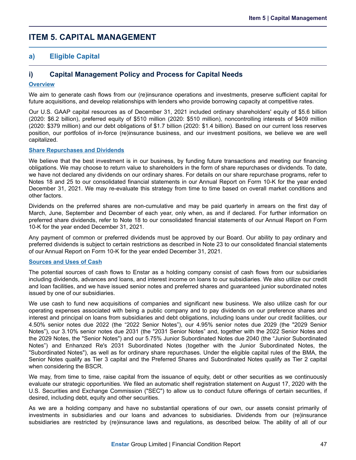### <span id="page-49-0"></span>**ITEM 5. CAPITAL MANAGEMENT**

### **a) Eligible Capital**

### **i) Capital Management Policy and Process for Capital Needs**

#### **Overview**

We aim to generate cash flows from our (re)insurance operations and investments, preserve sufficient capital for future acquisitions, and develop relationships with lenders who provide borrowing capacity at competitive rates.

Our U.S. GAAP capital resources as of December 31, 2021 included ordinary shareholders' equity of \$5.6 billion (2020: \$6.2 billion), preferred equity of \$510 million (2020: \$510 million), noncontrolling interests of \$409 million (2020: \$379 million) and our debt obligations of \$1.7 billion (2020: \$1.4 billion). Based on our current loss reserves position, our portfolios of in-force (re)insurance business, and our investment positions, we believe we are well capitalized.

#### **Share Repurchases and Dividends**

We believe that the best investment is in our business, by funding future transactions and meeting our financing obligations. We may choose to return value to shareholders in the form of share repurchases or dividends. To date, we have not declared any dividends on our ordinary shares. For details on our share repurchase programs, refer to Notes 18 and 25 to our consolidated financial statements in our Annual Report on Form 10-K for the year ended December 31, 2021. We may re-evaluate this strategy from time to time based on overall market conditions and other factors.

Dividends on the preferred shares are non-cumulative and may be paid quarterly in arrears on the first day of March, June, September and December of each year, only when, as and if declared. For further information on preferred share dividends, refer to Note 18 to our consolidated financial statements of our Annual Report on Form 10-K for the year ended December 31, 2021.

Any payment of common or preferred dividends must be approved by our Board. Our ability to pay ordinary and preferred dividends is subject to certain restrictions as described in Note 23 to our consolidated financial statements of our Annual Report on Form 10-K for the year ended December 31, 2021.

#### **Sources and Uses of Cash**

The potential sources of cash flows to Enstar as a holding company consist of cash flows from our subsidiaries including dividends, advances and loans, and interest income on loans to our subsidiaries. We also utilize our credit and loan facilities, and we have issued senior notes and preferred shares and guaranteed junior subordinated notes issued by one of our subsidiaries.

We use cash to fund new acquisitions of companies and significant new business. We also utilize cash for our operating expenses associated with being a public company and to pay dividends on our preference shares and interest and principal on loans from subsidiaries and debt obligations, including loans under our credit facilities, our 4.50% senior notes due 2022 (the "2022 Senior Notes"), our 4.95% senior notes due 2029 (the "2029 Senior Notes"), our 3.10% senior notes due 2031 (the "2031 Senior Notes" and, together with the 2022 Senior Notes and the 2029 Notes, the "Senior Notes") and our 5.75% Junior Subordinated Notes due 2040 (the "Junior Subordinated Notes") and Enhanzed Re's 2031 Subordinated Notes (together with the Junior Subordinated Notes, the "Subordinated Notes"), as well as for ordinary share repurchases. Under the eligible capital rules of the BMA, the Senior Notes qualify as Tier 3 capital and the Preferred Shares and Subordinated Notes qualify as Tier 2 capital when considering the BSCR.

We may, from time to time, raise capital from the issuance of equity, debt or other securities as we continuously evaluate our strategic opportunities. We filed an automatic shelf registration statement on August 17, 2020 with the U.S. Securities and Exchange Commission ("SEC") to allow us to conduct future offerings of certain securities, if desired, including debt, equity and other securities.

As we are a holding company and have no substantial operations of our own, our assets consist primarily of investments in subsidiaries and our loans and advances to subsidiaries. Dividends from our (re)insurance subsidiaries are restricted by (re)insurance laws and regulations, as described below. The ability of all of our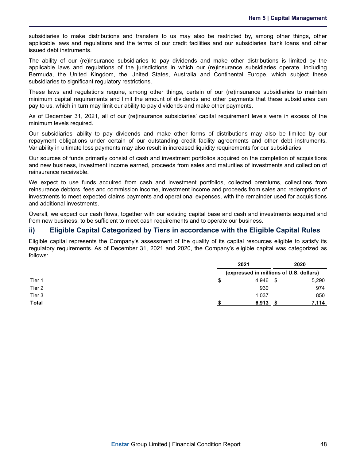subsidiaries to make distributions and transfers to us may also be restricted by, among other things, other applicable laws and regulations and the terms of our credit facilities and our subsidiaries' bank loans and other issued debt instruments.

The ability of our (re)insurance subsidiaries to pay dividends and make other distributions is limited by the applicable laws and regulations of the jurisdictions in which our (re)insurance subsidiaries operate, including Bermuda, the United Kingdom, the United States, Australia and Continental Europe, which subject these subsidiaries to significant regulatory restrictions.

These laws and regulations require, among other things, certain of our (re)insurance subsidiaries to maintain minimum capital requirements and limit the amount of dividends and other payments that these subsidiaries can pay to us, which in turn may limit our ability to pay dividends and make other payments.

As of December 31, 2021, all of our (re)insurance subsidiaries' capital requirement levels were in excess of the minimum levels required.

Our subsidiaries' ability to pay dividends and make other forms of distributions may also be limited by our repayment obligations under certain of our outstanding credit facility agreements and other debt instruments. Variability in ultimate loss payments may also result in increased liquidity requirements for our subsidiaries.

Our sources of funds primarily consist of cash and investment portfolios acquired on the completion of acquisitions and new business, investment income earned, proceeds from sales and maturities of investments and collection of reinsurance receivable.

We expect to use funds acquired from cash and investment portfolios, collected premiums, collections from reinsurance debtors, fees and commission income, investment income and proceeds from sales and redemptions of investments to meet expected claims payments and operational expenses, with the remainder used for acquisitions and additional investments.

Overall, we expect our cash flows, together with our existing capital base and cash and investments acquired and from new business, to be sufficient to meet cash requirements and to operate our business.

### **ii) Eligible Capital Categorized by Tiers in accordance with the Eligible Capital Rules**

Eligible capital represents the Company's assessment of the quality of its capital resources eligible to satisfy its regulatory requirements. As of December 31, 2021 and 2020, the Company's eligible capital was categorized as follows:

|             | 2020                                                    |
|-------------|---------------------------------------------------------|
|             |                                                         |
| \$<br>4.946 | 5,290                                                   |
| 930         | 974                                                     |
| 1.037       | 850                                                     |
| 6,913       | 7,114                                                   |
|             | 2021<br>(expressed in millions of U.S. dollars)<br>- \$ |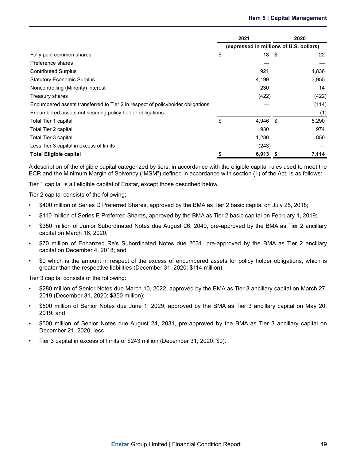|                                                                                | 2021 |                                         |  | 2020  |
|--------------------------------------------------------------------------------|------|-----------------------------------------|--|-------|
|                                                                                |      | (expressed in millions of U.S. dollars) |  |       |
| Fully paid common shares                                                       | \$   | 18 \$                                   |  | 22    |
| Preference shares                                                              |      |                                         |  |       |
| <b>Contributed Surplus</b>                                                     |      | 921                                     |  | 1,836 |
| <b>Statutory Economic Surplus</b>                                              |      | 4,199                                   |  | 3,955 |
| Noncontrolling (Minority) interest                                             |      | 230                                     |  | 14    |
| Treasury shares                                                                |      | (422)                                   |  | (422) |
| Encumbered assets transferred to Tier 2 in respect of policyholder obligations |      |                                         |  | (114) |
| Encumbered assets not securing policy holder obligations                       |      |                                         |  | (1)   |
| Total Tier 1 capital                                                           | \$   | $4,946$ \$                              |  | 5,290 |
| Total Tier 2 capital                                                           |      | 930                                     |  | 974   |
| Total Tier 3 capital                                                           |      | 1,280                                   |  | 850   |
| Less Tier 3 capital in excess of limits                                        |      | (243)                                   |  |       |
| <b>Total Eligible capital</b>                                                  |      | 6,913                                   |  | 7,114 |

A description of the eligible capital categorized by tiers, in accordance with the eligible capital rules used to meet the ECR and the Minimum Margin of Solvency ("MSM") defined in accordance with section (1) of the Act, is as follows:

Tier 1 capital is all eligible capital of Enstar, except those described below.

Tier 2 capital consists of the following:

- \$400 million of Series D Preferred Shares, approved by the BMA as Tier 2 basic capital on July 25, 2018;
- \$110 million of Series E Preferred Shares, approved by the BMA as Tier 2 basic capital on February 1, 2019;
- \$350 million of Junior Subordinated Notes due August 26, 2040, pre-approved by the BMA as Tier 2 ancillary capital on March 16, 2020;
- \$70 million of Enhanzed Re's Subordinated Notes due 2031, pre-approved by the BMA as Tier 2 ancillary capital on December 4, 2018; and
- \$0 which is the amount in respect of the excess of encumbered assets for policy holder obligations, which is greater than the respective liabilities (December 31, 2020: \$114 million).

Tier 3 capital consists of the following:

- \$280 million of Senior Notes due March 10, 2022, approved by the BMA as Tier 3 ancillary capital on March 27, 2019 (December 31, 2020: \$350 million);
- \$500 million of Senior Notes due June 1, 2029, approved by the BMA as Tier 3 ancillary capital on May 20, 2019; and
- \$500 million of Senior Notes due August 24, 2031, pre-approved by the BMA as Tier 3 ancillary capital on December 21, 2020; less
- Tier 3 capital in excess of limits of \$243 million (December 31, 2020: \$0).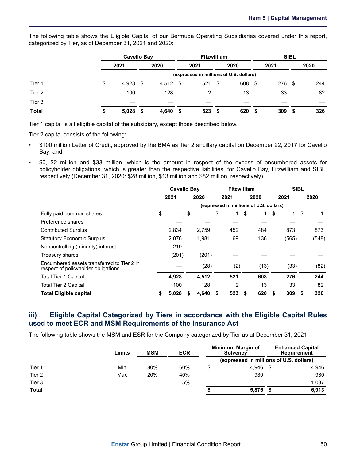The following table shows the Eligible Capital of our Bermuda Operating Subsidiaries covered under this report, categorized by Tier, as of December 31, 2021 and 2020:

|              |                                         | Cavello Bay |    |       |      |      | <b>Fitzwilliam</b> |                  |      | <b>SIBL</b> |     |      |  |
|--------------|-----------------------------------------|-------------|----|-------|------|------|--------------------|------------------|------|-------------|-----|------|--|
|              |                                         | 2021        |    | 2020  |      | 2021 |                    | 2020             |      | 2021        |     | 2020 |  |
|              | (expressed in millions of U.S. dollars) |             |    |       |      |      |                    |                  |      |             |     |      |  |
| Tier 1       | \$                                      | 4,928       | \$ | 4,512 | - \$ | 521  | \$                 | 608              | - \$ | 276         | -\$ | 244  |  |
| Tier 2       |                                         | 100         |    | 128   |      | 2    |                    | 13               |      | 33          |     | 82   |  |
| Tier 3       |                                         |             |    |       |      |      |                    |                  |      |             |     |      |  |
| <b>Total</b> |                                         | 5,028       | S  | 4,640 | - \$ | 523  | S.                 | 620 <sup>5</sup> |      | 309         | S   | 326  |  |

Tier 1 capital is all eligible capital of the subsidiary, except those described below.

Tier 2 capital consists of the following:

- \$100 million Letter of Credit, approved by the BMA as Tier 2 ancillary capital on December 22, 2017 for Cavello Bay; and
- \$0, \$2 million and \$33 million, which is the amount in respect of the excess of encumbered assets for policyholder obligations, which is greater than the respective liabilities, for Cavello Bay, Fitzwilliam and SIBL, respectively (December 31, 2020: \$28 million, \$13 million and \$82 million, respectively).

|                                                                                   | <b>Cavello Bay</b> |       |    | <b>Fitzwilliam</b> |    |      |    |                                         |    |       |    |       |
|-----------------------------------------------------------------------------------|--------------------|-------|----|--------------------|----|------|----|-----------------------------------------|----|-------|----|-------|
|                                                                                   | 2021               |       |    | 2020               |    | 2021 |    | 2020                                    |    | 2021  |    | 2020  |
|                                                                                   |                    |       |    |                    |    |      |    | (expressed in millions of U.S. dollars) |    |       |    |       |
| Fully paid common shares                                                          | \$                 |       | \$ |                    | \$ | 1    | \$ | 1.                                      | \$ |       | \$ |       |
| Preference shares                                                                 |                    |       |    |                    |    |      |    |                                         |    |       |    |       |
| <b>Contributed Surplus</b>                                                        |                    | 2,834 |    | 2,759              |    | 452  |    | 484                                     |    | 873   |    | 873   |
| <b>Statutory Economic Surplus</b>                                                 |                    | 2,076 |    | 1,981              |    | 69   |    | 136                                     |    | (565) |    | (548) |
| Noncontrolling (minority) interest                                                |                    | 219   |    |                    |    |      |    |                                         |    |       |    |       |
| Treasury shares                                                                   |                    | (201) |    | (201)              |    |      |    |                                         |    |       |    |       |
| Encumbered assets transferred to Tier 2 in<br>respect of policyholder obligations |                    |       |    | (28)               |    | (2)  |    | (13)                                    |    | (33)  |    | (82)  |
| <b>Total Tier 1 Capital</b>                                                       |                    | 4,928 |    | 4.512              |    | 521  |    | 608                                     |    | 276   |    | 244   |
| Total Tier 2 Capital                                                              |                    | 100   |    | 128                |    | 2    |    | 13                                      |    | 33    |    | 82    |
| <b>Total Eligible capital</b>                                                     |                    | 5,028 |    | 4,640              |    | 523  | S  | 620                                     |    | 309   | Ъ  | 326   |

### **iii) Eligible Capital Categorized by Tiers in accordance with the Eligible Capital Rules used to meet ECR and MSM Requirements of the Insurance Act**

The following table shows the MSM and ESR for the Company categorized by Tier as at December 31, 2021:

|                   | Limits | <b>MSM</b> | <b>ECR</b> | Minimum Margin of<br><b>Solvency</b> | <b>Enhanced Capital</b><br><b>Requirement</b> |       |  |
|-------------------|--------|------------|------------|--------------------------------------|-----------------------------------------------|-------|--|
|                   |        |            |            |                                      | (expressed in millions of U.S. dollars)       |       |  |
| Tier 1            | Min    | 80%        | 60%        | 4.946                                |                                               | 4,946 |  |
| Tier 2            | Max    | 20%        | 40%        | 930                                  |                                               | 930   |  |
| Tier <sub>3</sub> |        |            | 15%        |                                      |                                               | 1,037 |  |
| <b>Total</b>      |        |            |            | 5,876                                |                                               | 6,913 |  |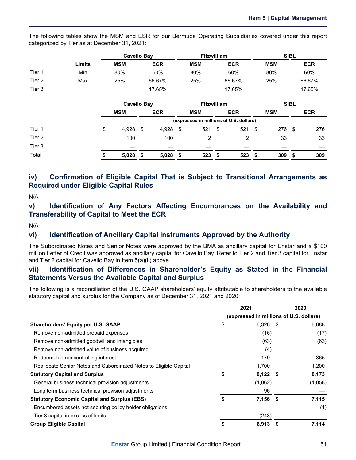The following tables show the MSM and ESR for our Bermuda Operating Subsidiaries covered under this report categorized by Tier as at December 31, 2021:

|        |        |            | Cavello Bay | <b>Fitzwilliam</b> |            |            | <b>SIBL</b> |
|--------|--------|------------|-------------|--------------------|------------|------------|-------------|
|        | Limits | <b>MSM</b> | <b>ECR</b>  | <b>MSM</b>         | <b>ECR</b> | <b>MSM</b> | <b>ECR</b>  |
| Tier 1 | Min    | 80%        | 60%         | 80%                | 60%        | 80%        | 60%         |
| Tier 2 | Max    | 25%        | 66.67%      | 25%                | 66.67%     | 25%        | 66.67%      |
| Tier 3 |        |            | 17.65%      |                    | 17.65%     |            | 17.65%      |

|        | Cavello Bay |     |            |      |                                         | <b>Fitzwilliam</b> |     |            |     | <b>SIBL</b> |            |  |
|--------|-------------|-----|------------|------|-----------------------------------------|--------------------|-----|------------|-----|-------------|------------|--|
|        | <b>MSM</b>  |     | <b>ECR</b> |      | <b>MSM</b>                              | <b>ECR</b>         |     | <b>MSM</b> |     |             | <b>ECR</b> |  |
|        |             |     |            |      | (expressed in millions of U.S. dollars) |                    |     |            |     |             |            |  |
| Tier 1 | \$<br>4,928 | \$. | 4,928      | - \$ | 521                                     | \$                 | 521 | - \$       | 276 | S           | 276        |  |
| Tier 2 | 100         |     | 100        |      | っ                                       |                    | 2   |            | 33  |             | 33         |  |
| Tier 3 |             |     |            |      |                                         |                    |     |            |     |             |            |  |
| Total  | 5,028       | S   | 5,028      | - \$ | 523                                     | £.                 | 523 | - \$       | 309 | S           | 309        |  |

### **iv) Confirmation of Eligible Capital That is Subject to Transitional Arrangements as Required under Eligible Capital Rules**

N/A

### **v) Identification of Any Factors Affecting Encumbrances on the Availability and Transferability of Capital to Meet the ECR**

N/A

### **vi) Identification of Ancillary Capital Instruments Approved by the Authority**

The Subordinated Notes and Senior Notes were approved by the BMA as ancillary capital for Enstar and a \$100 million Letter of Credit was approved as ancillary capital for Cavello Bay. Refer to Tier 2 and Tier 3 capital for Enstar and Tier 2 capital for Cavello Bay in Item 5(a)(ii) above.

### **vii) Identification of Differences in Shareholder's Equity as Stated in the Financial Statements Versus the Available Capital and Surplus**

The following is a reconciliation of the U.S. GAAP shareholders' equity attributable to shareholders to the available statutory capital and surplus for the Company as of December 31, 2021 and 2020:

|                                                                    | 2021                                    | 2020    |
|--------------------------------------------------------------------|-----------------------------------------|---------|
|                                                                    | (expressed in millions of U.S. dollars) |         |
| <b>Shareholders' Equity per U.S. GAAP</b>                          | \$<br>$6,326$ \$                        | 6,688   |
| Remove non-admitted prepaid expenses                               | (16)                                    | (17)    |
| Remove non-admitted goodwill and intangibles                       | (63)                                    | (63)    |
| Remove non-admitted value of business acquired                     | (4)                                     |         |
| Redeemable noncontrolling interest                                 | 179                                     | 365     |
| Reallocate Senior Notes and Subordinated Notes to Eligible Capital | 1,700                                   | 1,200   |
| <b>Statutory Capital and Surplus</b>                               | \$<br>$8,122$ \$                        | 8,173   |
| General business technical provision adjustments                   | (1,062)                                 | (1,058) |
| Long term business technical provision adjustments                 | 96                                      |         |
| <b>Statutory Economic Capital and Surplus (EBS)</b>                | \$<br>$7,156$ \$                        | 7,115   |
| Encumbered assets not securing policy holder obligations           |                                         | (1)     |
| Tier 3 capital in excess of limits                                 | (243)                                   |         |
| <b>Group Eligible Capital</b>                                      | 6,913                                   | 7,114   |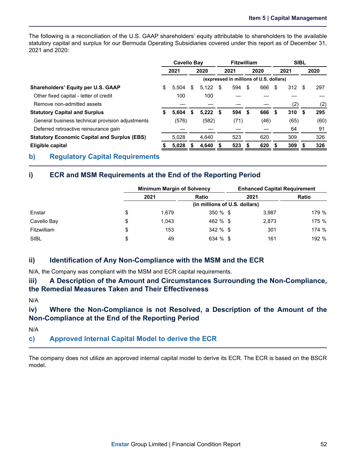<span id="page-54-0"></span>The following is a reconciliation of the U.S. GAAP shareholders' equity attributable to shareholders to the available statutory capital and surplus for our Bermuda Operating Subsidiaries covered under this report as of December 31, 2021 and 2020:

|                                                     | Cavello Bay |       |    | <b>Fitzwilliam</b>                      |  |        | <b>SIBL</b> |      |      |      |      |      |
|-----------------------------------------------------|-------------|-------|----|-----------------------------------------|--|--------|-------------|------|------|------|------|------|
|                                                     | 2021        |       |    | 2020                                    |  | 2021   | 2020        |      | 2021 |      |      | 2020 |
|                                                     |             |       |    | (expressed in millions of U.S. dollars) |  |        |             |      |      |      |      |      |
| <b>Shareholders' Equity per U.S. GAAP</b>           | \$          | 5.504 | \$ | $5.122$ \$                              |  | 594    | - \$        | 666  | -\$  | 312S |      | 297  |
| Other fixed capital - letter of credit              |             | 100   |    | 100                                     |  |        |             |      |      |      |      |      |
| Remove non-admitted assets                          |             |       |    |                                         |  |        |             |      |      | (2)  |      | (2)  |
| <b>Statutory Capital and Surplus</b>                | S           | 5.604 | S. | $5,222$ \$                              |  | 594 \$ |             | 666  | - \$ | 310  | - \$ | 295  |
| General business technical provision adjustments    |             | (576) |    | (582)                                   |  | (71)   |             | (46) |      | (65) |      | (60) |
| Deferred retroactive reinsurance gain               |             |       |    |                                         |  |        |             |      |      | 64   |      | 91   |
| <b>Statutory Economic Capital and Surplus (EBS)</b> |             | 5.028 |    | 4.640                                   |  | 523    |             | 620  |      | 309  |      | 326  |
| Eligible capital                                    |             | 5,028 |    | 4.640                                   |  | 523    |             | 620  | S    | 309  |      | 326  |

### **b) Regulatory Capital Requirements**

### **i) ECR and MSM Requirements at the End of the Reporting Period**

|             |                               | <b>Minimum Margin of Solvency</b> |             |      | <b>Enhanced Capital Requirement</b> |       |  |  |  |  |
|-------------|-------------------------------|-----------------------------------|-------------|------|-------------------------------------|-------|--|--|--|--|
|             |                               | 2021<br><b>Ratio</b>              |             | 2021 |                                     | Ratio |  |  |  |  |
|             | (in millions of U.S. dollars) |                                   |             |      |                                     |       |  |  |  |  |
| Enstar      | \$                            | 1,679                             | $350 \%$ \$ |      | 3.987                               | 179 % |  |  |  |  |
| Cavello Bay | \$                            | 1.043                             | 482 % \$    |      | 2,873                               | 175 % |  |  |  |  |
| Fitzwilliam | \$                            | 153                               | $342 \%$ \$ |      | 301                                 | 174 % |  |  |  |  |
| <b>SIBL</b> | \$                            | 49                                | 634 % \$    |      | 161                                 | 192 % |  |  |  |  |

### **ii) Identification of Any Non-Compliance with the MSM and the ECR**

N/A, the Company was compliant with the MSM and ECR capital requirements.

**iii) A Description of the Amount and Circumstances Surrounding the Non-Compliance, the Remedial Measures Taken and Their Effectiveness**

N/A

**iv) Where the Non-Compliance is not Resolved, a Description of the Amount of the Non-Compliance at the End of the Reporting Period**

N/A

### **c) Approved Internal Capital Model to derive the ECR**

The company does not utilize an approved internal capital model to derive its ECR. The ECR is based on the BSCR model.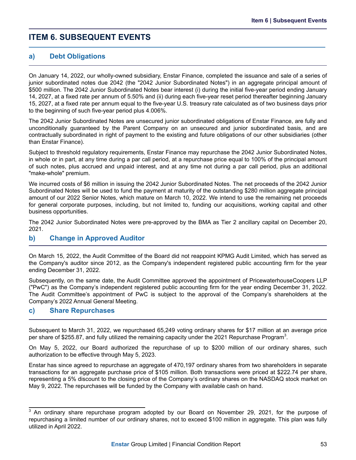### <span id="page-55-0"></span>**ITEM 6. SUBSEQUENT EVENTS**

### **a) Debt Obligations**

On January 14, 2022, our wholly-owned subsidiary, Enstar Finance, completed the issuance and sale of a series of junior subordinated notes due 2042 (the "2042 Junior Subordinated Notes") in an aggregate principal amount of \$500 million. The 2042 Junior Subordinated Notes bear interest (i) during the initial five-year period ending January 14, 2027, at a fixed rate per annum of 5.50% and (ii) during each five-year reset period thereafter beginning January 15, 2027, at a fixed rate per annum equal to the five-year U.S. treasury rate calculated as of two business days prior to the beginning of such five-year period plus 4.006%.

The 2042 Junior Subordinated Notes are unsecured junior subordinated obligations of Enstar Finance, are fully and unconditionally guaranteed by the Parent Company on an unsecured and junior subordinated basis, and are contractually subordinated in right of payment to the existing and future obligations of our other subsidiaries (other than Enstar Finance).

Subject to threshold regulatory requirements, Enstar Finance may repurchase the 2042 Junior Subordinated Notes, in whole or in part, at any time during a par call period, at a repurchase price equal to 100% of the principal amount of such notes, plus accrued and unpaid interest, and at any time not during a par call period, plus an additional "make-whole" premium.

We incurred costs of \$6 million in issuing the 2042 Junior Subordinated Notes. The net proceeds of the 2042 Junior Subordinated Notes will be used to fund the payment at maturity of the outstanding \$280 million aggregate principal amount of our 2022 Senior Notes, which mature on March 10, 2022. We intend to use the remaining net proceeds for general corporate purposes, including, but not limited to, funding our acquisitions, working capital and other business opportunities.

The 2042 Junior Subordinated Notes were pre-approved by the BMA as Tier 2 ancillary capital on December 20, 2021.

### **b) Change in Approved Auditor**

On March 15, 2022, the Audit Committee of the Board did not reappoint KPMG Audit Limited, which has served as the Company's auditor since 2012, as the Company's independent registered public accounting firm for the year ending December 31, 2022.

Subsequently, on the same date, the Audit Committee approved the appointment of PricewaterhouseCoopers LLP ("PwC") as the Company's independent registered public accounting firm for the year ending December 31, 2022. The Audit Committee's appointment of PwC is subject to the approval of the Company's shareholders at the Company's 2022 Annual General Meeting.

### **c) Share Repurchases**

Subsequent to March 31, 2022, we repurchased 65,249 voting ordinary shares for \$17 million at an average price per share of \$255.87, and fully utilized the remaining capacity under the 2021 Repurchase Program<sup>3</sup>.

On May 5, 2022, our Board authorized the repurchase of up to \$200 million of our ordinary shares, such authorization to be effective through May 5, 2023.

Enstar has since agreed to repurchase an aggregate of 470,197 ordinary shares from two shareholders in separate transactions for an aggregate purchase price of \$105 million. Both transactions were priced at \$222.74 per share, representing a 5% discount to the closing price of the Company's ordinary shares on the NASDAQ stock market on May 9, 2022. The repurchases will be funded by the Company with available cash on hand.

 $3$  An ordinary share repurchase program adopted by our Board on November 29, 2021, for the purpose of repurchasing a limited number of our ordinary shares, not to exceed \$100 million in aggregate. This plan was fully utilized in April 2022.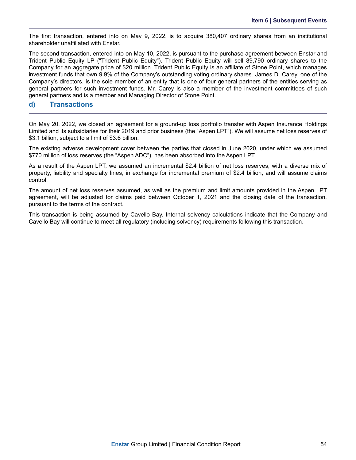The first transaction, entered into on May 9, 2022, is to acquire 380,407 ordinary shares from an institutional shareholder unaffiliated with Enstar.

The second transaction, entered into on May 10, 2022, is pursuant to the purchase agreement between Enstar and Trident Public Equity LP ("Trident Public Equity"). Trident Public Equity will sell 89,790 ordinary shares to the Company for an aggregate price of \$20 million. Trident Public Equity is an affiliate of Stone Point, which manages investment funds that own 9.9% of the Company's outstanding voting ordinary shares. James D. Carey, one of the Company's directors, is the sole member of an entity that is one of four general partners of the entities serving as general partners for such investment funds. Mr. Carey is also a member of the investment committees of such general partners and is a member and Managing Director of Stone Point.

### **d) Transactions**

On May 20, 2022, we closed an agreement for a ground-up loss portfolio transfer with Aspen Insurance Holdings Limited and its subsidiaries for their 2019 and prior business (the "Aspen LPT"). We will assume net loss reserves of \$3.1 billion, subject to a limit of \$3.6 billion.

The existing adverse development cover between the parties that closed in June 2020, under which we assumed \$770 million of loss reserves (the "Aspen ADC"), has been absorbed into the Aspen LPT.

As a result of the Aspen LPT, we assumed an incremental \$2.4 billion of net loss reserves, with a diverse mix of property, liability and specialty lines, in exchange for incremental premium of \$2.4 billion, and will assume claims control.

The amount of net loss reserves assumed, as well as the premium and limit amounts provided in the Aspen LPT agreement, will be adjusted for claims paid between October 1, 2021 and the closing date of the transaction, pursuant to the terms of the contract.

This transaction is being assumed by Cavello Bay. Internal solvency calculations indicate that the Company and Cavello Bay will continue to meet all regulatory (including solvency) requirements following this transaction.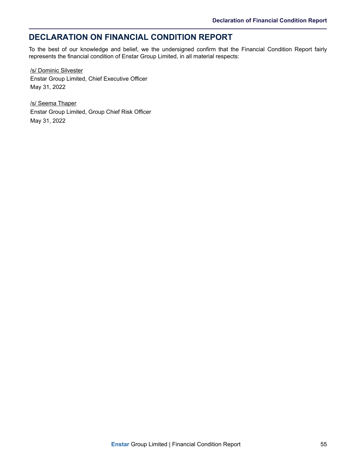# <span id="page-57-0"></span>**DECLARATION ON FINANCIAL CONDITION REPORT**

To the best of our knowledge and belief, we the undersigned confirm that the Financial Condition Report fairly represents the financial condition of Enstar Group Limited, in all material respects:

/s/ Dominic Silvester Enstar Group Limited, Chief Executive Officer May 31, 2022

/s/ Seema Thaper Enstar Group Limited, Group Chief Risk Officer May 31, 2022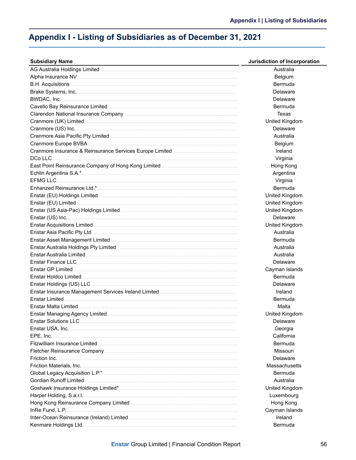# <span id="page-58-0"></span>Appendix I - Listing of Subsidiaries as of December 31, 2021

| <b>Subsidiary Name</b> | Jurisdiction of Incorporation |
|------------------------|-------------------------------|
|                        | Australia                     |
|                        | Belgium                       |
|                        | Bermuda                       |
|                        | Delaware                      |
|                        | Delaware                      |
|                        | Bermuda                       |
|                        | Texas                         |
|                        | United Kingdom                |
|                        | Delaware                      |
|                        | Australia                     |
|                        | Belgium                       |
|                        | Ireland                       |
|                        | Virginia                      |
|                        | Hong Kong                     |
|                        | Argentina                     |
|                        | Virginia                      |
|                        | Bermuda                       |
|                        | United Kingdom                |
|                        | United Kingdom                |
|                        | United Kingdom                |
|                        | Delaware                      |
|                        |                               |
|                        | United Kingdom                |
|                        | Australia                     |
|                        | Bermuda                       |
|                        | Australia                     |
|                        | Australia                     |
|                        | Delaware                      |
|                        | Cayman Islands                |
|                        | <b>Bermuda</b>                |
|                        | Delaware                      |
|                        | Ireland                       |
|                        | Bermuda                       |
|                        | Malta                         |
|                        | United Kingdom                |
|                        | Delaware                      |
|                        | Georgia                       |
|                        | California                    |
|                        | Bermuda                       |
|                        | Missouri                      |
|                        | Delaware                      |
|                        | Massachusetts                 |
|                        | Bermuda                       |
|                        | Australia                     |
|                        | United Kingdom                |
|                        | Luxembourg                    |
|                        | Hong Kong                     |
|                        | Cayman Islands                |
|                        | Ireland                       |
|                        | Bermuda                       |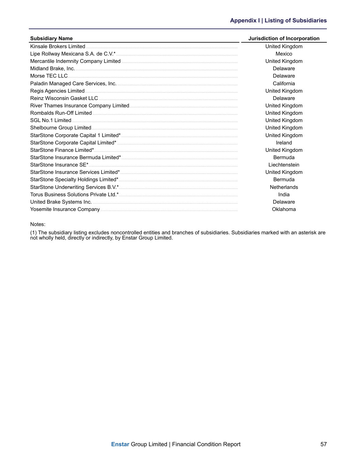| <b>Subsidiary Name</b> | Jurisdiction of Incorporation |
|------------------------|-------------------------------|
|                        | United Kingdom                |
|                        | Mexico                        |
|                        | United Kingdom                |
|                        | Delaware                      |
|                        | Delaware                      |
|                        | California                    |
|                        | United Kingdom                |
|                        | Delaware                      |
|                        | United Kingdom                |
|                        | United Kingdom                |
|                        | United Kingdom                |
|                        | United Kingdom                |
|                        | United Kingdom                |
|                        | Ireland                       |
|                        | United Kingdom                |
|                        | Bermuda                       |
|                        | Liechtenstein                 |
|                        | United Kingdom                |
|                        | Bermuda                       |
|                        | Netherlands                   |
|                        | India                         |
|                        | Delaware                      |
|                        | Oklahoma                      |

#### Notes:

(1) The subsidiary listing excludes noncontrolled entities and branches of subsidiaries. Subsidiaries marked with an asterisk are not wholly held, directly or indirectly, by Enstar Group Limited.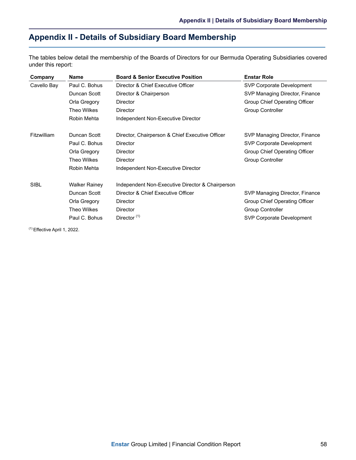# <span id="page-60-0"></span>**Appendix II - Details of Subsidiary Board Membership**

The tables below detail the membership of the Boards of Directors for our Bermuda Operating Subsidiaries covered under this report:

| Company     | <b>Name</b>          | <b>Board &amp; Senior Executive Position</b>     | <b>Enstar Role</b>             |
|-------------|----------------------|--------------------------------------------------|--------------------------------|
| Cavello Bay | Paul C. Bohus        | Director & Chief Executive Officer               | SVP Corporate Development      |
|             | Duncan Scott         | Director & Chairperson                           | SVP Managing Director, Finance |
|             | Orla Gregory         | <b>Director</b>                                  | Group Chief Operating Officer  |
|             | Theo Wilkes          | <b>Director</b>                                  | <b>Group Controller</b>        |
|             | Robin Mehta          | Independent Non-Executive Director               |                                |
| Fitzwilliam | Duncan Scott         | Director, Chairperson & Chief Executive Officer  | SVP Managing Director, Finance |
|             | Paul C. Bohus        | <b>Director</b>                                  | SVP Corporate Development      |
|             | Orla Gregory         | Director                                         | Group Chief Operating Officer  |
|             | Theo Wilkes          | Director                                         | <b>Group Controller</b>        |
|             | Robin Mehta          | Independent Non-Executive Director               |                                |
| <b>SIBL</b> | <b>Walker Rainey</b> | Independent Non-Executive Director & Chairperson |                                |
|             | Duncan Scott         | Director & Chief Executive Officer               | SVP Managing Director, Finance |
|             | Orla Gregory         | Director                                         | Group Chief Operating Officer  |
|             | Theo Wilkes          | <b>Director</b>                                  | <b>Group Controller</b>        |
|             | Paul C. Bohus        | Director <sup>(1)</sup>                          | SVP Corporate Development      |

(1) Effective April 1, 2022.